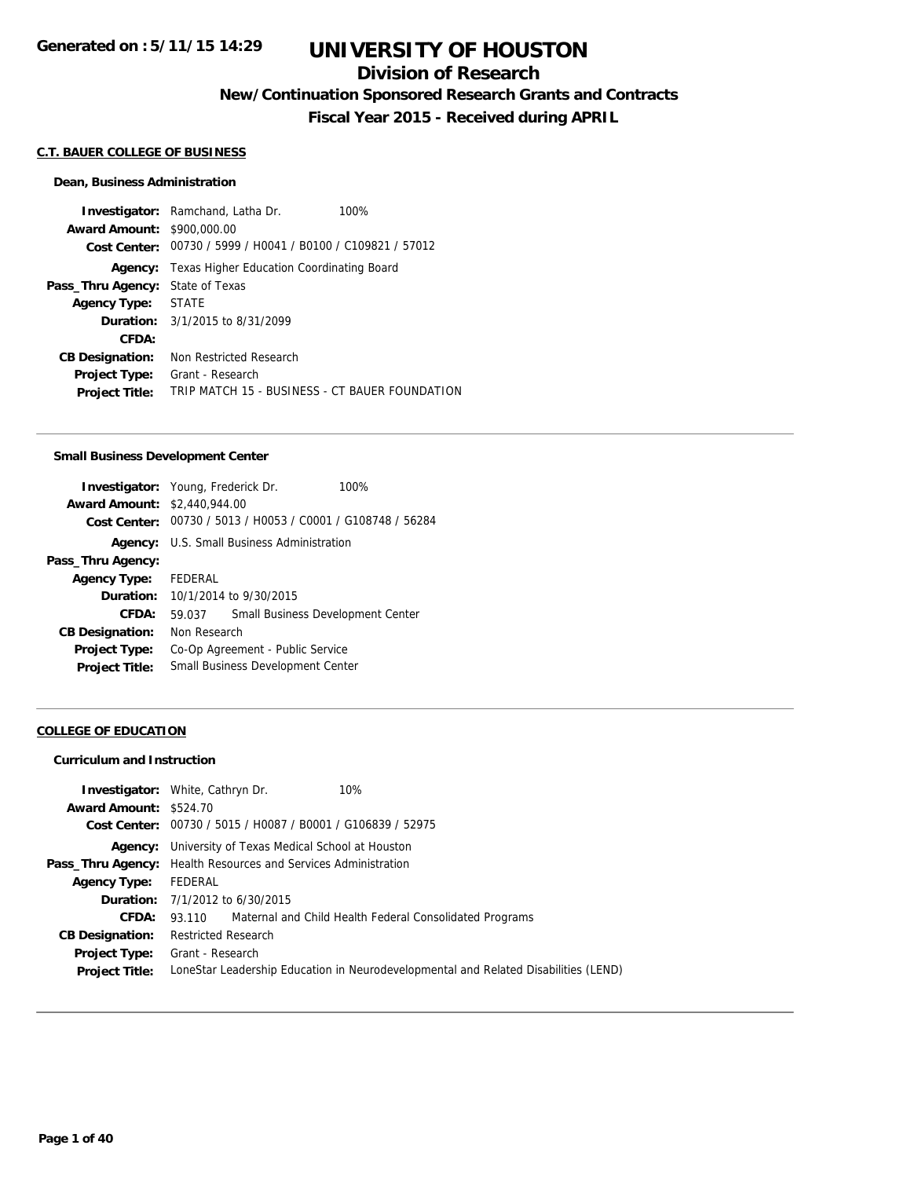## **Division of Research**

**New/Continuation Sponsored Research Grants and Contracts**

**Fiscal Year 2015 - Received during APRIL**

## **C.T. BAUER COLLEGE OF BUSINESS**

#### **Dean, Business Administration**

**Investigator:** Ramchand, Latha Dr. 100% **Award Amount:** \$900,000.00 **Cost Center:** 00730 / 5999 / H0041 / B0100 / C109821 / 57012 **Agency:** Texas Higher Education Coordinating Board **Pass\_Thru Agency:** State of Texas **Agency Type:** STATE **Duration:** 3/1/2015 to 8/31/2099 **CFDA: CB Designation:** Non Restricted Research **Project Type:** Grant - Research **Project Title:** TRIP MATCH 15 - BUSINESS - CT BAUER FOUNDATION

#### **Small Business Development Center**

| <b>Investigator:</b> Young, Frederick Dr. |              |                                                   | 100%                                                        |
|-------------------------------------------|--------------|---------------------------------------------------|-------------------------------------------------------------|
| <b>Award Amount: \$2,440,944.00</b>       |              |                                                   |                                                             |
|                                           |              |                                                   | Cost Center: 00730 / 5013 / H0053 / C0001 / G108748 / 56284 |
|                                           |              | <b>Agency:</b> U.S. Small Business Administration |                                                             |
| Pass_Thru Agency:                         |              |                                                   |                                                             |
| <b>Agency Type:</b>                       | FEDERAL      |                                                   |                                                             |
| <b>Duration:</b>                          |              | 10/1/2014 to 9/30/2015                            |                                                             |
| CFDA:                                     | 59.037       |                                                   | Small Business Development Center                           |
| <b>CB Designation:</b>                    | Non Research |                                                   |                                                             |
| <b>Project Type:</b>                      |              | Co-Op Agreement - Public Service                  |                                                             |
| <b>Project Title:</b>                     |              | Small Business Development Center                 |                                                             |

#### **COLLEGE OF EDUCATION**

#### **Curriculum and Instruction**

| Award Amount: \$524.70 | <b>Investigator:</b> White, Cathryn Dr.<br>10%                                      |
|------------------------|-------------------------------------------------------------------------------------|
|                        | Cost Center: 00730 / 5015 / H0087 / B0001 / G106839 / 52975                         |
|                        | <b>Agency:</b> University of Texas Medical School at Houston                        |
|                        | <b>Pass_Thru Agency:</b> Health Resources and Services Administration               |
| <b>Agency Type:</b>    | FEDERAL                                                                             |
|                        | <b>Duration:</b> $7/1/2012$ to $6/30/2015$                                          |
| CFDA:                  | 93.110 Maternal and Child Health Federal Consolidated Programs                      |
| <b>CB Designation:</b> | <b>Restricted Research</b>                                                          |
|                        | <b>Project Type:</b> Grant - Research                                               |
| <b>Project Title:</b>  | LoneStar Leadership Education in Neurodevelopmental and Related Disabilities (LEND) |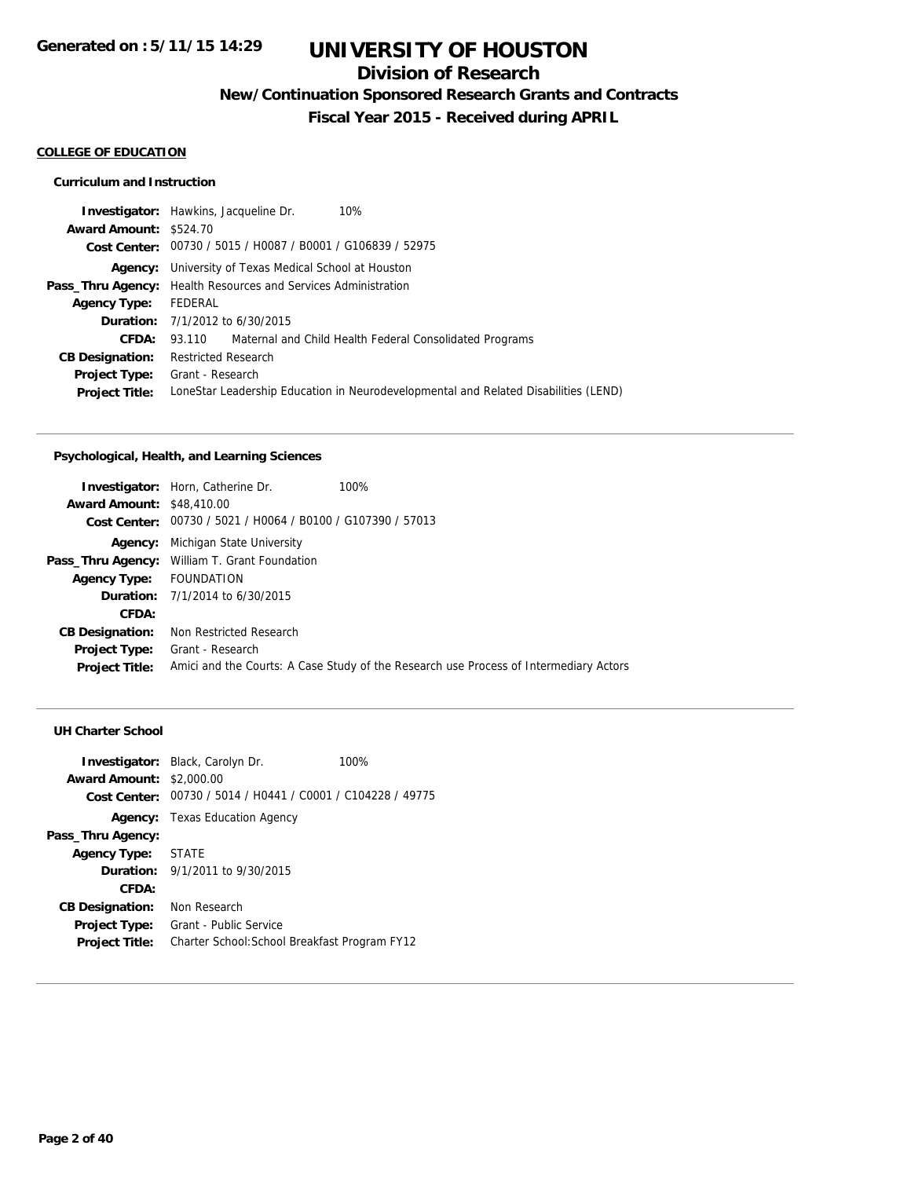# **Division of Research**

**New/Continuation Sponsored Research Grants and Contracts**

**Fiscal Year 2015 - Received during APRIL**

### **COLLEGE OF EDUCATION**

### **Curriculum and Instruction**

|                               | <b>Investigator:</b> Hawkins, Jacqueline Dr.<br>10%                                 |
|-------------------------------|-------------------------------------------------------------------------------------|
| <b>Award Amount: \$524.70</b> |                                                                                     |
|                               | Cost Center: 00730 / 5015 / H0087 / B0001 / G106839 / 52975                         |
|                               | <b>Agency:</b> University of Texas Medical School at Houston                        |
|                               | <b>Pass_Thru Agency:</b> Health Resources and Services Administration               |
| <b>Agency Type:</b>           | FEDERAL                                                                             |
|                               | <b>Duration:</b> 7/1/2012 to 6/30/2015                                              |
| CFDA:                         | 93.110 Maternal and Child Health Federal Consolidated Programs                      |
| <b>CB Designation:</b>        | <b>Restricted Research</b>                                                          |
| Project Type:                 | Grant - Research                                                                    |
| <b>Project Title:</b>         | LoneStar Leadership Education in Neurodevelopmental and Related Disabilities (LEND) |
|                               |                                                                                     |

## **Psychological, Health, and Learning Sciences**

| <b>Investigator:</b> Horn, Catherine Dr.                    | 100%                                                                                  |
|-------------------------------------------------------------|---------------------------------------------------------------------------------------|
| <b>Award Amount: \$48,410.00</b>                            |                                                                                       |
| Cost Center: 00730 / 5021 / H0064 / B0100 / G107390 / 57013 |                                                                                       |
| Michigan State University                                   |                                                                                       |
| Pass_Thru Agency: William T. Grant Foundation               |                                                                                       |
| FOUNDATION                                                  |                                                                                       |
| <b>Duration:</b> 7/1/2014 to 6/30/2015                      |                                                                                       |
|                                                             |                                                                                       |
| Non Restricted Research                                     |                                                                                       |
| Grant - Research                                            |                                                                                       |
|                                                             | Amici and the Courts: A Case Study of the Research use Process of Intermediary Actors |
|                                                             |                                                                                       |

## **UH Charter School**

| <b>Award Amount:</b><br>Cost Center: | <b>Investigator:</b> Black, Carolyn Dr.<br>\$2,000.00<br>00730 / 5014 / H0441 / C0001 / C104228 / 49775 | 100% |
|--------------------------------------|---------------------------------------------------------------------------------------------------------|------|
|                                      | <b>Agency:</b> Texas Education Agency                                                                   |      |
| Pass_Thru Agency:                    |                                                                                                         |      |
| <b>Agency Type:</b>                  | STATE                                                                                                   |      |
|                                      | <b>Duration:</b> $9/1/2011$ to $9/30/2015$                                                              |      |
| CFDA:                                |                                                                                                         |      |
| <b>CB Designation:</b>               | Non Research                                                                                            |      |
| Project Type:                        | Grant - Public Service                                                                                  |      |
| <b>Project Title:</b>                | Charter School: School Breakfast Program FY12                                                           |      |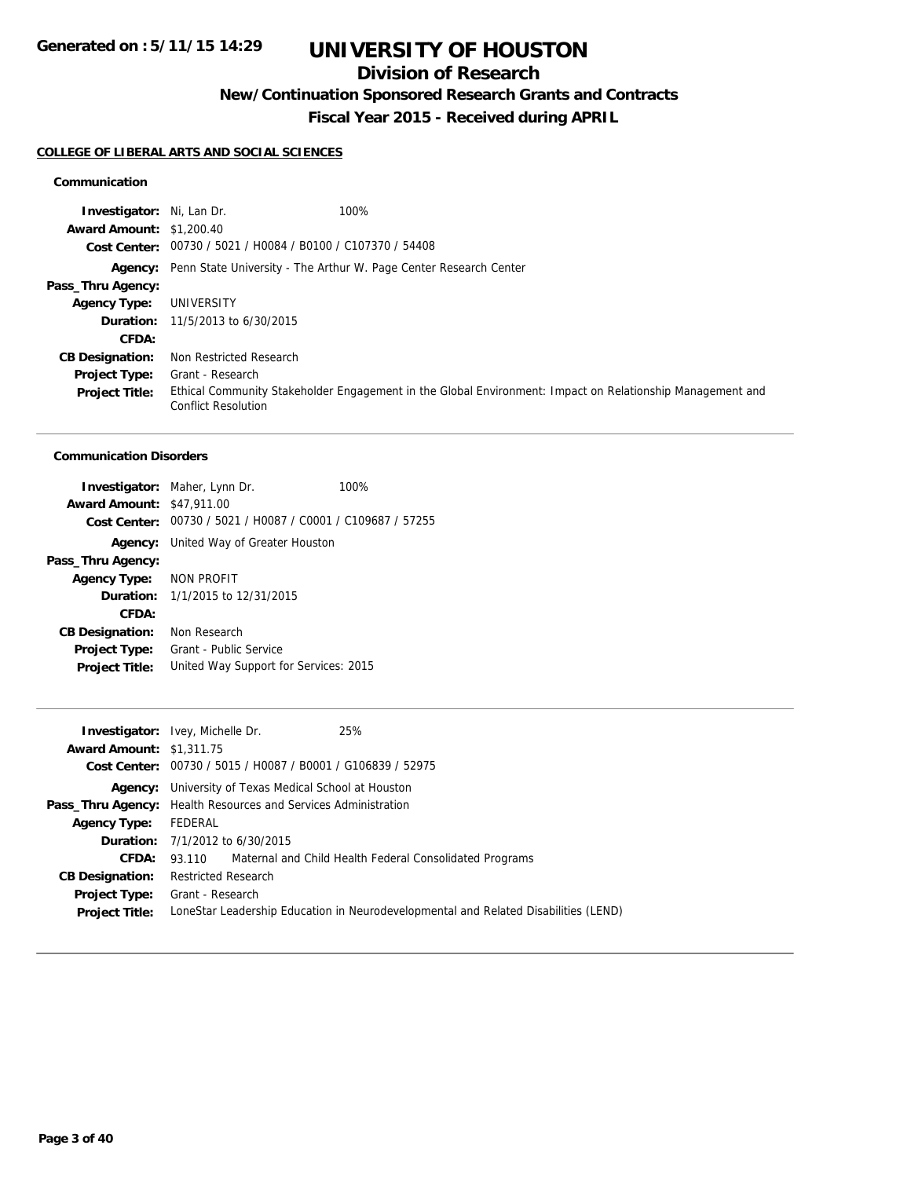# **Division of Research**

**New/Continuation Sponsored Research Grants and Contracts**

**Fiscal Year 2015 - Received during APRIL**

### **COLLEGE OF LIBERAL ARTS AND SOCIAL SCIENCES**

### **Communication**

| Investigator: Ni, Lan Dr.       | 100%                                                                                                                                    |
|---------------------------------|-----------------------------------------------------------------------------------------------------------------------------------------|
| <b>Award Amount: \$1,200.40</b> |                                                                                                                                         |
|                                 | Cost Center: 00730 / 5021 / H0084 / B0100 / C107370 / 54408                                                                             |
|                                 | <b>Agency:</b> Penn State University - The Arthur W. Page Center Research Center                                                        |
| Pass_Thru Agency:               |                                                                                                                                         |
| <b>Agency Type:</b>             | UNIVERSITY                                                                                                                              |
|                                 | <b>Duration:</b> $11/5/2013$ to $6/30/2015$                                                                                             |
| CFDA:                           |                                                                                                                                         |
| <b>CB Designation:</b>          | Non Restricted Research                                                                                                                 |
| <b>Project Type:</b>            | Grant - Research                                                                                                                        |
| <b>Project Title:</b>           | Ethical Community Stakeholder Engagement in the Global Environment: Impact on Relationship Management and<br><b>Conflict Resolution</b> |

#### **Communication Disorders**

|                                  | <b>Investigator:</b> Maher, Lynn Dr.                        | 100% |
|----------------------------------|-------------------------------------------------------------|------|
| <b>Award Amount: \$47,911.00</b> |                                                             |      |
|                                  | Cost Center: 00730 / 5021 / H0087 / C0001 / C109687 / 57255 |      |
| Agency:                          | United Way of Greater Houston                               |      |
| Pass_Thru Agency:                |                                                             |      |
| Agency Type: NON PROFIT          |                                                             |      |
|                                  | <b>Duration:</b> $1/1/2015$ to $12/31/2015$                 |      |
| CFDA:                            |                                                             |      |
| <b>CB Designation:</b>           | Non Research                                                |      |
| <b>Project Type:</b>             | Grant - Public Service                                      |      |
| <b>Project Title:</b>            | United Way Support for Services: 2015                       |      |
|                                  |                                                             |      |

|                                 | <b>Investigator:</b> Ivey, Michelle Dr.                               | 25%                                                                                 |
|---------------------------------|-----------------------------------------------------------------------|-------------------------------------------------------------------------------------|
| <b>Award Amount: \$1,311.75</b> |                                                                       |                                                                                     |
|                                 | Cost Center: 00730 / 5015 / H0087 / B0001 / G106839 / 52975           |                                                                                     |
|                                 | <b>Agency:</b> University of Texas Medical School at Houston          |                                                                                     |
|                                 | <b>Pass_Thru Agency:</b> Health Resources and Services Administration |                                                                                     |
| <b>Agency Type:</b>             | FEDERAL                                                               |                                                                                     |
|                                 | <b>Duration:</b> $7/1/2012$ to $6/30/2015$                            |                                                                                     |
|                                 |                                                                       | <b>CFDA:</b> 93.110 Maternal and Child Health Federal Consolidated Programs         |
| <b>CB Designation:</b>          | <b>Restricted Research</b>                                            |                                                                                     |
|                                 | <b>Project Type:</b> Grant - Research                                 |                                                                                     |
| <b>Project Title:</b>           |                                                                       | LoneStar Leadership Education in Neurodevelopmental and Related Disabilities (LEND) |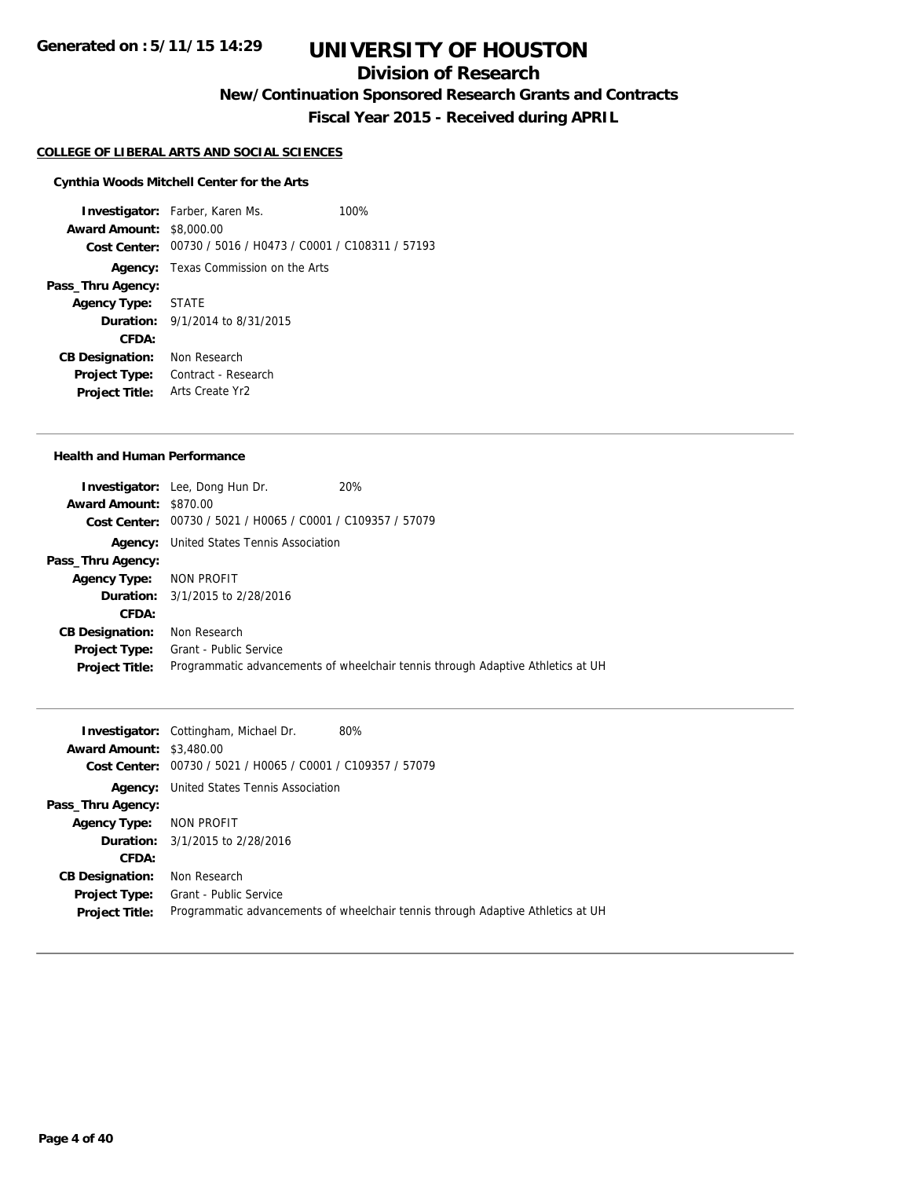# **Division of Research**

**New/Continuation Sponsored Research Grants and Contracts**

**Fiscal Year 2015 - Received during APRIL**

#### **COLLEGE OF LIBERAL ARTS AND SOCIAL SCIENCES**

### **Cynthia Woods Mitchell Center for the Arts**

**Investigator:** Farber, Karen Ms. 100% **Award Amount:** \$8,000.00 **Cost Center:** 00730 / 5016 / H0473 / C0001 / C108311 / 57193 **Agency:** Texas Commission on the Arts **Pass\_Thru Agency: Agency Type:** STATE **Duration:** 9/1/2014 to 8/31/2015 **CFDA: CB Designation:** Non Research **Project Type:** Contract - Research **Project Title:** Arts Create Yr2

#### **Health and Human Performance**

|                         | <b>Investigator:</b> Lee, Dong Hun Dr.                      | 20%                                                                             |
|-------------------------|-------------------------------------------------------------|---------------------------------------------------------------------------------|
| Award Amount: \$870.00  |                                                             |                                                                                 |
|                         | Cost Center: 00730 / 5021 / H0065 / C0001 / C109357 / 57079 |                                                                                 |
|                         | <b>Agency:</b> United States Tennis Association             |                                                                                 |
| Pass_Thru Agency:       |                                                             |                                                                                 |
| Agency Type: NON PROFIT |                                                             |                                                                                 |
|                         | <b>Duration:</b> 3/1/2015 to 2/28/2016                      |                                                                                 |
| CFDA:                   |                                                             |                                                                                 |
| <b>CB Designation:</b>  | Non Research                                                |                                                                                 |
| <b>Project Type:</b>    | Grant - Public Service                                      |                                                                                 |
| <b>Project Title:</b>   |                                                             | Programmatic advancements of wheelchair tennis through Adaptive Athletics at UH |
|                         |                                                             |                                                                                 |

|                                 | <b>Investigator:</b> Cottingham, Michael Dr.<br>80%                             |
|---------------------------------|---------------------------------------------------------------------------------|
| <b>Award Amount: \$3,480.00</b> |                                                                                 |
|                                 | Cost Center: 00730 / 5021 / H0065 / C0001 / C109357 / 57079                     |
|                                 | <b>Agency:</b> United States Tennis Association                                 |
| Pass_Thru Agency:               |                                                                                 |
| Agency Type: NON PROFIT         |                                                                                 |
|                                 | <b>Duration:</b> 3/1/2015 to 2/28/2016                                          |
| CFDA:                           |                                                                                 |
| <b>CB Designation:</b>          | Non Research                                                                    |
| <b>Project Type:</b>            | Grant - Public Service                                                          |
| <b>Project Title:</b>           | Programmatic advancements of wheelchair tennis through Adaptive Athletics at UH |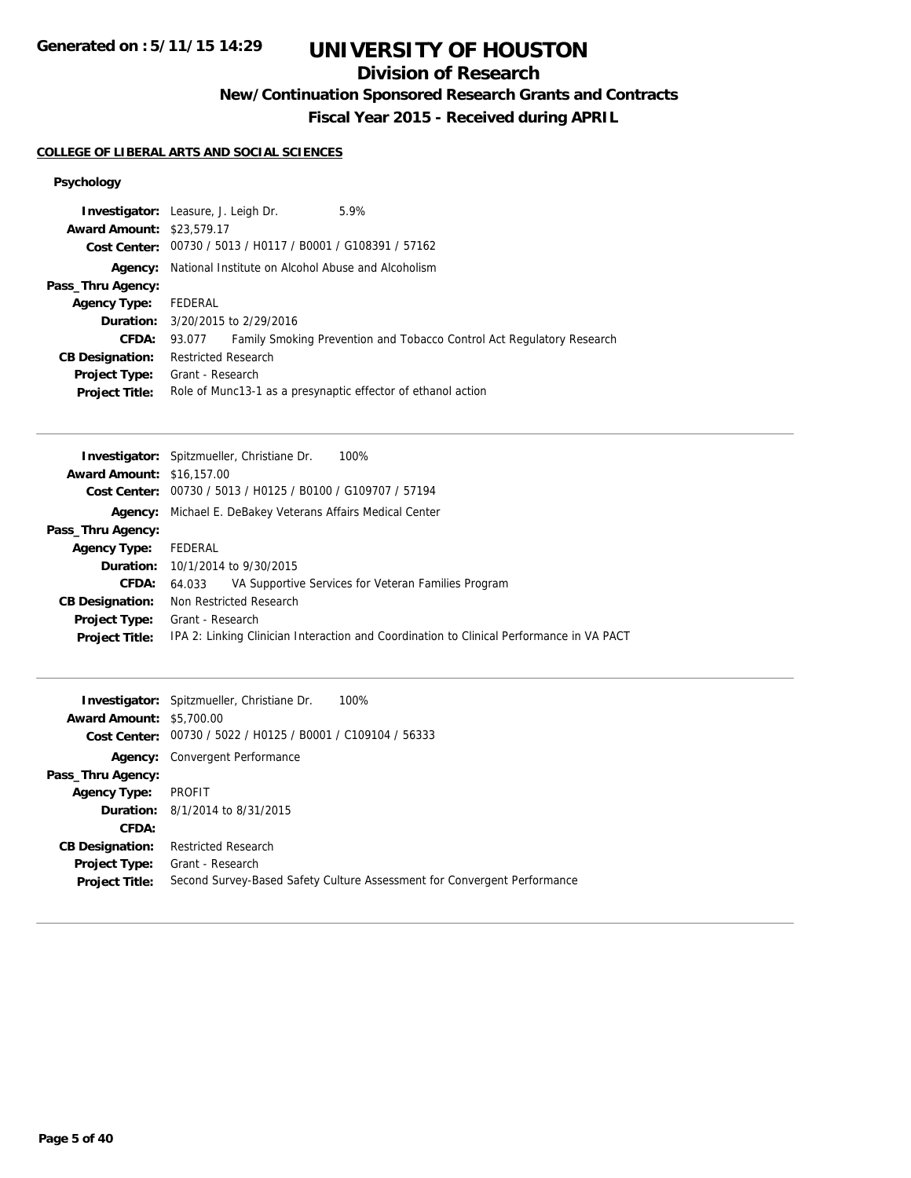**Generated on : 5/11/15 14:29**

# **UNIVERSITY OF HOUSTON**

# **Division of Research**

**New/Continuation Sponsored Research Grants and Contracts**

**Fiscal Year 2015 - Received during APRIL**

### **COLLEGE OF LIBERAL ARTS AND SOCIAL SCIENCES**

## **Psychology**

| <b>Award Amount: \$23,579.17</b> | <b>Investigator:</b> Leasure, J. Leigh Dr.                        | 5.9%                                                                  |
|----------------------------------|-------------------------------------------------------------------|-----------------------------------------------------------------------|
|                                  | Cost Center: 00730 / 5013 / H0117 / B0001 / G108391 / 57162       |                                                                       |
|                                  | <b>Agency:</b> National Institute on Alcohol Abuse and Alcoholism |                                                                       |
| Pass_Thru Agency:                |                                                                   |                                                                       |
| <b>Agency Type:</b>              | FEDERAL                                                           |                                                                       |
|                                  | <b>Duration:</b> 3/20/2015 to 2/29/2016                           |                                                                       |
| <b>CFDA:</b>                     | 93.077                                                            | Family Smoking Prevention and Tobacco Control Act Regulatory Research |
| <b>CB Designation:</b>           | <b>Restricted Research</b>                                        |                                                                       |
| <b>Project Type:</b>             | Grant - Research                                                  |                                                                       |
| <b>Project Title:</b>            |                                                                   | Role of Munc13-1 as a presynaptic effector of ethanol action          |

|                                  | 100%<br><b>Investigator:</b> Spitzmueller, Christiane Dr.                                |
|----------------------------------|------------------------------------------------------------------------------------------|
| <b>Award Amount: \$16,157,00</b> |                                                                                          |
|                                  | Cost Center: 00730 / 5013 / H0125 / B0100 / G109707 / 57194                              |
| Agency:                          | Michael E. DeBakey Veterans Affairs Medical Center                                       |
| Pass_Thru Agency:                |                                                                                          |
| <b>Agency Type:</b>              | FEDERAL                                                                                  |
|                                  | <b>Duration:</b> 10/1/2014 to 9/30/2015                                                  |
| <b>CFDA:</b>                     | VA Supportive Services for Veteran Families Program<br>64.033                            |
| <b>CB Designation:</b>           | Non Restricted Research                                                                  |
| Project Type:                    | Grant - Research                                                                         |
| <b>Project Title:</b>            | IPA 2: Linking Clinician Interaction and Coordination to Clinical Performance in VA PACT |

|                                 | 100%<br><b>Investigator:</b> Spitzmueller, Christiane Dr.                |
|---------------------------------|--------------------------------------------------------------------------|
| <b>Award Amount: \$5,700.00</b> |                                                                          |
|                                 | Cost Center: 00730 / 5022 / H0125 / B0001 / C109104 / 56333              |
| Agency:                         | Convergent Performance                                                   |
| Pass_Thru Agency:               |                                                                          |
| <b>Agency Type:</b>             | PROFIT                                                                   |
|                                 | <b>Duration:</b> 8/1/2014 to 8/31/2015                                   |
| CFDA:                           |                                                                          |
| <b>CB Designation:</b>          | <b>Restricted Research</b>                                               |
| <b>Project Type:</b>            | Grant - Research                                                         |
| <b>Project Title:</b>           | Second Survey-Based Safety Culture Assessment for Convergent Performance |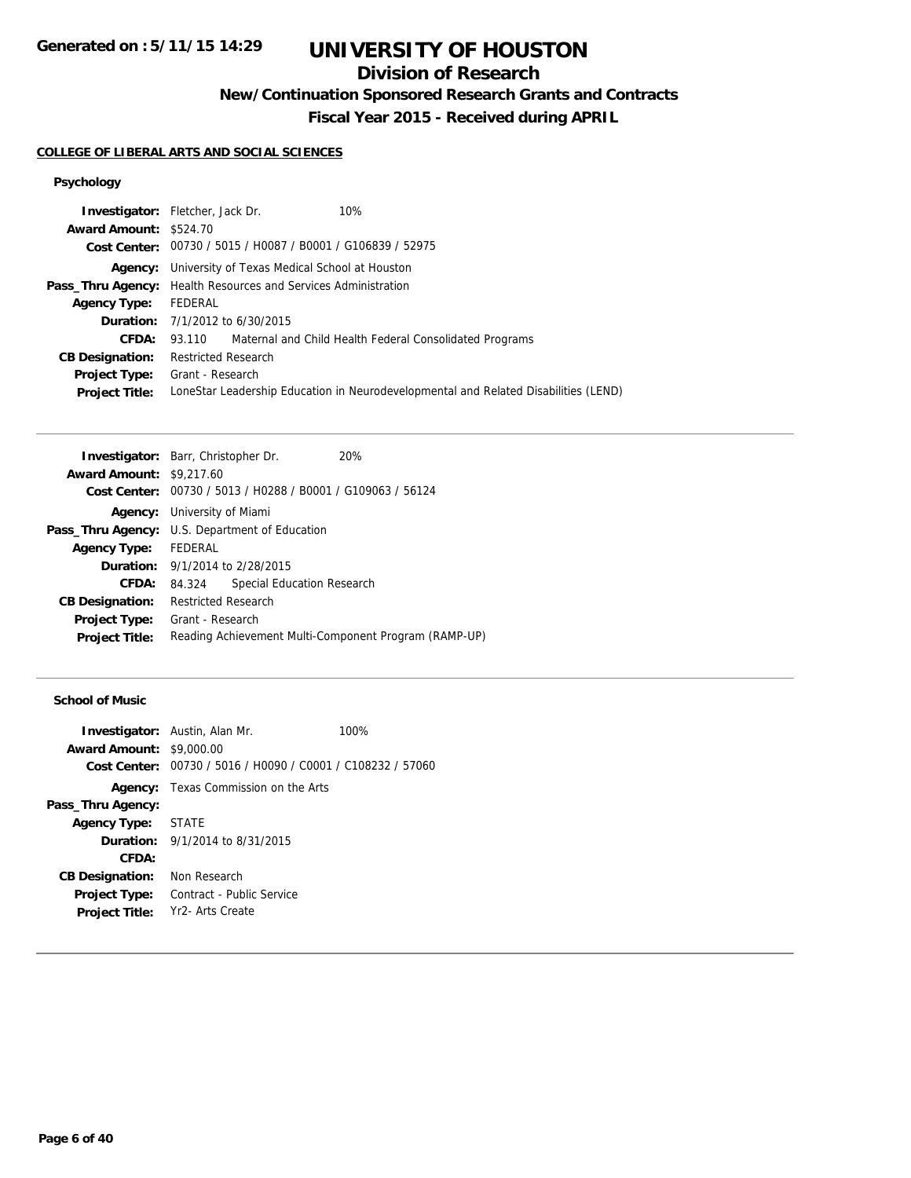# **Division of Research**

**New/Continuation Sponsored Research Grants and Contracts**

**Fiscal Year 2015 - Received during APRIL**

### **COLLEGE OF LIBERAL ARTS AND SOCIAL SCIENCES**

## **Psychology**

|                        | <b>Investigator:</b> Fletcher, Jack Dr.<br>10%                                      |
|------------------------|-------------------------------------------------------------------------------------|
| Award Amount: \$524.70 |                                                                                     |
|                        | Cost Center: 00730 / 5015 / H0087 / B0001 / G106839 / 52975                         |
|                        | <b>Agency:</b> University of Texas Medical School at Houston                        |
|                        | <b>Pass_Thru Agency:</b> Health Resources and Services Administration               |
| <b>Agency Type:</b>    | FEDERAL                                                                             |
|                        | <b>Duration:</b> 7/1/2012 to 6/30/2015                                              |
| <b>CFDA:</b>           | 93.110 Maternal and Child Health Federal Consolidated Programs                      |
| <b>CB Designation:</b> | <b>Restricted Research</b>                                                          |
|                        | <b>Project Type:</b> Grant - Research                                               |
| <b>Project Title:</b>  | LoneStar Leadership Education in Neurodevelopmental and Related Disabilities (LEND) |

| <b>Investigator:</b> Barr, Christopher Dr.            |                                        |                                                             | 20%                                                   |
|-------------------------------------------------------|----------------------------------------|-------------------------------------------------------------|-------------------------------------------------------|
| <b>Award Amount: \$9,217.60</b>                       |                                        |                                                             |                                                       |
|                                                       |                                        | Cost Center: 00730 / 5013 / H0288 / B0001 / G109063 / 56124 |                                                       |
|                                                       | <b>Agency:</b> University of Miami     |                                                             |                                                       |
| <b>Pass_Thru Agency:</b> U.S. Department of Education |                                        |                                                             |                                                       |
| Agency Type: FEDERAL                                  |                                        |                                                             |                                                       |
|                                                       | <b>Duration:</b> 9/1/2014 to 2/28/2015 |                                                             |                                                       |
| CFDA:                                                 | 84.324                                 | Special Education Research                                  |                                                       |
| <b>CB Designation:</b>                                | <b>Restricted Research</b>             |                                                             |                                                       |
| <b>Project Type:</b>                                  | Grant - Research                       |                                                             |                                                       |
| <b>Project Title:</b>                                 |                                        |                                                             | Reading Achievement Multi-Component Program (RAMP-UP) |

### **School of Music**

| <b>Award Amount: \$9,000.00</b> | <b>Investigator:</b> Austin, Alan Mr.                       | 100% |
|---------------------------------|-------------------------------------------------------------|------|
|                                 | Cost Center: 00730 / 5016 / H0090 / C0001 / C108232 / 57060 |      |
|                                 | <b>Agency:</b> Texas Commission on the Arts                 |      |
| Pass_Thru Agency:               |                                                             |      |
| Agency Type: STATE              |                                                             |      |
|                                 | <b>Duration:</b> 9/1/2014 to 8/31/2015                      |      |
| CFDA:                           |                                                             |      |
| <b>CB Designation:</b>          | Non Research                                                |      |
| <b>Project Type:</b>            | Contract - Public Service                                   |      |
| <b>Project Title:</b>           | - Yr2- Arts Create                                          |      |
|                                 |                                                             |      |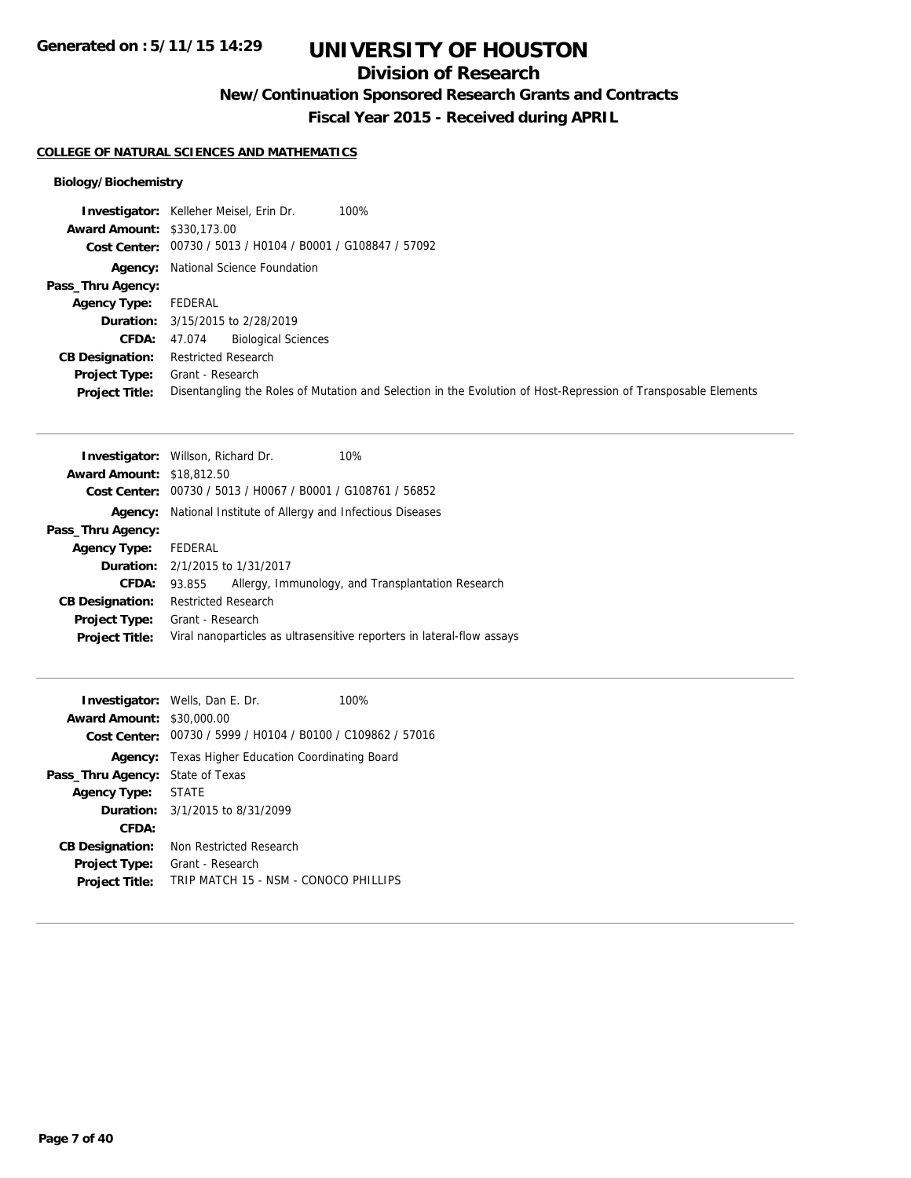# **Division of Research**

**New/Continuation Sponsored Research Grants and Contracts**

**Fiscal Year 2015 - Received during APRIL**

### **COLLEGE OF NATURAL SCIENCES AND MATHEMATICS**

|                                   | 100%<br><b>Investigator:</b> Kelleher Meisel, Erin Dr.                                                         |
|-----------------------------------|----------------------------------------------------------------------------------------------------------------|
| <b>Award Amount: \$330,173,00</b> |                                                                                                                |
|                                   | Cost Center: 00730 / 5013 / H0104 / B0001 / G108847 / 57092                                                    |
|                                   | <b>Agency:</b> National Science Foundation                                                                     |
| Pass_Thru Agency:                 |                                                                                                                |
| <b>Agency Type:</b>               | FEDERAL                                                                                                        |
|                                   | <b>Duration:</b> 3/15/2015 to 2/28/2019                                                                        |
| <b>CFDA:</b>                      | <b>Biological Sciences</b><br>47.074                                                                           |
| <b>CB Designation:</b>            | Restricted Research                                                                                            |
| <b>Project Type:</b>              | Grant - Research                                                                                               |
| <b>Project Title:</b>             | Disentangling the Roles of Mutation and Selection in the Evolution of Host-Repression of Transposable Elements |

| <b>Award Amount: \$18,812.50</b><br>00730 / 5013 / H0067 / B0001 / G108761 / 56852<br>Cost Center:<br>National Institute of Allergy and Infectious Diseases<br>Agency:<br>Pass_Thru Agency:<br>FEDERAL<br><b>Agency Type:</b><br><b>Duration:</b> $2/1/2015$ to $1/31/2017$<br>Allergy, Immunology, and Transplantation Research<br>CFDA:<br>93.855<br><b>Restricted Research</b><br><b>CB Designation:</b><br>Grant - Research<br><b>Project Type:</b><br>Viral nanoparticles as ultrasensitive reporters in lateral-flow assays<br><b>Project Title:</b> | <b>Investigator:</b> Willson, Richard Dr. | 10% |
|------------------------------------------------------------------------------------------------------------------------------------------------------------------------------------------------------------------------------------------------------------------------------------------------------------------------------------------------------------------------------------------------------------------------------------------------------------------------------------------------------------------------------------------------------------|-------------------------------------------|-----|
|                                                                                                                                                                                                                                                                                                                                                                                                                                                                                                                                                            |                                           |     |
|                                                                                                                                                                                                                                                                                                                                                                                                                                                                                                                                                            |                                           |     |
|                                                                                                                                                                                                                                                                                                                                                                                                                                                                                                                                                            |                                           |     |
|                                                                                                                                                                                                                                                                                                                                                                                                                                                                                                                                                            |                                           |     |
|                                                                                                                                                                                                                                                                                                                                                                                                                                                                                                                                                            |                                           |     |
|                                                                                                                                                                                                                                                                                                                                                                                                                                                                                                                                                            |                                           |     |
|                                                                                                                                                                                                                                                                                                                                                                                                                                                                                                                                                            |                                           |     |
|                                                                                                                                                                                                                                                                                                                                                                                                                                                                                                                                                            |                                           |     |
|                                                                                                                                                                                                                                                                                                                                                                                                                                                                                                                                                            |                                           |     |
|                                                                                                                                                                                                                                                                                                                                                                                                                                                                                                                                                            |                                           |     |

|                                  | <b>Investigator:</b> Wells, Dan E. Dr.                      | 100% |
|----------------------------------|-------------------------------------------------------------|------|
| <b>Award Amount: \$30,000.00</b> |                                                             |      |
|                                  | Cost Center: 00730 / 5999 / H0104 / B0100 / C109862 / 57016 |      |
|                                  | <b>Agency:</b> Texas Higher Education Coordinating Board    |      |
| Pass_Thru Agency:                | State of Texas                                              |      |
| Agency Type:                     | <b>STATE</b>                                                |      |
|                                  | <b>Duration:</b> 3/1/2015 to 8/31/2099                      |      |
| CFDA:                            |                                                             |      |
| <b>CB Designation:</b>           | Non Restricted Research                                     |      |
| <b>Project Type:</b>             | Grant - Research                                            |      |
| <b>Project Title:</b>            | TRIP MATCH 15 - NSM - CONOCO PHILLIPS                       |      |
|                                  |                                                             |      |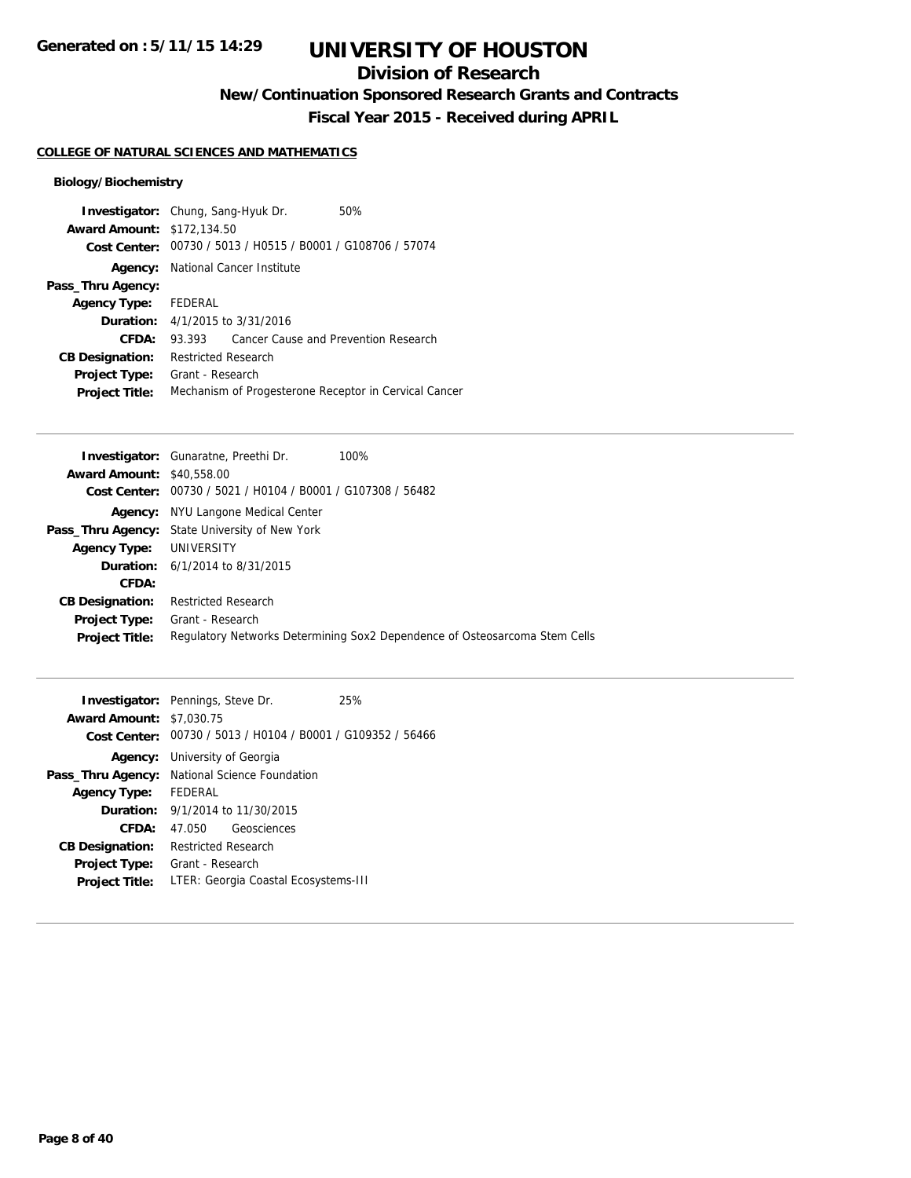# **Division of Research**

**New/Continuation Sponsored Research Grants and Contracts**

**Fiscal Year 2015 - Received during APRIL**

## **COLLEGE OF NATURAL SCIENCES AND MATHEMATICS**

| <b>Investigator:</b> Chung, Sang-Hyuk Dr. |                                        |                                                             | 50%                                                   |
|-------------------------------------------|----------------------------------------|-------------------------------------------------------------|-------------------------------------------------------|
| <b>Award Amount: \$172,134.50</b>         |                                        |                                                             |                                                       |
|                                           |                                        | Cost Center: 00730 / 5013 / H0515 / B0001 / G108706 / 57074 |                                                       |
|                                           |                                        | <b>Agency:</b> National Cancer Institute                    |                                                       |
| Pass_Thru Agency:                         |                                        |                                                             |                                                       |
| <b>Agency Type:</b>                       | FEDERAL                                |                                                             |                                                       |
|                                           | <b>Duration:</b> 4/1/2015 to 3/31/2016 |                                                             |                                                       |
| CFDA:                                     | 93.393                                 | Cancer Cause and Prevention Research                        |                                                       |
| <b>CB Designation:</b>                    | <b>Restricted Research</b>             |                                                             |                                                       |
| <b>Project Type:</b>                      | Grant - Research                       |                                                             |                                                       |
| <b>Project Title:</b>                     |                                        |                                                             | Mechanism of Progesterone Receptor in Cervical Cancer |

|                                  | <b>Investigator:</b> Gunaratne, Preethi Dr.           | 100%                                                                       |
|----------------------------------|-------------------------------------------------------|----------------------------------------------------------------------------|
| <b>Award Amount: \$40,558,00</b> |                                                       |                                                                            |
| <b>Cost Center:</b>              | 00730 / 5021 / H0104 / B0001 / G107308 / 56482        |                                                                            |
| Agency:                          | NYU Langone Medical Center                            |                                                                            |
|                                  | <b>Pass_Thru Agency:</b> State University of New York |                                                                            |
| <b>Agency Type: UNIVERSITY</b>   |                                                       |                                                                            |
|                                  | <b>Duration:</b> $6/1/2014$ to $8/31/2015$            |                                                                            |
| CFDA:                            |                                                       |                                                                            |
| <b>CB Designation:</b>           | <b>Restricted Research</b>                            |                                                                            |
| <b>Project Type:</b>             | Grant - Research                                      |                                                                            |
| <b>Project Title:</b>            |                                                       | Regulatory Networks Determining Sox2 Dependence of Osteosarcoma Stem Cells |
|                                  |                                                       |                                                                            |

| <b>Award Amount: \$7,030.75</b> | <b>Investigator:</b> Pennings, Steve Dr.                    | 25% |
|---------------------------------|-------------------------------------------------------------|-----|
|                                 | Cost Center: 00730 / 5013 / H0104 / B0001 / G109352 / 56466 |     |
|                                 | <b>Agency:</b> University of Georgia                        |     |
|                                 | <b>Pass_Thru Agency:</b> National Science Foundation        |     |
| <b>Agency Type:</b>             | FEDERAL                                                     |     |
|                                 | <b>Duration:</b> $9/1/2014$ to $11/30/2015$                 |     |
| CFDA:                           | Geosciences<br>47.050                                       |     |
| <b>CB Designation:</b>          | <b>Restricted Research</b>                                  |     |
| <b>Project Type:</b>            | Grant - Research                                            |     |
| <b>Project Title:</b>           | LTER: Georgia Coastal Ecosystems-III                        |     |
|                                 |                                                             |     |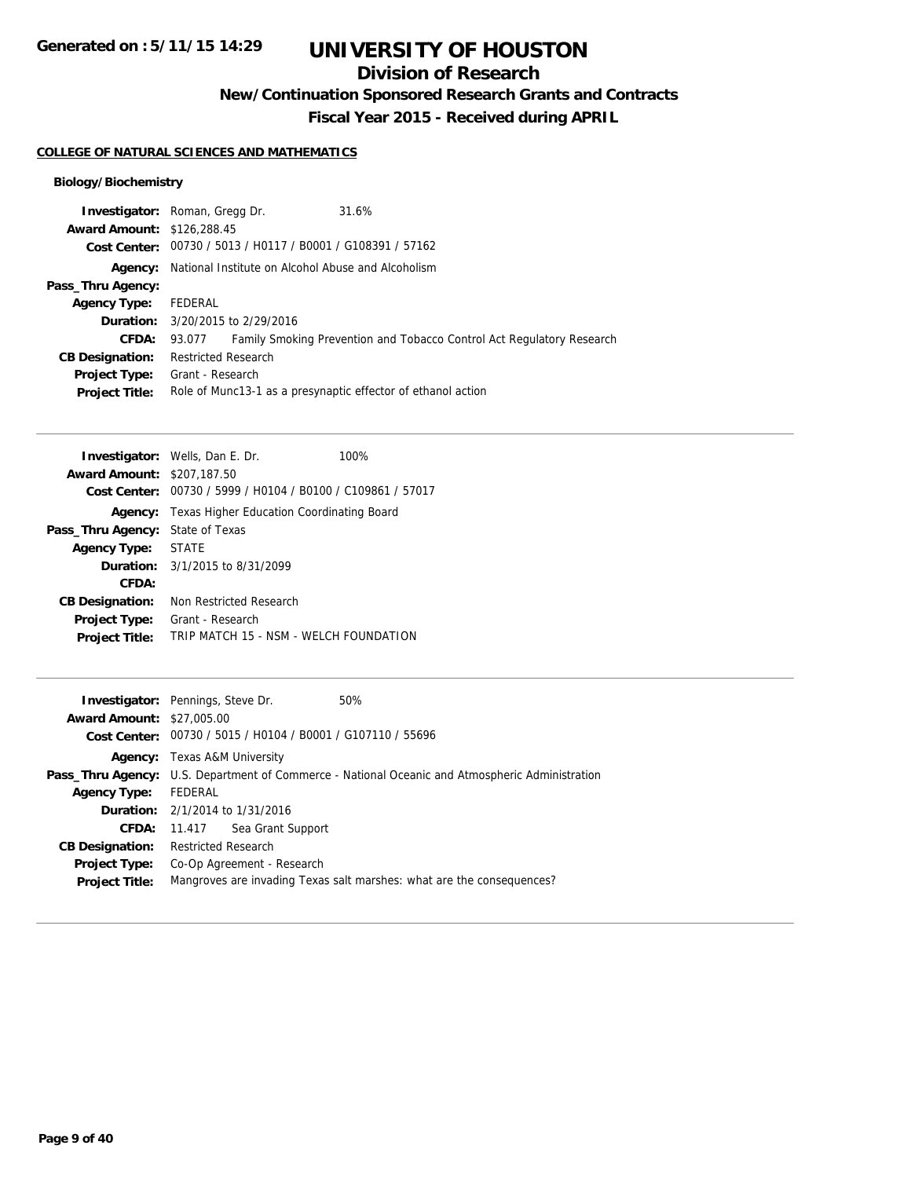**Generated on : 5/11/15 14:29**

# **UNIVERSITY OF HOUSTON**

# **Division of Research**

**New/Continuation Sponsored Research Grants and Contracts**

**Fiscal Year 2015 - Received during APRIL**

### **COLLEGE OF NATURAL SCIENCES AND MATHEMATICS**

|                                   | <b>Investigator:</b> Roman, Gregg Dr.                        | 31.6%                                                                 |
|-----------------------------------|--------------------------------------------------------------|-----------------------------------------------------------------------|
| <b>Award Amount: \$126,288.45</b> |                                                              |                                                                       |
|                                   | Cost Center: 00730 / 5013 / H0117 / B0001 / G108391 / 57162  |                                                                       |
| <b>Agency:</b>                    | National Institute on Alcohol Abuse and Alcoholism           |                                                                       |
| Pass_Thru Agency:                 |                                                              |                                                                       |
| <b>Agency Type:</b>               | FEDERAL                                                      |                                                                       |
|                                   | <b>Duration:</b> 3/20/2015 to 2/29/2016                      |                                                                       |
| <b>CFDA:</b>                      | 93.077                                                       | Family Smoking Prevention and Tobacco Control Act Regulatory Research |
| <b>CB Designation:</b>            | <b>Restricted Research</b>                                   |                                                                       |
| <b>Project Type:</b>              | Grant - Research                                             |                                                                       |
| <b>Project Title:</b>             | Role of Munc13-1 as a presynaptic effector of ethanol action |                                                                       |

|                                         | <b>Investigator:</b> Wells, Dan E. Dr.         | 100% |
|-----------------------------------------|------------------------------------------------|------|
| <b>Award Amount: \$207,187.50</b>       |                                                |      |
| Cost Center:                            | 00730 / 5999 / H0104 / B0100 / C109861 / 57017 |      |
| Agency:                                 | Texas Higher Education Coordinating Board      |      |
| <b>Pass_Thru Agency: State of Texas</b> |                                                |      |
| <b>Agency Type:</b>                     | <b>STATE</b>                                   |      |
|                                         | <b>Duration:</b> 3/1/2015 to 8/31/2099         |      |
| CFDA:                                   |                                                |      |
| <b>CB Designation:</b>                  | Non Restricted Research                        |      |
| <b>Project Type:</b>                    | Grant - Research                               |      |
| <b>Project Title:</b>                   | TRIP MATCH 15 - NSM - WELCH FOUNDATION         |      |
|                                         |                                                |      |

|                                  | <b>Investigator:</b> Pennings, Steve Dr.<br>50%                                                        |  |
|----------------------------------|--------------------------------------------------------------------------------------------------------|--|
| <b>Award Amount: \$27,005.00</b> |                                                                                                        |  |
|                                  | Cost Center: 00730 / 5015 / H0104 / B0001 / G107110 / 55696                                            |  |
|                                  | <b>Agency:</b> Texas A&M University                                                                    |  |
|                                  | <b>Pass_Thru Agency:</b> U.S. Department of Commerce - National Oceanic and Atmospheric Administration |  |
| <b>Agency Type:</b>              | FEDERAL                                                                                                |  |
|                                  | <b>Duration:</b> 2/1/2014 to 1/31/2016                                                                 |  |
| <b>CFDA:</b>                     | Sea Grant Support<br>11.417                                                                            |  |
| <b>CB Designation:</b>           | Restricted Research                                                                                    |  |
| <b>Project Type:</b>             | Co-Op Agreement - Research                                                                             |  |
| <b>Project Title:</b>            | Mangroves are invading Texas salt marshes: what are the consequences?                                  |  |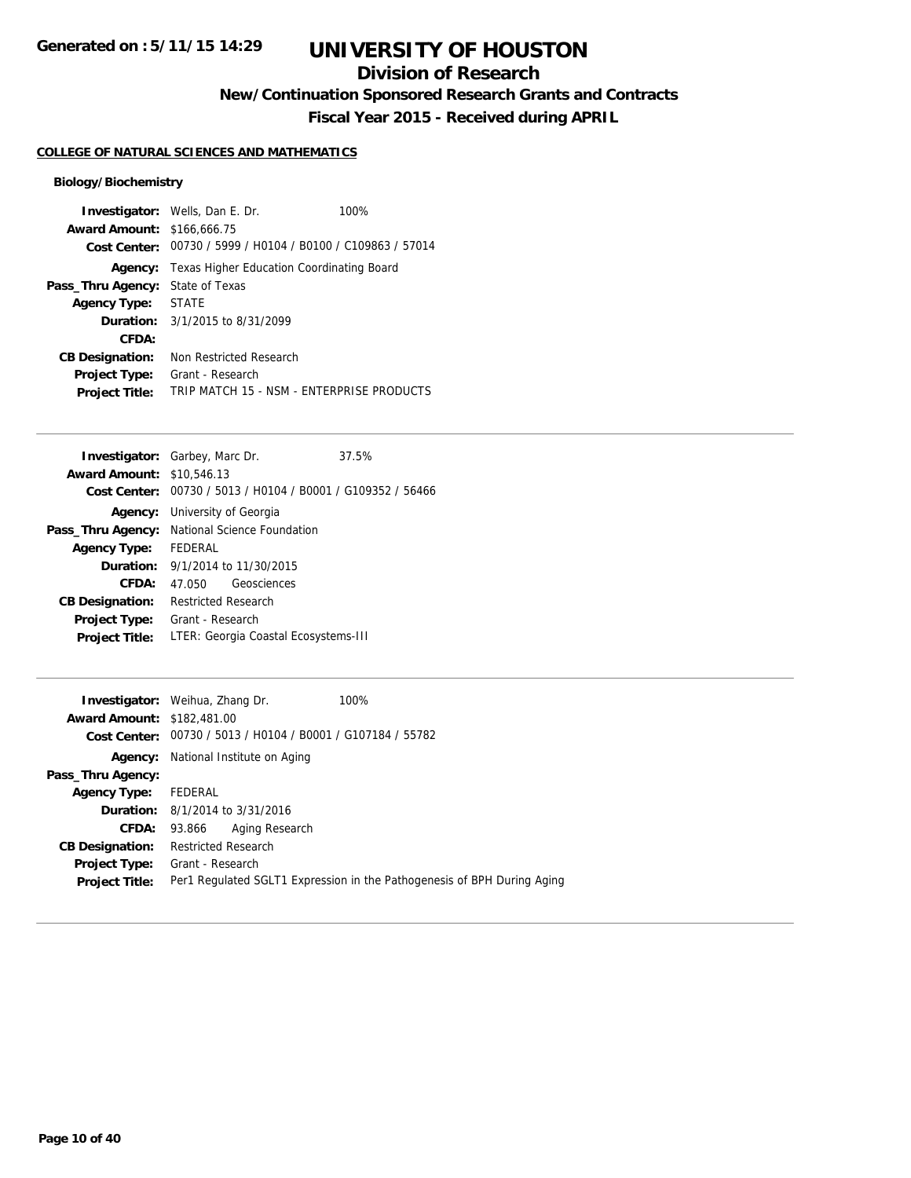# **Division of Research**

**New/Continuation Sponsored Research Grants and Contracts**

**Fiscal Year 2015 - Received during APRIL**

## **COLLEGE OF NATURAL SCIENCES AND MATHEMATICS**

|                                   | <b>Investigator:</b> Wells, Dan E. Dr.         | 100% |
|-----------------------------------|------------------------------------------------|------|
| <b>Award Amount: \$166,666.75</b> |                                                |      |
| Cost Center:                      | 00730 / 5999 / H0104 / B0100 / C109863 / 57014 |      |
| Agency:                           | Texas Higher Education Coordinating Board      |      |
| Pass_Thru Agency:                 | State of Texas                                 |      |
| <b>Agency Type:</b>               | <b>STATE</b>                                   |      |
|                                   | <b>Duration:</b> 3/1/2015 to 8/31/2099         |      |
| CFDA:                             |                                                |      |
| <b>CB Designation:</b>            | Non Restricted Research                        |      |
| <b>Project Type:</b>              | Grant - Research                               |      |
| <b>Project Title:</b>             | TRIP MATCH 15 - NSM - ENTERPRISE PRODUCTS      |      |

|                                  | <b>Investigator:</b> Garbey, Marc Dr.                       | 37.5% |
|----------------------------------|-------------------------------------------------------------|-------|
| <b>Award Amount: \$10.546.13</b> |                                                             |       |
|                                  | Cost Center: 00730 / 5013 / H0104 / B0001 / G109352 / 56466 |       |
|                                  | <b>Agency:</b> University of Georgia                        |       |
|                                  | <b>Pass_Thru Agency:</b> National Science Foundation        |       |
| <b>Agency Type:</b>              | FEDERAL                                                     |       |
| <b>Duration:</b>                 | 9/1/2014 to 11/30/2015                                      |       |
| CFDA:                            | Geosciences<br>47.050                                       |       |
| <b>CB Designation:</b>           | <b>Restricted Research</b>                                  |       |
| <b>Project Type:</b>             | Grant - Research                                            |       |
| <b>Project Title:</b>            | LTER: Georgia Coastal Ecosystems-III                        |       |

|                                   | <b>Investigator:</b> Weihua, Zhang Dr. |                | 100%                                                                    |
|-----------------------------------|----------------------------------------|----------------|-------------------------------------------------------------------------|
|                                   |                                        |                |                                                                         |
| <b>Award Amount: \$182,481.00</b> |                                        |                |                                                                         |
|                                   |                                        |                | Cost Center: 00730 / 5013 / H0104 / B0001 / G107184 / 55782             |
| Agency:                           | National Institute on Aging            |                |                                                                         |
| Pass_Thru Agency:                 |                                        |                |                                                                         |
| Agency Type: FEDERAL              |                                        |                |                                                                         |
|                                   | <b>Duration:</b> 8/1/2014 to 3/31/2016 |                |                                                                         |
|                                   | <b>CFDA: 93.866</b>                    | Aging Research |                                                                         |
| <b>CB Designation:</b>            | <b>Restricted Research</b>             |                |                                                                         |
| <b>Project Type:</b>              | Grant - Research                       |                |                                                                         |
| <b>Project Title:</b>             |                                        |                | Per1 Regulated SGLT1 Expression in the Pathogenesis of BPH During Aging |
|                                   |                                        |                |                                                                         |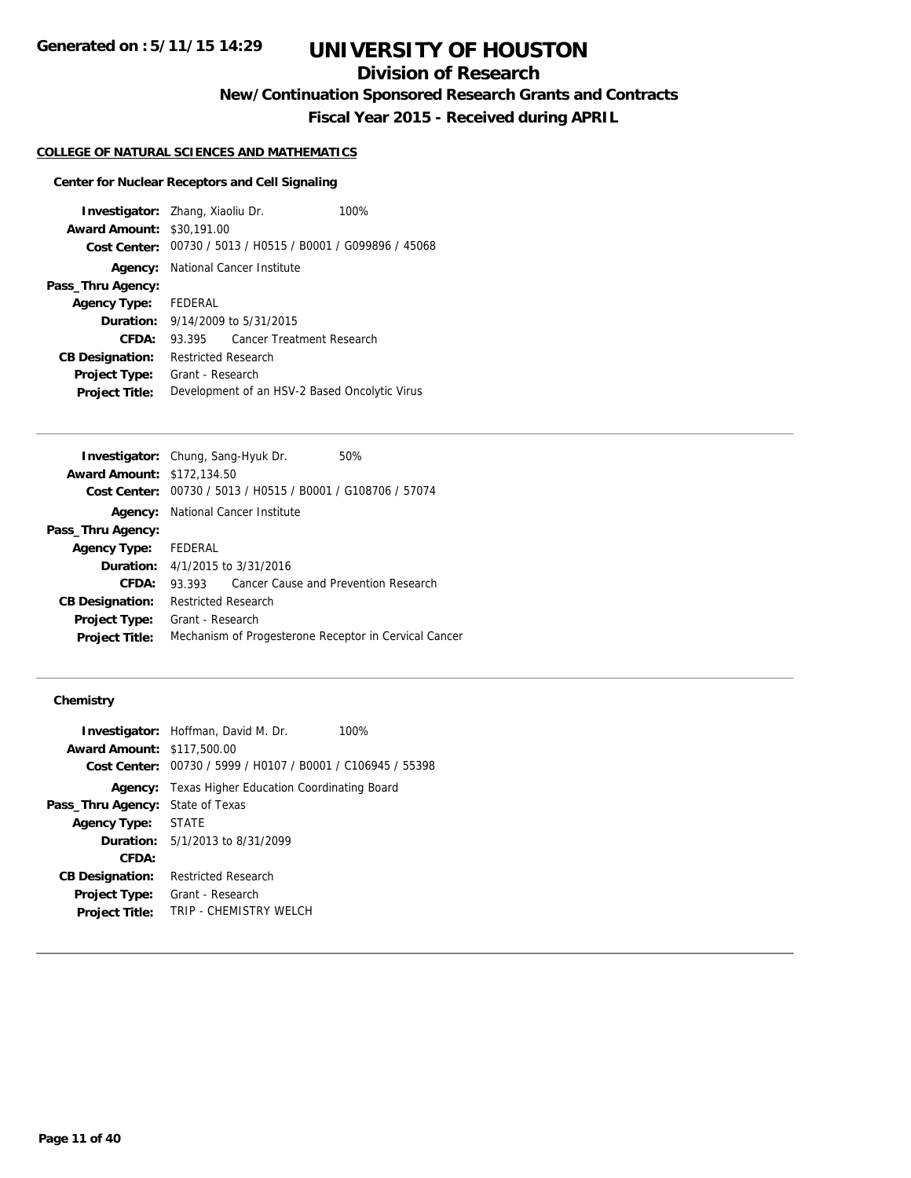# **Division of Research**

**New/Continuation Sponsored Research Grants and Contracts**

**Fiscal Year 2015 - Received during APRIL**

### **COLLEGE OF NATURAL SCIENCES AND MATHEMATICS**

## **Center for Nuclear Receptors and Cell Signaling**

| <b>Investigator:</b> Zhang, Xiaoliu Dr. |                                               |                                                             | 100% |
|-----------------------------------------|-----------------------------------------------|-------------------------------------------------------------|------|
| <b>Award Amount: \$30,191.00</b>        |                                               |                                                             |      |
|                                         |                                               | Cost Center: 00730 / 5013 / H0515 / B0001 / G099896 / 45068 |      |
|                                         |                                               | <b>Agency:</b> National Cancer Institute                    |      |
| Pass_Thru Agency:                       |                                               |                                                             |      |
| Agency Type: FEDERAL                    |                                               |                                                             |      |
|                                         |                                               | <b>Duration:</b> 9/14/2009 to 5/31/2015                     |      |
| CFDA:                                   |                                               | 93.395 Cancer Treatment Research                            |      |
| <b>CB Designation:</b>                  | <b>Restricted Research</b>                    |                                                             |      |
| <b>Project Type:</b>                    | Grant - Research                              |                                                             |      |
| <b>Project Title:</b>                   | Development of an HSV-2 Based Oncolytic Virus |                                                             |      |

|                                   | Investigator: Chung, Sang-Hyuk Dr.<br>50%                   |
|-----------------------------------|-------------------------------------------------------------|
| <b>Award Amount: \$172,134.50</b> |                                                             |
|                                   | Cost Center: 00730 / 5013 / H0515 / B0001 / G108706 / 57074 |
| Agency:                           | National Cancer Institute                                   |
| Pass_Thru Agency:                 |                                                             |
| Agency Type: FEDERAL              |                                                             |
|                                   | <b>Duration:</b> 4/1/2015 to 3/31/2016                      |
| CFDA:                             | Cancer Cause and Prevention Research<br>93.393              |
| <b>CB Designation:</b>            | <b>Restricted Research</b>                                  |
| <b>Project Type:</b>              | Grant - Research                                            |
| <b>Project Title:</b>             | Mechanism of Progesterone Receptor in Cervical Cancer       |

## **Chemistry**

| <b>Award Amount: \$117,500.00</b> | <b>Investigator:</b> Hoffman, David M. Dr.<br>100%<br>Cost Center: 00730 / 5999 / H0107 / B0001 / C106945 / 55398 |
|-----------------------------------|-------------------------------------------------------------------------------------------------------------------|
| Agency:                           | Texas Higher Education Coordinating Board                                                                         |
| Pass_Thru Agency:                 | State of Texas                                                                                                    |
| <b>Agency Type:</b>               | <b>STATE</b>                                                                                                      |
|                                   | <b>Duration:</b> 5/1/2013 to 8/31/2099                                                                            |
| CFDA:                             |                                                                                                                   |
| <b>CB Designation:</b>            | Restricted Research                                                                                               |
| <b>Project Type:</b>              | Grant - Research                                                                                                  |
| <b>Project Title:</b>             | TRIP - CHEMISTRY WELCH                                                                                            |
|                                   |                                                                                                                   |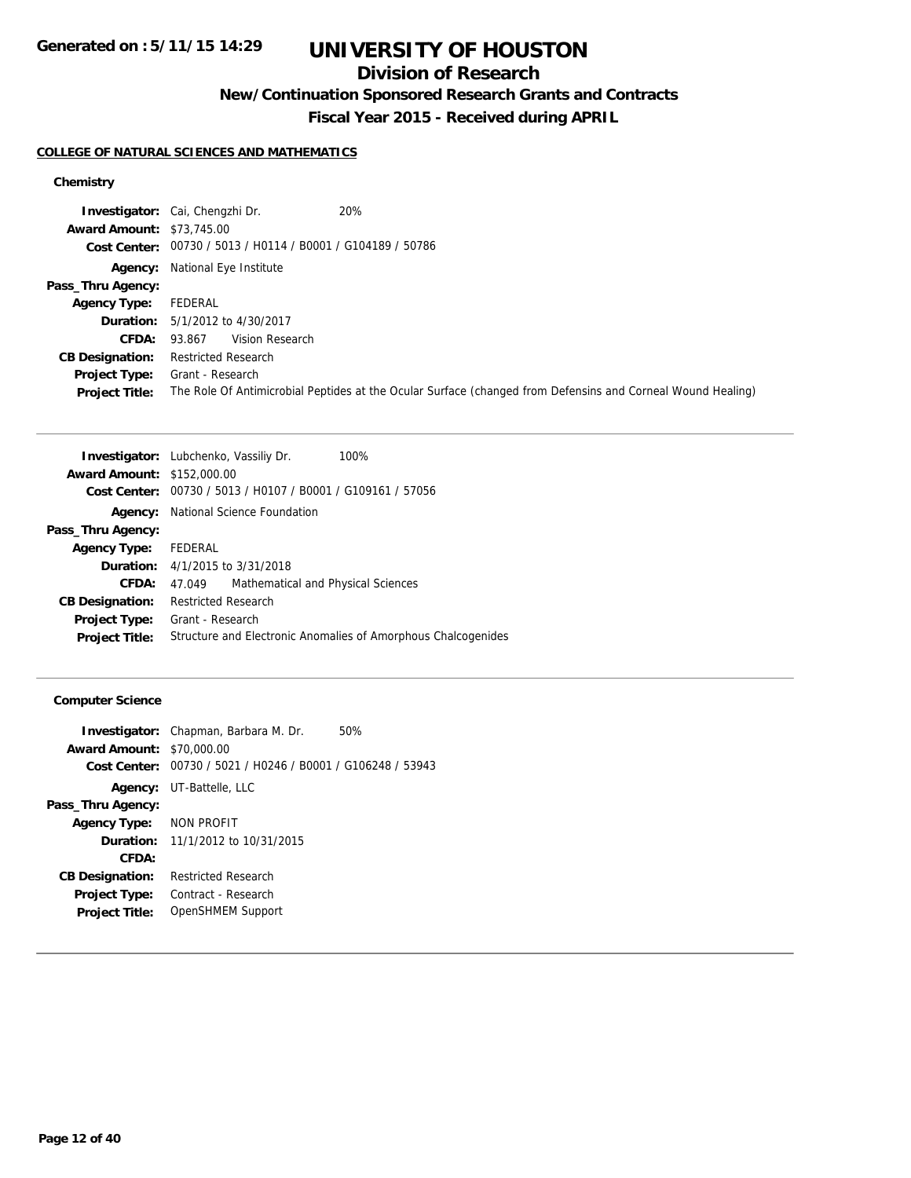# **Division of Research**

**New/Continuation Sponsored Research Grants and Contracts**

**Fiscal Year 2015 - Received during APRIL**

## **COLLEGE OF NATURAL SCIENCES AND MATHEMATICS**

## **Chemistry**

|                                  | 20%<br><b>Investigator:</b> Cai, Chengzhi Dr.                                                               |
|----------------------------------|-------------------------------------------------------------------------------------------------------------|
| <b>Award Amount: \$73,745.00</b> |                                                                                                             |
|                                  | Cost Center: 00730 / 5013 / H0114 / B0001 / G104189 / 50786                                                 |
|                                  | <b>Agency:</b> National Eye Institute                                                                       |
| Pass_Thru Agency:                |                                                                                                             |
| <b>Agency Type:</b>              | FEDERAL                                                                                                     |
|                                  | <b>Duration:</b> 5/1/2012 to 4/30/2017                                                                      |
| <b>CFDA:</b>                     | Vision Research<br>93.867                                                                                   |
| <b>CB Designation:</b>           | <b>Restricted Research</b>                                                                                  |
| <b>Project Type:</b>             | Grant - Research                                                                                            |
| <b>Project Title:</b>            | The Role Of Antimicrobial Peptides at the Ocular Surface (changed from Defensins and Corneal Wound Healing) |

|                                   | 100%<br>Investigator: Lubchenko, Vassiliy Dr.                 |
|-----------------------------------|---------------------------------------------------------------|
| <b>Award Amount: \$152,000.00</b> |                                                               |
|                                   | Cost Center: 00730 / 5013 / H0107 / B0001 / G109161 / 57056   |
| Agency:                           | National Science Foundation                                   |
| Pass_Thru Agency:                 |                                                               |
| <b>Agency Type:</b>               | FEDERAL                                                       |
|                                   | <b>Duration:</b> 4/1/2015 to 3/31/2018                        |
| CFDA:                             | Mathematical and Physical Sciences<br>47.049                  |
| <b>CB Designation:</b>            | <b>Restricted Research</b>                                    |
| <b>Project Type:</b>              | Grant - Research                                              |
| <b>Project Title:</b>             | Structure and Electronic Anomalies of Amorphous Chalcogenides |
|                                   |                                                               |

## **Computer Science**

| <b>Award Amount: \$70,000.00</b><br>Cost Center: | <b>Investigator:</b> Chapman, Barbara M. Dr.<br>00730 / 5021 / H0246 / B0001 / G106248 / 53943 | 50% |
|--------------------------------------------------|------------------------------------------------------------------------------------------------|-----|
|                                                  | <b>Agency:</b> UT-Battelle, LLC                                                                |     |
| Pass_Thru Agency:                                |                                                                                                |     |
| Agency Type:                                     | NON PROFIT                                                                                     |     |
|                                                  | <b>Duration:</b> 11/1/2012 to 10/31/2015                                                       |     |
| CFDA:                                            |                                                                                                |     |
| <b>CB Designation:</b>                           | <b>Restricted Research</b>                                                                     |     |
| <b>Project Type:</b>                             | Contract - Research                                                                            |     |
| <b>Project Title:</b>                            | OpenSHMEM Support                                                                              |     |
|                                                  |                                                                                                |     |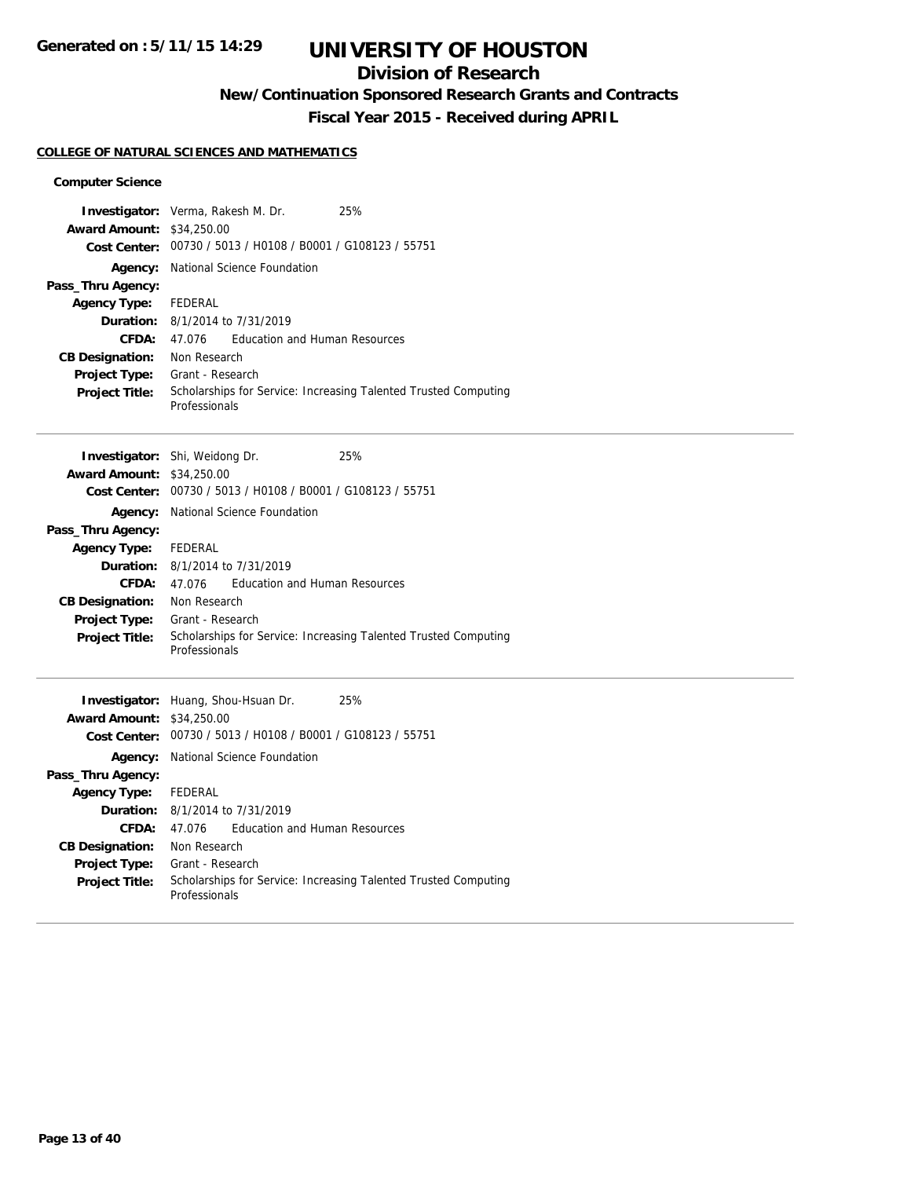# **Division of Research**

# **New/Continuation Sponsored Research Grants and Contracts**

**Fiscal Year 2015 - Received during APRIL**

### **COLLEGE OF NATURAL SCIENCES AND MATHEMATICS**

### **Computer Science**

|                                             | Investigator: Verma, Rakesh M. Dr.<br>25%                                        |  |  |
|---------------------------------------------|----------------------------------------------------------------------------------|--|--|
| <b>Award Amount:</b><br><b>Cost Center:</b> | \$34,250.00<br>00730 / 5013 / H0108 / B0001 / G108123 / 55751                    |  |  |
| Agency:                                     | National Science Foundation                                                      |  |  |
| Pass_Thru Agency:                           |                                                                                  |  |  |
| Agency Type:                                | <b>FEDERAL</b>                                                                   |  |  |
| Duration:                                   | 8/1/2014 to 7/31/2019                                                            |  |  |
| CFDA:                                       | <b>Education and Human Resources</b><br>47.076                                   |  |  |
| <b>CB Designation:</b>                      | Non Research                                                                     |  |  |
| Project Type:                               | Grant - Research                                                                 |  |  |
| <b>Project Title:</b>                       | Scholarships for Service: Increasing Talented Trusted Computing                  |  |  |
|                                             | Professionals                                                                    |  |  |
|                                             |                                                                                  |  |  |
|                                             | Investigator: Shi, Weidong Dr.<br>25%                                            |  |  |
| <b>Award Amount:</b>                        | \$34,250.00                                                                      |  |  |
| <b>Cost Center:</b>                         | 00730 / 5013 / H0108 / B0001 / G108123 / 55751                                   |  |  |
| Agency:                                     | National Science Foundation                                                      |  |  |
| Pass_Thru Agency:                           |                                                                                  |  |  |
| <b>Agency Type:</b>                         | FEDERAL                                                                          |  |  |
| Duration:                                   | 8/1/2014 to 7/31/2019                                                            |  |  |
| <b>CFDA:</b>                                | <b>Education and Human Resources</b><br>47.076                                   |  |  |
| <b>CB Designation:</b>                      | Non Research                                                                     |  |  |
| Project Type:                               | Grant - Research                                                                 |  |  |
| <b>Project Title:</b>                       | Scholarships for Service: Increasing Talented Trusted Computing<br>Professionals |  |  |
|                                             |                                                                                  |  |  |
|                                             |                                                                                  |  |  |
|                                             | Investigator: Huang, Shou-Hsuan Dr.<br>25%                                       |  |  |
| <b>Award Amount:</b><br><b>Cost Center:</b> | \$34,250.00<br>00730 / 5013 / H0108 / B0001 / G108123 / 55751                    |  |  |
| Agency:                                     | National Science Foundation                                                      |  |  |
| Pass_Thru Agency:                           |                                                                                  |  |  |
| <b>Agency Type:</b>                         | <b>FEDERAL</b>                                                                   |  |  |
| Duration:                                   | 8/1/2014 to 7/31/2019                                                            |  |  |
| <b>CFDA:</b>                                | <b>Education and Human Resources</b><br>47.076                                   |  |  |
| <b>CB Designation:</b>                      | Non Research                                                                     |  |  |
| Project Type:                               | Grant - Research                                                                 |  |  |
| <b>Project Title:</b>                       | Scholarships for Service: Increasing Talented Trusted Computing<br>Professionals |  |  |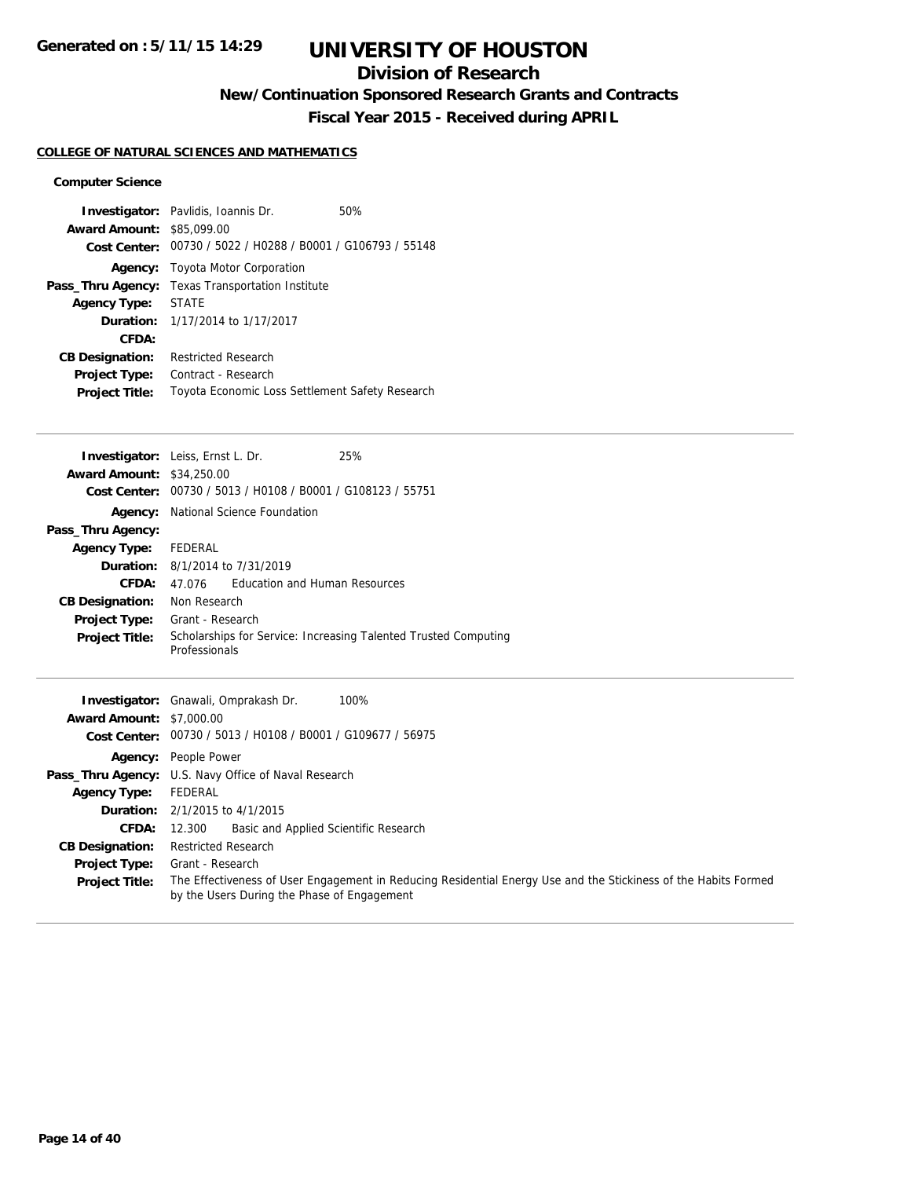# **Division of Research**

# **New/Continuation Sponsored Research Grants and Contracts**

**Fiscal Year 2015 - Received during APRIL**

### **COLLEGE OF NATURAL SCIENCES AND MATHEMATICS**

### **Computer Science**

| <b>Award Amount:</b>   | <b>Investigator:</b> Pavlidis, Ioannis Dr.<br>\$85,099.00<br>Cost Center: 00730 / 5022 / H0288 / B0001 / G106793 / 55148 | 50% |
|------------------------|--------------------------------------------------------------------------------------------------------------------------|-----|
|                        | <b>Agency:</b> Toyota Motor Corporation                                                                                  |     |
| Pass_Thru Agency:      | Texas Transportation Institute                                                                                           |     |
| <b>Agency Type:</b>    | <b>STATE</b>                                                                                                             |     |
|                        | <b>Duration:</b> 1/17/2014 to 1/17/2017                                                                                  |     |
| CFDA:                  |                                                                                                                          |     |
| <b>CB Designation:</b> | <b>Restricted Research</b>                                                                                               |     |
| Project Type:          | Contract - Research                                                                                                      |     |
| <b>Project Title:</b>  | Toyota Economic Loss Settlement Safety Research                                                                          |     |

|                                  | <b>Investigator:</b> Leiss, Ernst L. Dr.<br>25%                                                                 |  |
|----------------------------------|-----------------------------------------------------------------------------------------------------------------|--|
| <b>Award Amount: \$34,250.00</b> |                                                                                                                 |  |
|                                  | Cost Center: 00730 / 5013 / H0108 / B0001 / G108123 / 55751                                                     |  |
|                                  | Agency: National Science Foundation                                                                             |  |
| Pass_Thru Agency:                |                                                                                                                 |  |
| <b>Agency Type:</b>              | FEDERAL                                                                                                         |  |
| Duration:                        | 8/1/2014 to 7/31/2019                                                                                           |  |
| <b>CFDA:</b>                     | Education and Human Resources<br>47.076                                                                         |  |
| <b>CB Designation:</b>           | Non Research                                                                                                    |  |
| <b>Project Type:</b>             | Grant - Research                                                                                                |  |
| <b>Project Title:</b>            | Scholarships for Service: Increasing Talented Trusted Computing<br>Professionals                                |  |
|                                  | <b>Investigator:</b> Gnawali, Omprakash Dr.<br>100%                                                             |  |
| <b>Award Amount: \$7,000.00</b>  |                                                                                                                 |  |
|                                  | Cost Center: 00730 / 5013 / H0108 / B0001 / G109677 / 56975                                                     |  |
|                                  | <b>Agency:</b> People Power                                                                                     |  |
|                                  | Pass_Thru Agency: U.S. Navy Office of Naval Research                                                            |  |
| <b>Agency Type:</b>              | FEDERAL                                                                                                         |  |
| Duration:                        | 2/1/2015 to 4/1/2015                                                                                            |  |
| CFDA:                            | Basic and Applied Scientific Research<br>12.300                                                                 |  |
| <b>CB Designation:</b>           | <b>Restricted Research</b>                                                                                      |  |
| <b>Project Type:</b>             | Grant - Research                                                                                                |  |
| <b>Project Title:</b>            | The Effectiveness of User Engagement in Reducing Residential Energy Use and the Stickiness of the Habits Formed |  |

by the Users During the Phase of Engagement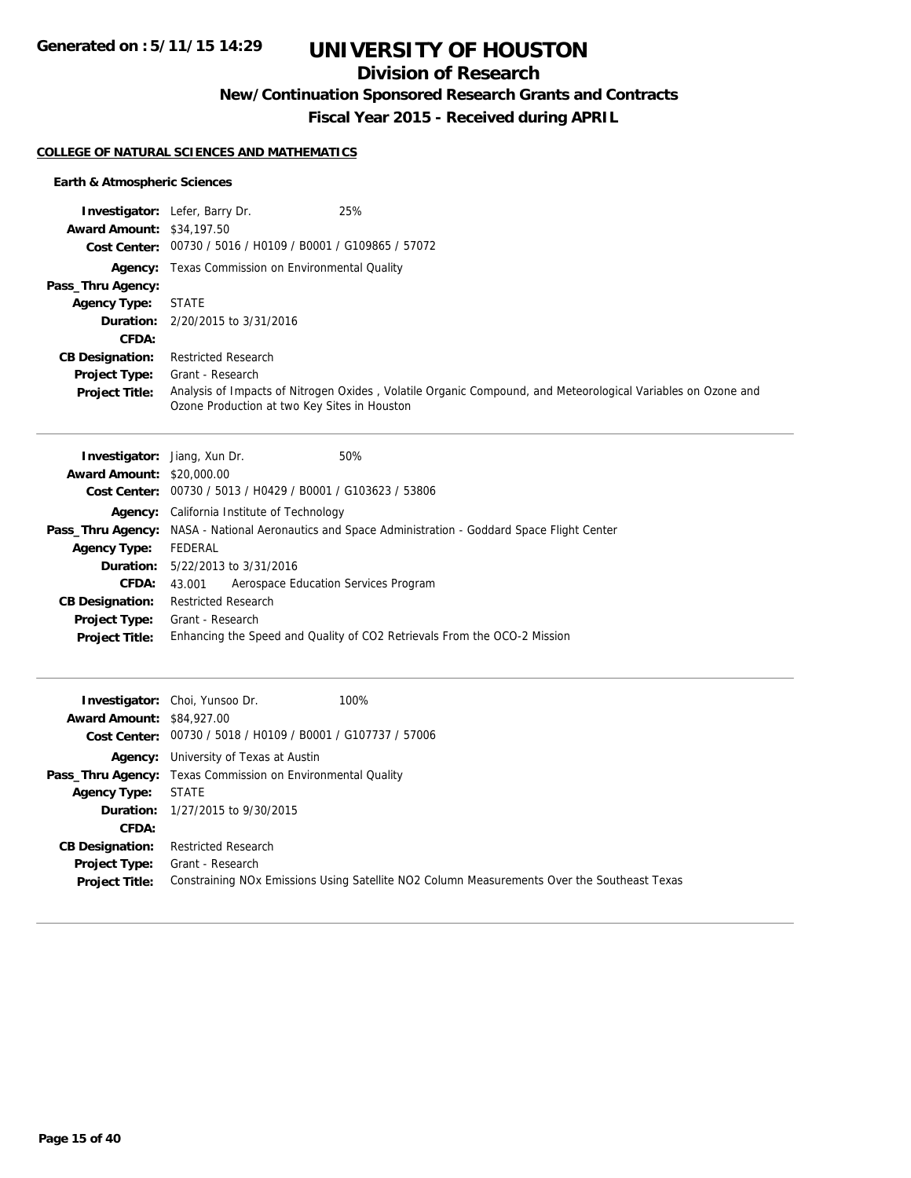# **Division of Research**

**New/Continuation Sponsored Research Grants and Contracts**

**Fiscal Year 2015 - Received during APRIL**

### **COLLEGE OF NATURAL SCIENCES AND MATHEMATICS**

## **Earth & Atmospheric Sciences**

|                                  | <b>Investigator:</b> Lefer, Barry Dr.                       | 25%                                                                                                          |
|----------------------------------|-------------------------------------------------------------|--------------------------------------------------------------------------------------------------------------|
| <b>Award Amount: \$34,197.50</b> |                                                             |                                                                                                              |
|                                  | Cost Center: 00730 / 5016 / H0109 / B0001 / G109865 / 57072 |                                                                                                              |
|                                  | <b>Agency:</b> Texas Commission on Environmental Quality    |                                                                                                              |
| Pass_Thru Agency:                |                                                             |                                                                                                              |
| Agency Type:                     | <b>STATE</b>                                                |                                                                                                              |
|                                  | <b>Duration:</b> $2/20/2015$ to $3/31/2016$                 |                                                                                                              |
| CFDA:                            |                                                             |                                                                                                              |
| <b>CB Designation:</b>           | <b>Restricted Research</b>                                  |                                                                                                              |
| <b>Project Type:</b>             | Grant - Research                                            |                                                                                                              |
| <b>Project Title:</b>            | Ozone Production at two Key Sites in Houston                | Analysis of Impacts of Nitrogen Oxides, Volatile Organic Compound, and Meteorological Variables on Ozone and |

| <b>Investigator:</b> Jiang, Xun Dr.                         | 50%                                                                                                         |  |
|-------------------------------------------------------------|-------------------------------------------------------------------------------------------------------------|--|
| <b>Award Amount: \$20,000.00</b>                            |                                                                                                             |  |
| Cost Center: 00730 / 5013 / H0429 / B0001 / G103623 / 53806 |                                                                                                             |  |
| <b>Agency:</b> California Institute of Technology           |                                                                                                             |  |
|                                                             | <b>Pass_Thru Agency:</b> NASA - National Aeronautics and Space Administration - Goddard Space Flight Center |  |
| FEDERAL                                                     |                                                                                                             |  |
| <b>Duration:</b> 5/22/2013 to 3/31/2016                     |                                                                                                             |  |
| 43.001                                                      | Aerospace Education Services Program                                                                        |  |
| <b>Restricted Research</b>                                  |                                                                                                             |  |
| Grant - Research                                            |                                                                                                             |  |
|                                                             | Enhancing the Speed and Quality of CO2 Retrievals From the OCO-2 Mission                                    |  |
|                                                             |                                                                                                             |  |

| <b>Award Amount: \$84,927.00</b>                                                      | 100%<br><b>Investigator:</b> Choi, Yunsoo Dr.<br>Cost Center: 00730 / 5018 / H0109 / B0001 / G107737 / 57006                                                                                                                 |
|---------------------------------------------------------------------------------------|------------------------------------------------------------------------------------------------------------------------------------------------------------------------------------------------------------------------------|
| <b>Agency Type:</b><br><b>CFDA:</b><br><b>CB Designation:</b><br><b>Project Type:</b> | <b>Agency:</b> University of Texas at Austin<br><b>Pass_Thru Agency:</b> Texas Commission on Environmental Quality<br>STATE<br><b>Duration:</b> $1/27/2015$ to $9/30/2015$<br><b>Restricted Research</b><br>Grant - Research |
| <b>Project Title:</b>                                                                 | Constraining NOx Emissions Using Satellite NO2 Column Measurements Over the Southeast Texas                                                                                                                                  |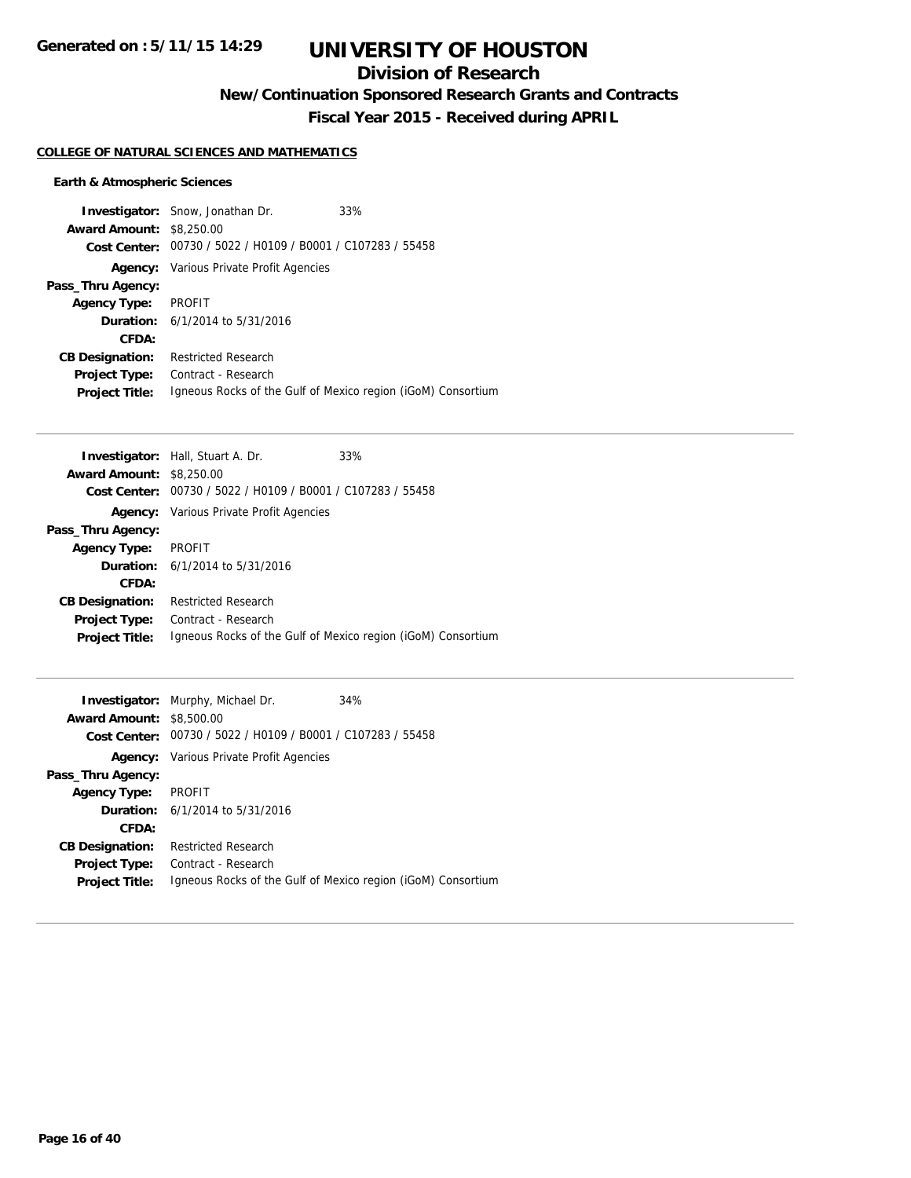# **Division of Research**

**New/Continuation Sponsored Research Grants and Contracts**

**Fiscal Year 2015 - Received during APRIL**

## **COLLEGE OF NATURAL SCIENCES AND MATHEMATICS**

## **Earth & Atmospheric Sciences**

|                                 | <b>Investigator:</b> Snow, Jonathan Dr.                      | 33% |
|---------------------------------|--------------------------------------------------------------|-----|
| <b>Award Amount: \$8,250.00</b> |                                                              |     |
|                                 | Cost Center: 00730 / 5022 / H0109 / B0001 / C107283 / 55458  |     |
|                                 | <b>Agency:</b> Various Private Profit Agencies               |     |
| Pass_Thru Agency:               |                                                              |     |
| <b>Agency Type:</b>             | PROFIT                                                       |     |
|                                 | <b>Duration:</b> 6/1/2014 to 5/31/2016                       |     |
| CFDA:                           |                                                              |     |
| <b>CB Designation:</b>          | <b>Restricted Research</b>                                   |     |
| <b>Project Type:</b>            | Contract - Research                                          |     |
| <b>Project Title:</b>           | Igneous Rocks of the Gulf of Mexico region (iGoM) Consortium |     |

|                                 | <b>Investigator:</b> Hall, Stuart A. Dr.       | 33%                                                          |
|---------------------------------|------------------------------------------------|--------------------------------------------------------------|
| <b>Award Amount: \$8,250.00</b> |                                                |                                                              |
| Cost Center:                    | 00730 / 5022 / H0109 / B0001 / C107283 / 55458 |                                                              |
|                                 | <b>Agency:</b> Various Private Profit Agencies |                                                              |
| Pass_Thru Agency:               |                                                |                                                              |
| <b>Agency Type:</b>             | <b>PROFIT</b>                                  |                                                              |
|                                 | <b>Duration:</b> $6/1/2014$ to $5/31/2016$     |                                                              |
| CFDA:                           |                                                |                                                              |
| <b>CB Designation:</b>          | <b>Restricted Research</b>                     |                                                              |
| <b>Project Type:</b>            | Contract - Research                            |                                                              |
| <b>Project Title:</b>           |                                                | Igneous Rocks of the Gulf of Mexico region (iGoM) Consortium |
|                                 |                                                |                                                              |

|                                 | <b>Investigator:</b> Murphy, Michael Dr.                     | 34% |
|---------------------------------|--------------------------------------------------------------|-----|
| <b>Award Amount: \$8,500.00</b> |                                                              |     |
| Cost Center: .                  | 00730 / 5022 / H0109 / B0001 / C107283 / 55458               |     |
|                                 | <b>Agency:</b> Various Private Profit Agencies               |     |
| Pass_Thru Agency:               |                                                              |     |
| <b>Agency Type:</b>             | PROFIT                                                       |     |
|                                 | <b>Duration:</b> 6/1/2014 to 5/31/2016                       |     |
| CFDA:                           |                                                              |     |
| <b>CB Designation:</b>          | <b>Restricted Research</b>                                   |     |
| <b>Project Type:</b>            | Contract - Research                                          |     |
| <b>Project Title:</b>           | Igneous Rocks of the Gulf of Mexico region (iGoM) Consortium |     |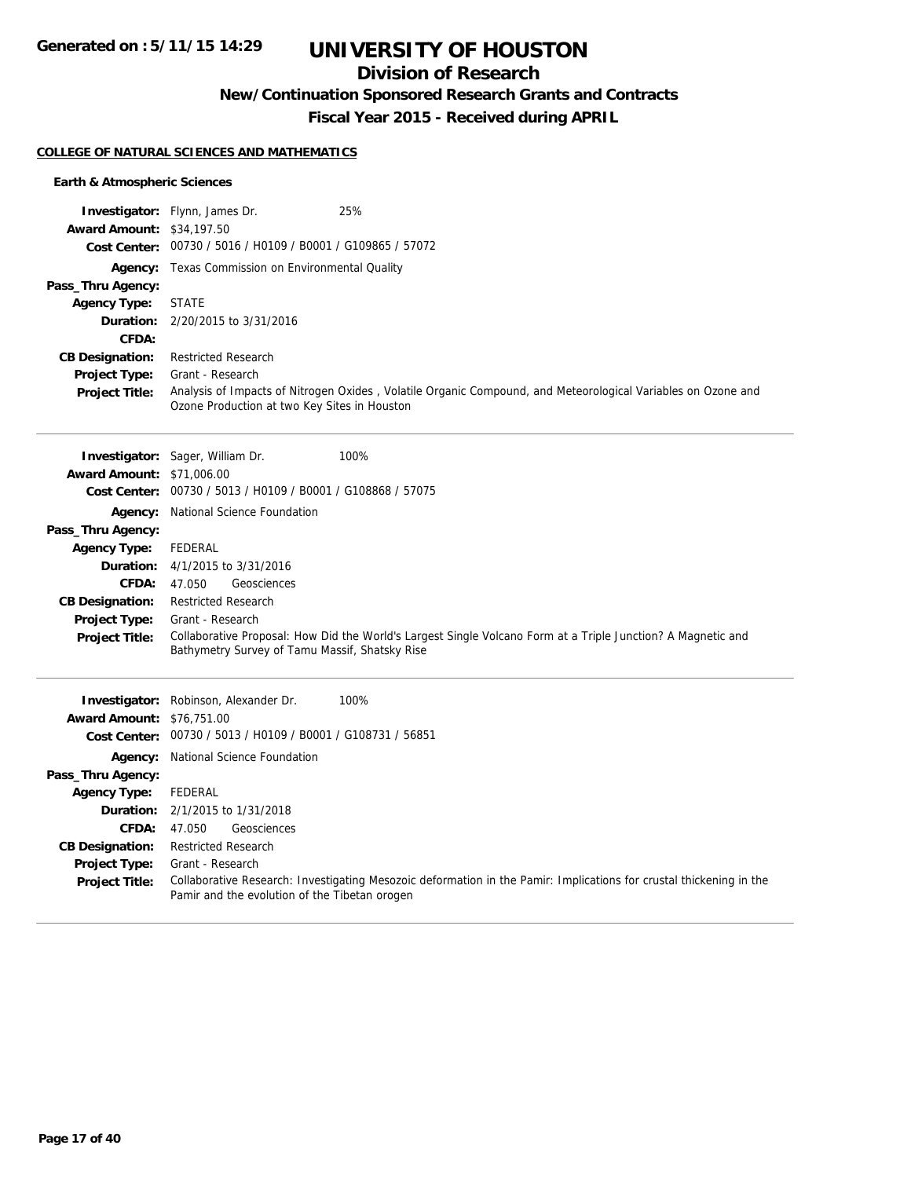# **Division of Research**

**New/Continuation Sponsored Research Grants and Contracts**

**Fiscal Year 2015 - Received during APRIL**

### **COLLEGE OF NATURAL SCIENCES AND MATHEMATICS**

## **Earth & Atmospheric Sciences**

|                                  | Investigator: Flynn, James Dr.<br>25%                                                                                                                                |  |  |
|----------------------------------|----------------------------------------------------------------------------------------------------------------------------------------------------------------------|--|--|
| <b>Award Amount: \$34,197.50</b> |                                                                                                                                                                      |  |  |
|                                  | Cost Center: 00730 / 5016 / H0109 / B0001 / G109865 / 57072                                                                                                          |  |  |
|                                  | Agency: Texas Commission on Environmental Quality                                                                                                                    |  |  |
| Pass_Thru Agency:                |                                                                                                                                                                      |  |  |
| <b>Agency Type:</b>              | <b>STATE</b>                                                                                                                                                         |  |  |
| Duration:                        | 2/20/2015 to 3/31/2016                                                                                                                                               |  |  |
| CFDA:                            |                                                                                                                                                                      |  |  |
| <b>CB Designation:</b>           | <b>Restricted Research</b>                                                                                                                                           |  |  |
| Project Type:                    | Grant - Research                                                                                                                                                     |  |  |
| <b>Project Title:</b>            | Analysis of Impacts of Nitrogen Oxides, Volatile Organic Compound, and Meteorological Variables on Ozone and<br>Ozone Production at two Key Sites in Houston         |  |  |
|                                  |                                                                                                                                                                      |  |  |
|                                  | 100%<br><b>Investigator:</b> Sager, William Dr.                                                                                                                      |  |  |
| <b>Award Amount: \$71,006.00</b> |                                                                                                                                                                      |  |  |
|                                  | Cost Center: 00730 / 5013 / H0109 / B0001 / G108868 / 57075                                                                                                          |  |  |
|                                  | Agency: National Science Foundation                                                                                                                                  |  |  |
| Pass_Thru Agency:                |                                                                                                                                                                      |  |  |
| <b>Agency Type:</b>              | <b>FEDERAL</b>                                                                                                                                                       |  |  |
| Duration:                        | 4/1/2015 to 3/31/2016                                                                                                                                                |  |  |
| <b>CFDA:</b>                     | 47.050<br>Geosciences                                                                                                                                                |  |  |
| <b>CB Designation:</b>           | <b>Restricted Research</b>                                                                                                                                           |  |  |
| <b>Project Type:</b>             | Grant - Research                                                                                                                                                     |  |  |
| <b>Project Title:</b>            | Collaborative Proposal: How Did the World's Largest Single Volcano Form at a Triple Junction? A Magnetic and<br>Bathymetry Survey of Tamu Massif, Shatsky Rise       |  |  |
|                                  |                                                                                                                                                                      |  |  |
|                                  | Investigator: Robinson, Alexander Dr.<br>100%                                                                                                                        |  |  |
| <b>Award Amount: \$76,751.00</b> |                                                                                                                                                                      |  |  |
|                                  | Cost Center: 00730 / 5013 / H0109 / B0001 / G108731 / 56851                                                                                                          |  |  |
|                                  | <b>Agency:</b> National Science Foundation                                                                                                                           |  |  |
| Pass_Thru Agency:                |                                                                                                                                                                      |  |  |
| <b>Agency Type:</b>              | <b>FEDERAL</b>                                                                                                                                                       |  |  |
| Duration:                        | 2/1/2015 to 1/31/2018                                                                                                                                                |  |  |
| <b>CFDA:</b>                     | 47.050<br>Geosciences                                                                                                                                                |  |  |
| <b>CB Designation:</b>           | <b>Restricted Research</b>                                                                                                                                           |  |  |
| <b>Project Type:</b>             | Grant - Research                                                                                                                                                     |  |  |
| <b>Project Title:</b>            | Collaborative Research: Investigating Mesozoic deformation in the Pamir: Implications for crustal thickening in the<br>Pamir and the evolution of the Tibetan orogen |  |  |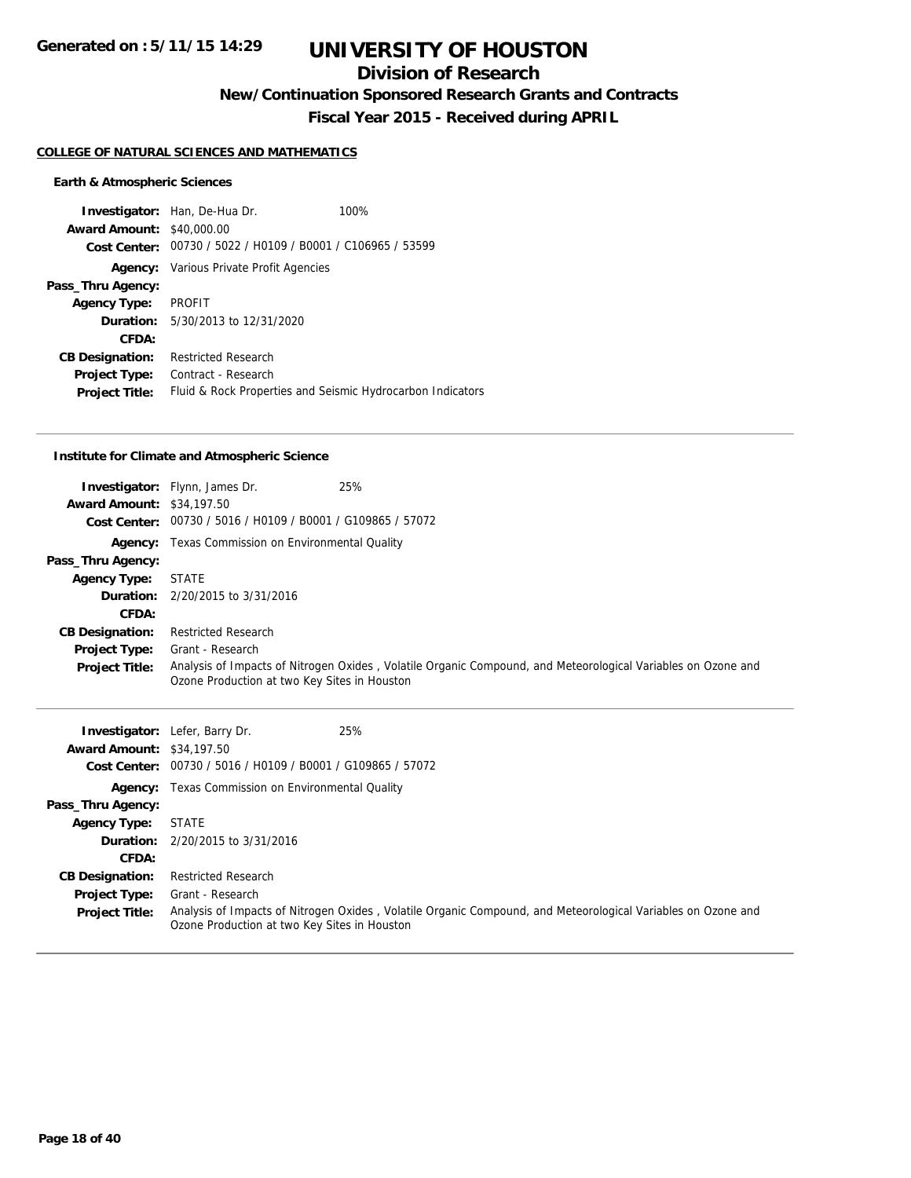# **Division of Research**

**New/Continuation Sponsored Research Grants and Contracts**

**Fiscal Year 2015 - Received during APRIL**

#### **COLLEGE OF NATURAL SCIENCES AND MATHEMATICS**

#### **Earth & Atmospheric Sciences**

**Investigator:** Han, De-Hua Dr. 100% **Award Amount:** \$40,000.00 **Cost Center:** 00730 / 5022 / H0109 / B0001 / C106965 / 53599 **Agency:** Various Private Profit Agencies **Pass\_Thru Agency: Agency Type:** PROFIT **Duration:** 5/30/2013 to 12/31/2020 **CFDA: CB Designation:** Restricted Research **Project Type:** Contract - Research **Project Title:** Fluid & Rock Properties and Seismic Hydrocarbon Indicators

#### **Institute for Climate and Atmospheric Science**

|                                  | 25%<br><b>Investigator:</b> Flynn, James Dr.                                                                                                                 |  |
|----------------------------------|--------------------------------------------------------------------------------------------------------------------------------------------------------------|--|
| <b>Award Amount: \$34,197.50</b> |                                                                                                                                                              |  |
|                                  | Cost Center: 00730 / 5016 / H0109 / B0001 / G109865 / 57072                                                                                                  |  |
|                                  | <b>Agency:</b> Texas Commission on Environmental Quality                                                                                                     |  |
| Pass_Thru Agency:                |                                                                                                                                                              |  |
| <b>Agency Type:</b>              | <b>STATE</b>                                                                                                                                                 |  |
|                                  | <b>Duration:</b> 2/20/2015 to 3/31/2016                                                                                                                      |  |
| CFDA:                            |                                                                                                                                                              |  |
| <b>CB Designation:</b>           | <b>Restricted Research</b>                                                                                                                                   |  |
| Project Type:                    | Grant - Research                                                                                                                                             |  |
| <b>Project Title:</b>            | Analysis of Impacts of Nitrogen Oxides, Volatile Organic Compound, and Meteorological Variables on Ozone and<br>Ozone Production at two Key Sites in Houston |  |

| <b>Award Amount: \$34,197.50</b> | <b>Investigator:</b> Lefer, Barry Dr.<br>Cost Center: 00730 / 5016 / H0109 / B0001 / G109865 / 57072 | 25%                                                                                                          |  |
|----------------------------------|------------------------------------------------------------------------------------------------------|--------------------------------------------------------------------------------------------------------------|--|
|                                  | <b>Agency:</b> Texas Commission on Environmental Quality                                             |                                                                                                              |  |
| Pass_Thru Agency:                |                                                                                                      |                                                                                                              |  |
| <b>Agency Type:</b>              | <b>STATE</b>                                                                                         |                                                                                                              |  |
|                                  | <b>Duration:</b> 2/20/2015 to 3/31/2016                                                              |                                                                                                              |  |
| CFDA:                            |                                                                                                      |                                                                                                              |  |
| <b>CB Designation:</b>           | <b>Restricted Research</b>                                                                           |                                                                                                              |  |
| <b>Project Type:</b>             | Grant - Research                                                                                     |                                                                                                              |  |
| <b>Project Title:</b>            | Ozone Production at two Key Sites in Houston                                                         | Analysis of Impacts of Nitrogen Oxides, Volatile Organic Compound, and Meteorological Variables on Ozone and |  |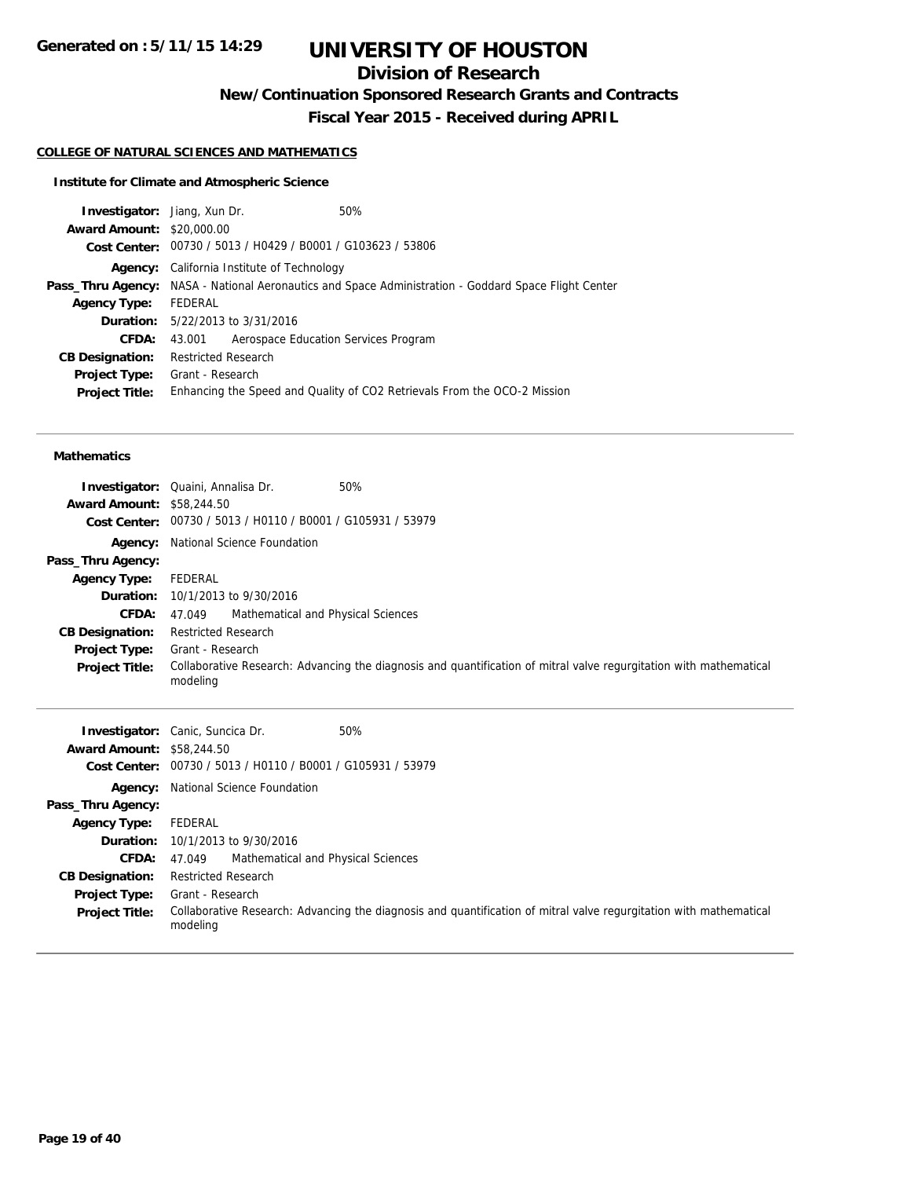# **Division of Research**

**New/Continuation Sponsored Research Grants and Contracts**

**Fiscal Year 2015 - Received during APRIL**

## **COLLEGE OF NATURAL SCIENCES AND MATHEMATICS**

## **Institute for Climate and Atmospheric Science**

| <b>Investigator:</b> Jiang, Xun Dr. |                                                             | 50%                                                                                                         |
|-------------------------------------|-------------------------------------------------------------|-------------------------------------------------------------------------------------------------------------|
| <b>Award Amount: \$20,000.00</b>    |                                                             |                                                                                                             |
|                                     | Cost Center: 00730 / 5013 / H0429 / B0001 / G103623 / 53806 |                                                                                                             |
|                                     | <b>Agency:</b> California Institute of Technology           |                                                                                                             |
|                                     |                                                             | <b>Pass_Thru Agency:</b> NASA - National Aeronautics and Space Administration - Goddard Space Flight Center |
| <b>Agency Type:</b>                 | FEDERAL                                                     |                                                                                                             |
|                                     | <b>Duration:</b> 5/22/2013 to 3/31/2016                     |                                                                                                             |
| CFDA:                               | Aerospace Education Services Program<br>43.001              |                                                                                                             |
| <b>CB Designation:</b>              | <b>Restricted Research</b>                                  |                                                                                                             |
| Project Type:                       | Grant - Research                                            |                                                                                                             |
| <b>Project Title:</b>               |                                                             | Enhancing the Speed and Quality of CO2 Retrievals From the OCO-2 Mission                                    |
|                                     |                                                             |                                                                                                             |

#### **Mathematics**

| <b>Award Amount: \$58,244.50</b> | 50%<br><b>Investigator:</b> Quaini, Annalisa Dr.                                                                               |
|----------------------------------|--------------------------------------------------------------------------------------------------------------------------------|
|                                  | Cost Center: 00730 / 5013 / H0110 / B0001 / G105931 / 53979                                                                    |
|                                  | <b>Agency:</b> National Science Foundation                                                                                     |
| Pass_Thru Agency:                |                                                                                                                                |
| <b>Agency Type:</b>              | FEDERAL                                                                                                                        |
|                                  | <b>Duration:</b> 10/1/2013 to 9/30/2016                                                                                        |
| CFDA:                            | Mathematical and Physical Sciences<br>47.049                                                                                   |
| <b>CB Designation:</b>           | <b>Restricted Research</b>                                                                                                     |
| <b>Project Type:</b>             | Grant - Research                                                                                                               |
| <b>Project Title:</b>            | Collaborative Research: Advancing the diagnosis and quantification of mitral valve regurgitation with mathematical<br>modeling |

| <b>Award Amount: \$58,244.50</b> | 50%<br><b>Investigator:</b> Canic, Suncica Dr.                                                                                 |
|----------------------------------|--------------------------------------------------------------------------------------------------------------------------------|
|                                  |                                                                                                                                |
|                                  | Cost Center: 00730 / 5013 / H0110 / B0001 / G105931 / 53979                                                                    |
|                                  | <b>Agency:</b> National Science Foundation                                                                                     |
| Pass_Thru Agency:                |                                                                                                                                |
| <b>Agency Type:</b>              | FEDERAL                                                                                                                        |
|                                  | <b>Duration:</b> 10/1/2013 to 9/30/2016                                                                                        |
| <b>CFDA:</b> $47.049$            | Mathematical and Physical Sciences                                                                                             |
| <b>CB Designation:</b>           | <b>Restricted Research</b>                                                                                                     |
| <b>Project Type:</b>             | Grant - Research                                                                                                               |
| <b>Project Title:</b>            | Collaborative Research: Advancing the diagnosis and quantification of mitral valve regurgitation with mathematical<br>modeling |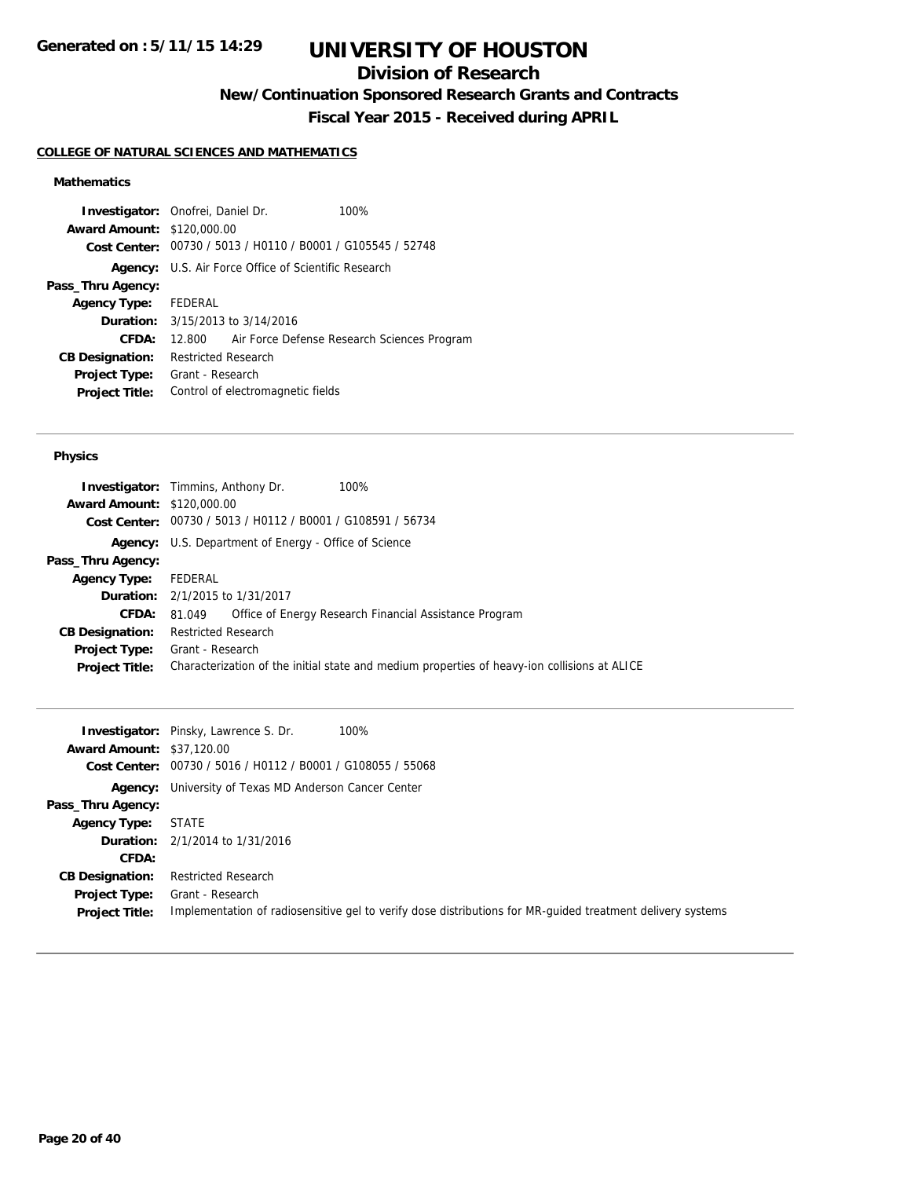# **Division of Research**

**New/Continuation Sponsored Research Grants and Contracts**

**Fiscal Year 2015 - Received during APRIL**

## **COLLEGE OF NATURAL SCIENCES AND MATHEMATICS**

## **Mathematics**

|                                                             |  | 100%                                                                                                                            |                                                                                                                             |
|-------------------------------------------------------------|--|---------------------------------------------------------------------------------------------------------------------------------|-----------------------------------------------------------------------------------------------------------------------------|
|                                                             |  |                                                                                                                                 |                                                                                                                             |
| Cost Center: 00730 / 5013 / H0110 / B0001 / G105545 / 52748 |  |                                                                                                                                 |                                                                                                                             |
| <b>Agency:</b> U.S. Air Force Office of Scientific Research |  |                                                                                                                                 |                                                                                                                             |
|                                                             |  |                                                                                                                                 |                                                                                                                             |
| FEDERAL                                                     |  |                                                                                                                                 |                                                                                                                             |
|                                                             |  |                                                                                                                                 |                                                                                                                             |
| 12.800                                                      |  |                                                                                                                                 |                                                                                                                             |
|                                                             |  |                                                                                                                                 |                                                                                                                             |
|                                                             |  |                                                                                                                                 |                                                                                                                             |
|                                                             |  |                                                                                                                                 |                                                                                                                             |
|                                                             |  | <b>Investigator:</b> Onofrei, Daniel Dr.<br><b>Award Amount: \$120,000.00</b><br><b>Restricted Research</b><br>Grant - Research | <b>Duration:</b> 3/15/2013 to 3/14/2016<br>Air Force Defense Research Sciences Program<br>Control of electromagnetic fields |

#### **Physics**

| <b>Award Amount: \$120,000.00</b> | 100%<br><b>Investigator:</b> Timmins, Anthony Dr.                                            |
|-----------------------------------|----------------------------------------------------------------------------------------------|
|                                   | Cost Center: 00730 / 5013 / H0112 / B0001 / G108591 / 56734                                  |
|                                   | <b>Agency:</b> U.S. Department of Energy - Office of Science                                 |
| Pass_Thru Agency:                 |                                                                                              |
| Agency Type: FEDERAL              |                                                                                              |
|                                   | <b>Duration:</b> 2/1/2015 to 1/31/2017                                                       |
| <b>CFDA:</b>                      | Office of Energy Research Financial Assistance Program<br>81.049                             |
| <b>CB Designation:</b>            | Restricted Research                                                                          |
| Project Type:                     | Grant - Research                                                                             |
| <b>Project Title:</b>             | Characterization of the initial state and medium properties of heavy-ion collisions at ALICE |
|                                   |                                                                                              |

|                                  | 100%<br><b>Investigator:</b> Pinsky, Lawrence S. Dr.                                                       |
|----------------------------------|------------------------------------------------------------------------------------------------------------|
| <b>Award Amount: \$37,120.00</b> |                                                                                                            |
|                                  | Cost Center: 00730 / 5016 / H0112 / B0001 / G108055 / 55068                                                |
|                                  | <b>Agency:</b> University of Texas MD Anderson Cancer Center                                               |
| Pass_Thru Agency:                |                                                                                                            |
| <b>Agency Type:</b>              | <b>STATE</b>                                                                                               |
|                                  | <b>Duration:</b> 2/1/2014 to 1/31/2016                                                                     |
| CFDA:                            |                                                                                                            |
| <b>CB Designation:</b>           | <b>Restricted Research</b>                                                                                 |
| <b>Project Type:</b>             | Grant - Research                                                                                           |
| <b>Project Title:</b>            | Implementation of radiosensitive gel to verify dose distributions for MR-quided treatment delivery systems |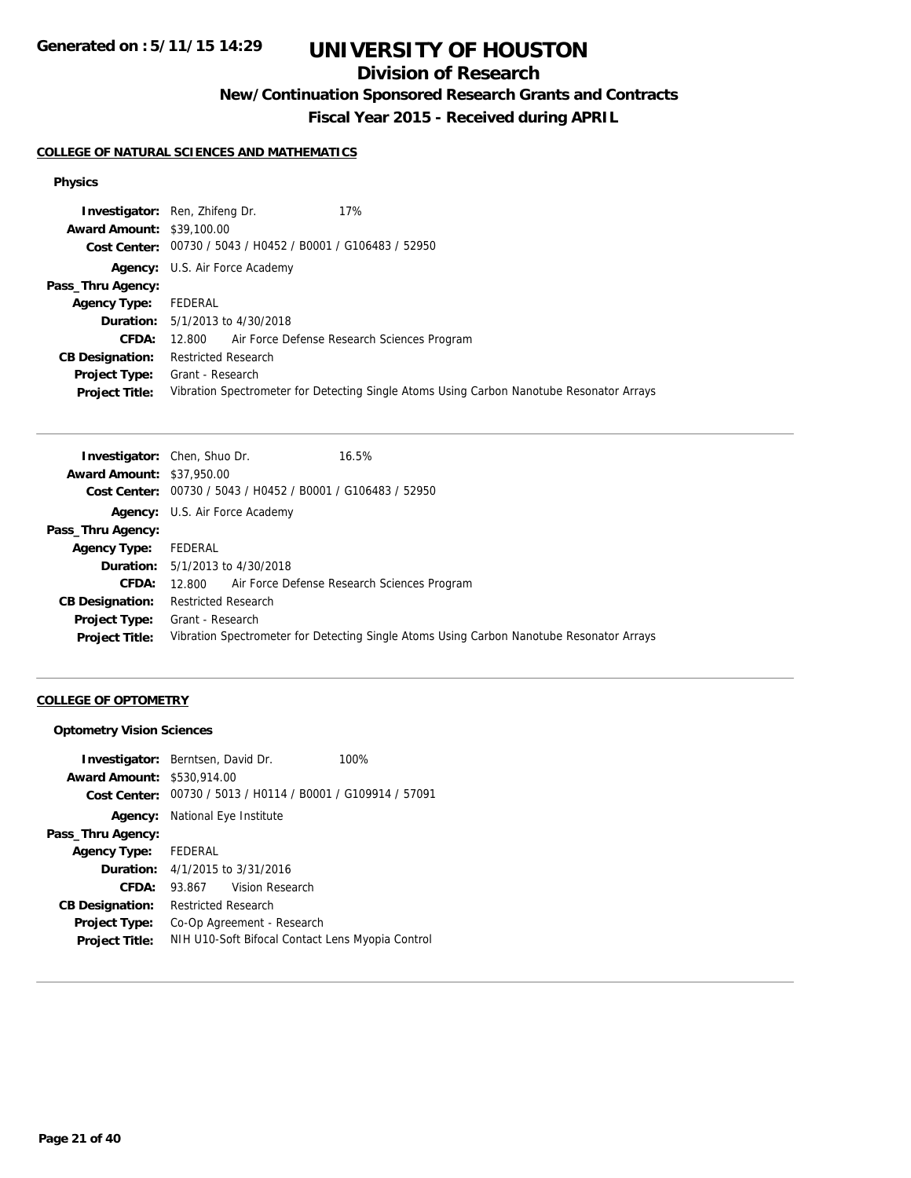**Generated on : 5/11/15 14:29**

# **UNIVERSITY OF HOUSTON**

# **Division of Research**

**New/Continuation Sponsored Research Grants and Contracts**

**Fiscal Year 2015 - Received during APRIL**

## **COLLEGE OF NATURAL SCIENCES AND MATHEMATICS**

### **Physics**

|                                  | 17%<br><b>Investigator:</b> Ren, Zhifeng Dr.                                             |
|----------------------------------|------------------------------------------------------------------------------------------|
| <b>Award Amount: \$39,100.00</b> |                                                                                          |
|                                  | Cost Center: 00730 / 5043 / H0452 / B0001 / G106483 / 52950                              |
|                                  | <b>Agency:</b> U.S. Air Force Academy                                                    |
| Pass_Thru Agency:                |                                                                                          |
| <b>Agency Type:</b>              | FEDERAL                                                                                  |
|                                  | <b>Duration:</b> 5/1/2013 to 4/30/2018                                                   |
| <b>CFDA:</b>                     | 12.800 Air Force Defense Research Sciences Program                                       |
| <b>CB Designation:</b>           | <b>Restricted Research</b>                                                               |
| <b>Project Type:</b>             | Grant - Research                                                                         |
| <b>Project Title:</b>            | Vibration Spectrometer for Detecting Single Atoms Using Carbon Nanotube Resonator Arrays |

|                                  | 16.5%<br><b>Investigator:</b> Chen, Shuo Dr.                                             |
|----------------------------------|------------------------------------------------------------------------------------------|
| <b>Award Amount: \$37,950.00</b> |                                                                                          |
|                                  | Cost Center: 00730 / 5043 / H0452 / B0001 / G106483 / 52950                              |
|                                  | <b>Agency:</b> U.S. Air Force Academy                                                    |
| Pass_Thru Agency:                |                                                                                          |
| Agency Type: FEDERAL             |                                                                                          |
|                                  | <b>Duration:</b> 5/1/2013 to 4/30/2018                                                   |
| <b>CFDA:</b>                     | 12.800 Air Force Defense Research Sciences Program                                       |
| <b>CB Designation:</b>           | Restricted Research                                                                      |
|                                  | <b>Project Type:</b> Grant - Research                                                    |
| <b>Project Title:</b>            | Vibration Spectrometer for Detecting Single Atoms Using Carbon Nanotube Resonator Arrays |
|                                  |                                                                                          |

## **COLLEGE OF OPTOMETRY**

### **Optometry Vision Sciences**

|                                   | <b>Investigator:</b> Berntsen, David Dr.         | 100%                                                        |
|-----------------------------------|--------------------------------------------------|-------------------------------------------------------------|
| <b>Award Amount: \$530,914.00</b> |                                                  |                                                             |
|                                   |                                                  | Cost Center: 00730 / 5013 / H0114 / B0001 / G109914 / 57091 |
|                                   | <b>Agency:</b> National Eye Institute            |                                                             |
| Pass_Thru Agency:                 |                                                  |                                                             |
| Agency Type: FEDERAL              |                                                  |                                                             |
|                                   | <b>Duration:</b> $4/1/2015$ to $3/31/2016$       |                                                             |
| CFDA:                             | Vision Research<br>93.867                        |                                                             |
| <b>CB Designation:</b>            | <b>Restricted Research</b>                       |                                                             |
| <b>Project Type:</b>              | Co-Op Agreement - Research                       |                                                             |
| <b>Project Title:</b>             | NIH U10-Soft Bifocal Contact Lens Myopia Control |                                                             |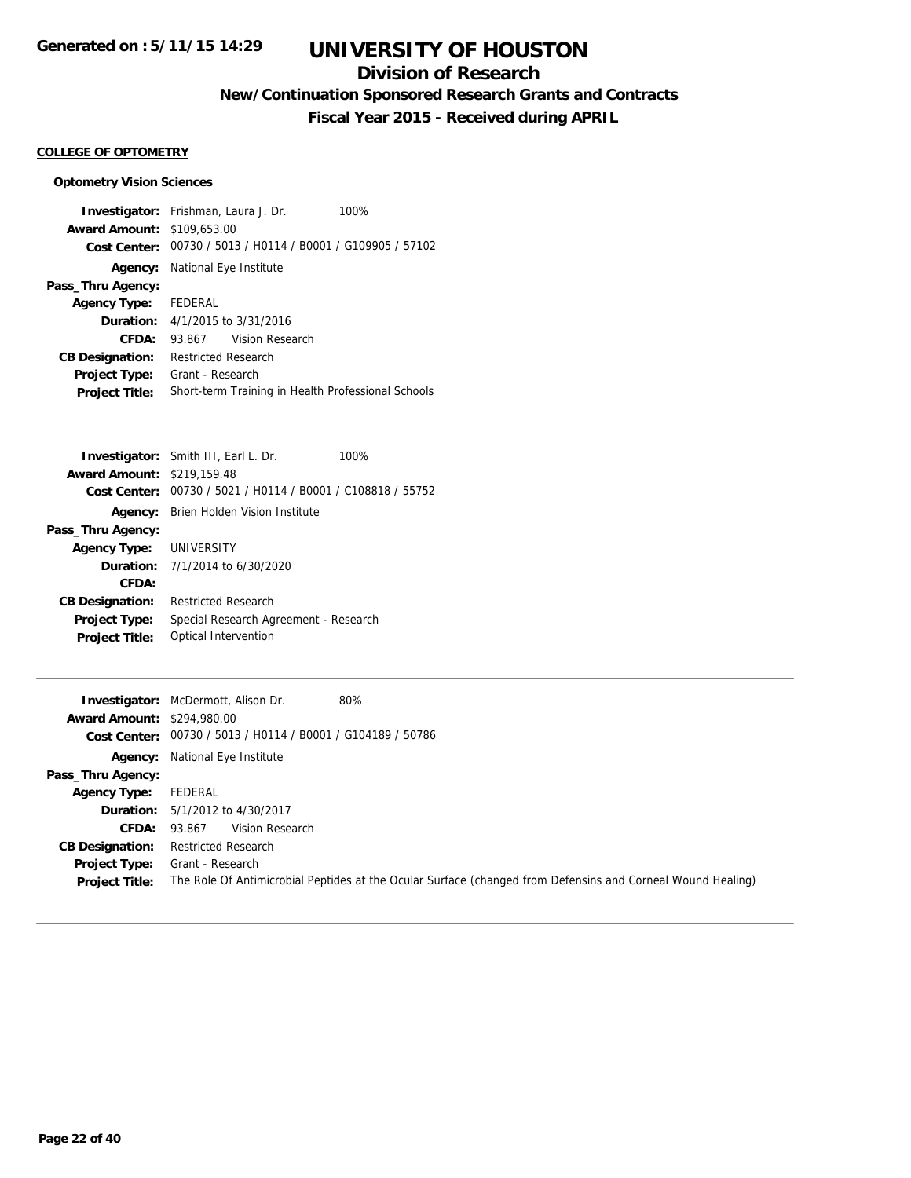# **Division of Research**

**New/Continuation Sponsored Research Grants and Contracts**

**Fiscal Year 2015 - Received during APRIL**

## **COLLEGE OF OPTOMETRY**

## **Optometry Vision Sciences**

|                                   | <b>Investigator:</b> Frishman, Laura J. Dr.                 | 100% |
|-----------------------------------|-------------------------------------------------------------|------|
| <b>Award Amount: \$109,653.00</b> |                                                             |      |
|                                   | Cost Center: 00730 / 5013 / H0114 / B0001 / G109905 / 57102 |      |
|                                   | <b>Agency:</b> National Eye Institute                       |      |
| Pass_Thru Agency:                 |                                                             |      |
| <b>Agency Type:</b>               | FEDERAL                                                     |      |
|                                   | <b>Duration:</b> 4/1/2015 to 3/31/2016                      |      |
| CFDA:                             | 93.867 Vision Research                                      |      |
| <b>CB Designation:</b>            | <b>Restricted Research</b>                                  |      |
| <b>Project Type:</b>              | Grant - Research                                            |      |
| <b>Project Title:</b>             | Short-term Training in Health Professional Schools          |      |

|                                   | Investigator: Smith III, Earl L. Dr.           | 100% |
|-----------------------------------|------------------------------------------------|------|
| <b>Award Amount: \$219,159.48</b> |                                                |      |
| Cost Center:                      | 00730 / 5021 / H0114 / B0001 / C108818 / 55752 |      |
| Agency:                           | Brien Holden Vision Institute                  |      |
| Pass_Thru Agency:                 |                                                |      |
| <b>Agency Type: UNIVERSITY</b>    |                                                |      |
| <b>Duration:</b>                  | 7/1/2014 to 6/30/2020                          |      |
| CFDA:                             |                                                |      |
| <b>CB Designation:</b>            | <b>Restricted Research</b>                     |      |
| <b>Project Type:</b>              | Special Research Agreement - Research          |      |
| <b>Project Title:</b>             | Optical Intervention                           |      |
|                                   |                                                |      |

| <b>Award Amount: \$294,980.00</b> | 80%<br><b>Investigator:</b> McDermott, Alison Dr.<br>Cost Center: 00730 / 5013 / H0114 / B0001 / G104189 / 50786 |
|-----------------------------------|------------------------------------------------------------------------------------------------------------------|
|                                   | <b>Agency:</b> National Eye Institute                                                                            |
| Pass_Thru Agency:                 |                                                                                                                  |
| <b>Agency Type:</b>               | FEDERAL                                                                                                          |
|                                   | <b>Duration:</b> 5/1/2012 to 4/30/2017                                                                           |
| CFDA: 93.867                      | Vision Research                                                                                                  |
| <b>CB Designation:</b>            | Restricted Research                                                                                              |
| <b>Project Type:</b>              | Grant - Research                                                                                                 |
| <b>Project Title:</b>             | The Role Of Antimicrobial Peptides at the Ocular Surface (changed from Defensins and Corneal Wound Healing)      |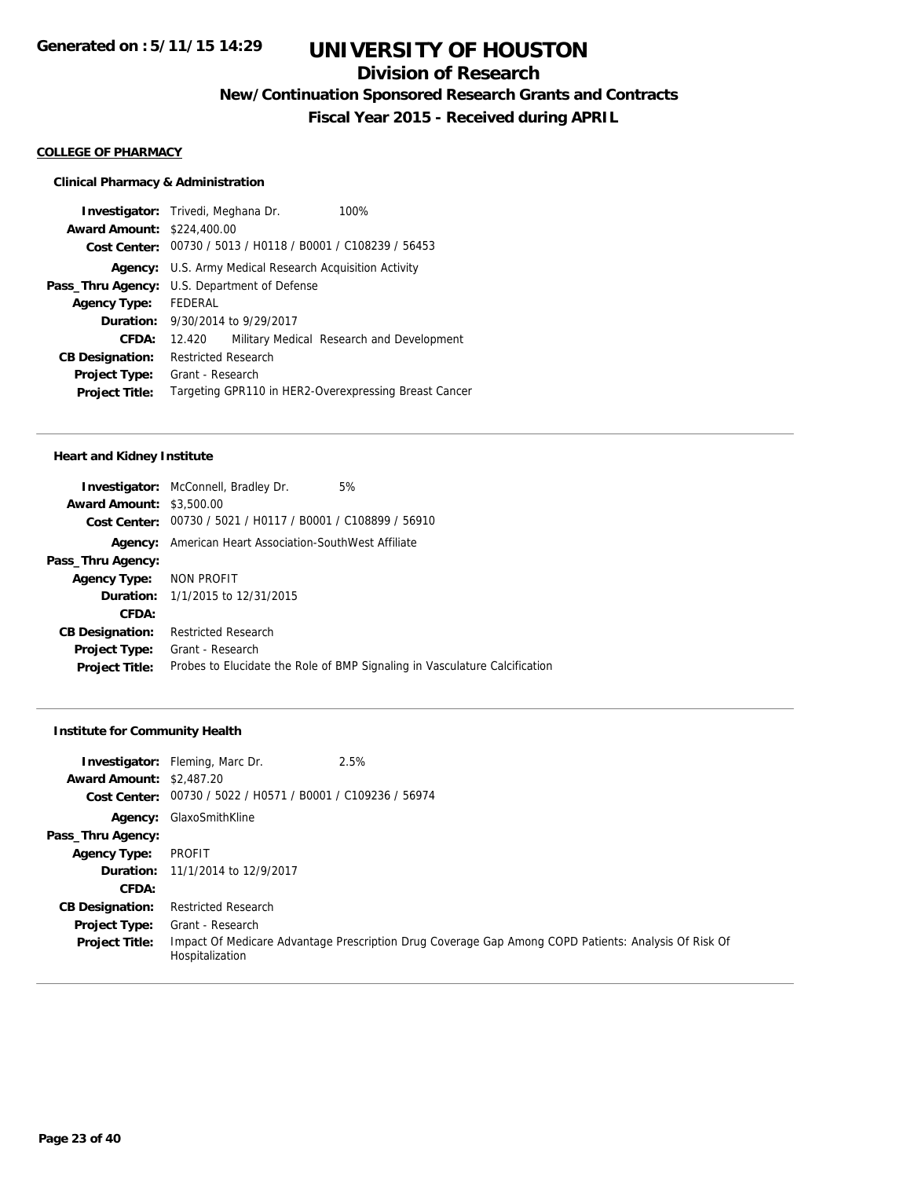# **Division of Research**

**New/Continuation Sponsored Research Grants and Contracts**

**Fiscal Year 2015 - Received during APRIL**

#### **COLLEGE OF PHARMACY**

### **Clinical Pharmacy & Administration**

|                                   | <b>Investigator:</b> Trivedi, Meghana Dr.                      | 100%                                      |
|-----------------------------------|----------------------------------------------------------------|-------------------------------------------|
| <b>Award Amount: \$224,400.00</b> |                                                                |                                           |
|                                   | Cost Center: 00730 / 5013 / H0118 / B0001 / C108239 / 56453    |                                           |
|                                   | <b>Agency:</b> U.S. Army Medical Research Acquisition Activity |                                           |
|                                   | <b>Pass_Thru Agency:</b> U.S. Department of Defense            |                                           |
| <b>Agency Type:</b>               | <b>FFDFRAL</b>                                                 |                                           |
|                                   | <b>Duration:</b> 9/30/2014 to 9/29/2017                        |                                           |
| CFDA:                             | 12.420                                                         | Military Medical Research and Development |
| <b>CB Designation:</b>            | <b>Restricted Research</b>                                     |                                           |
| <b>Project Type:</b>              | Grant - Research                                               |                                           |
| <b>Project Title:</b>             | Targeting GPR110 in HER2-Overexpressing Breast Cancer          |                                           |
|                                   |                                                                |                                           |

#### **Heart and Kidney Institute**

| <b>Investigator:</b> McConnell, Bradley Dr.<br>5%           |                                                                            |
|-------------------------------------------------------------|----------------------------------------------------------------------------|
| <b>Award Amount: \$3,500.00</b>                             |                                                                            |
| Cost Center: 00730 / 5021 / H0117 / B0001 / C108899 / 56910 |                                                                            |
| American Heart Association-SouthWest Affiliate              |                                                                            |
|                                                             |                                                                            |
| Agency Type: NON PROFIT                                     |                                                                            |
| <b>Duration:</b> 1/1/2015 to 12/31/2015                     |                                                                            |
|                                                             |                                                                            |
| <b>Restricted Research</b>                                  |                                                                            |
| Grant - Research                                            |                                                                            |
|                                                             | Probes to Elucidate the Role of BMP Signaling in Vasculature Calcification |
|                                                             |                                                                            |

## **Institute for Community Health**

| <b>Award Amount: \$2,487.20</b><br>Cost Center: | 2.5%<br><b>Investigator:</b> Fleming, Marc Dr.<br>00730 / 5022 / H0571 / B0001 / C109236 / 56974 |                                                                                                      |
|-------------------------------------------------|--------------------------------------------------------------------------------------------------|------------------------------------------------------------------------------------------------------|
| Agency:                                         | GlaxoSmithKline                                                                                  |                                                                                                      |
| Pass_Thru Agency:                               |                                                                                                  |                                                                                                      |
| <b>Agency Type:</b>                             | PROFIT                                                                                           |                                                                                                      |
|                                                 | Duration: 11/1/2014 to 12/9/2017                                                                 |                                                                                                      |
| CFDA:                                           |                                                                                                  |                                                                                                      |
| <b>CB Designation:</b>                          | <b>Restricted Research</b>                                                                       |                                                                                                      |
| <b>Project Type:</b>                            | Grant - Research                                                                                 |                                                                                                      |
| <b>Project Title:</b>                           | Hospitalization                                                                                  | Impact Of Medicare Advantage Prescription Drug Coverage Gap Among COPD Patients: Analysis Of Risk Of |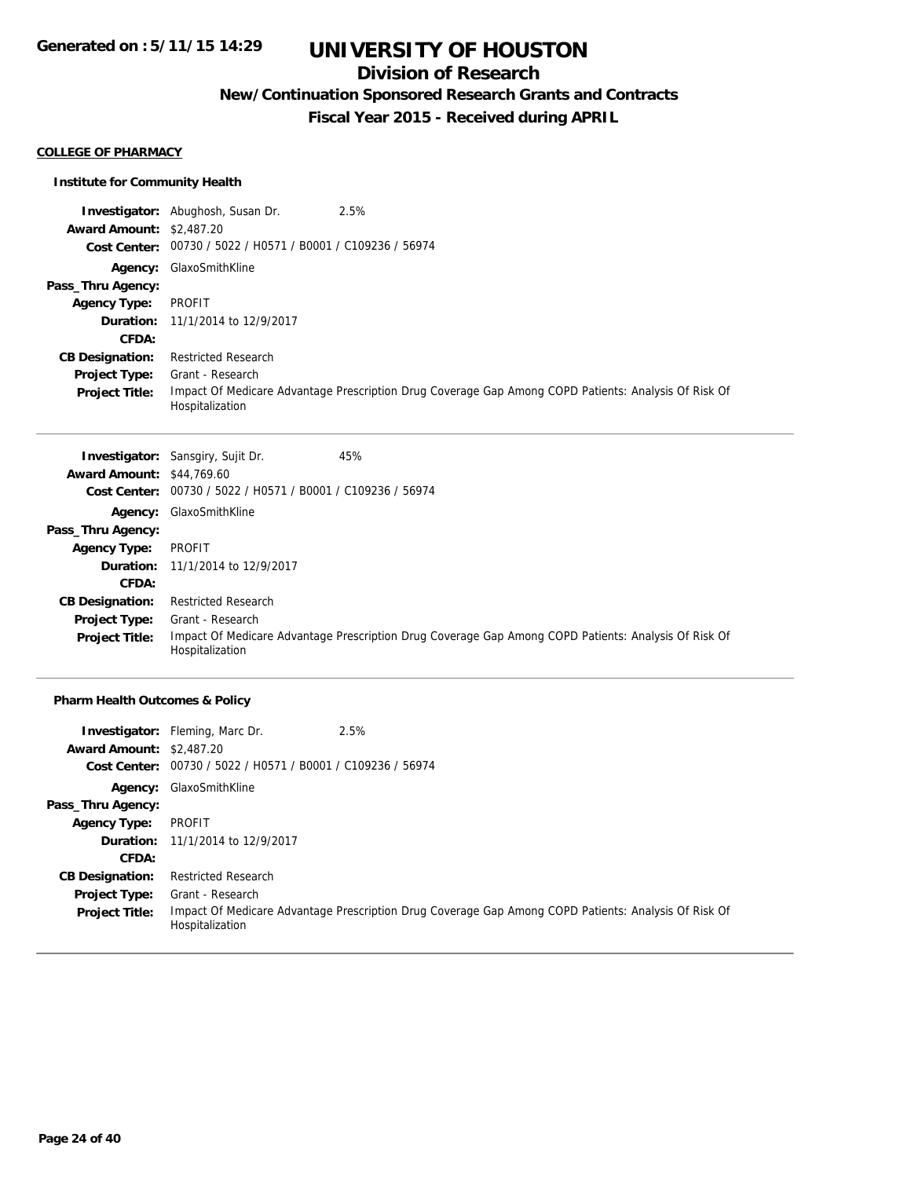# **Division of Research**

# **New/Continuation Sponsored Research Grants and Contracts**

**Fiscal Year 2015 - Received during APRIL**

#### **COLLEGE OF PHARMACY**

### **Institute for Community Health**

|                                 | 2.5%<br><b>Investigator:</b> Abughosh, Susan Dr.                                                                        |
|---------------------------------|-------------------------------------------------------------------------------------------------------------------------|
| <b>Award Amount: \$2,487.20</b> |                                                                                                                         |
|                                 | Cost Center: 00730 / 5022 / H0571 / B0001 / C109236 / 56974                                                             |
| Agency:                         | GlaxoSmithKline                                                                                                         |
| Pass_Thru Agency:               |                                                                                                                         |
| <b>Agency Type:</b>             | PROFIT                                                                                                                  |
|                                 | <b>Duration:</b> 11/1/2014 to 12/9/2017                                                                                 |
| CFDA:                           |                                                                                                                         |
| <b>CB Designation:</b>          | <b>Restricted Research</b>                                                                                              |
| <b>Project Type:</b>            | Grant - Research                                                                                                        |
| <b>Project Title:</b>           | Impact Of Medicare Advantage Prescription Drug Coverage Gap Among COPD Patients: Analysis Of Risk Of<br>Hospitalization |

|                                  | 45%<br><b>Investigator:</b> Sansgiry, Sujit Dr.                                                                         |
|----------------------------------|-------------------------------------------------------------------------------------------------------------------------|
| <b>Award Amount: \$44,769.60</b> |                                                                                                                         |
| Cost Center:                     | 00730 / 5022 / H0571 / B0001 / C109236 / 56974                                                                          |
|                                  | <b>Agency: GlaxoSmithKline</b>                                                                                          |
| Pass_Thru Agency:                |                                                                                                                         |
| <b>Agency Type:</b>              | PROFIT                                                                                                                  |
|                                  | <b>Duration:</b> 11/1/2014 to 12/9/2017                                                                                 |
| CFDA:                            |                                                                                                                         |
| <b>CB Designation:</b>           | <b>Restricted Research</b>                                                                                              |
| <b>Project Type:</b>             | Grant - Research                                                                                                        |
| <b>Project Title:</b>            | Impact Of Medicare Advantage Prescription Drug Coverage Gap Among COPD Patients: Analysis Of Risk Of<br>Hospitalization |

## **Pharm Health Outcomes & Policy**

|                                 | 2.5%<br><b>Investigator:</b> Fleming, Marc Dr.              |                                                                                                      |
|---------------------------------|-------------------------------------------------------------|------------------------------------------------------------------------------------------------------|
| <b>Award Amount: \$2,487.20</b> |                                                             |                                                                                                      |
|                                 | Cost Center: 00730 / 5022 / H0571 / B0001 / C109236 / 56974 |                                                                                                      |
|                                 | Agency: GlaxoSmithKline                                     |                                                                                                      |
| Pass_Thru Agency:               |                                                             |                                                                                                      |
| <b>Agency Type:</b>             | PROFIT                                                      |                                                                                                      |
|                                 | Duration: 11/1/2014 to 12/9/2017                            |                                                                                                      |
| CFDA:                           |                                                             |                                                                                                      |
| <b>CB Designation:</b>          | <b>Restricted Research</b>                                  |                                                                                                      |
| <b>Project Type:</b>            | Grant - Research                                            |                                                                                                      |
| <b>Project Title:</b>           | Hospitalization                                             | Impact Of Medicare Advantage Prescription Drug Coverage Gap Among COPD Patients: Analysis Of Risk Of |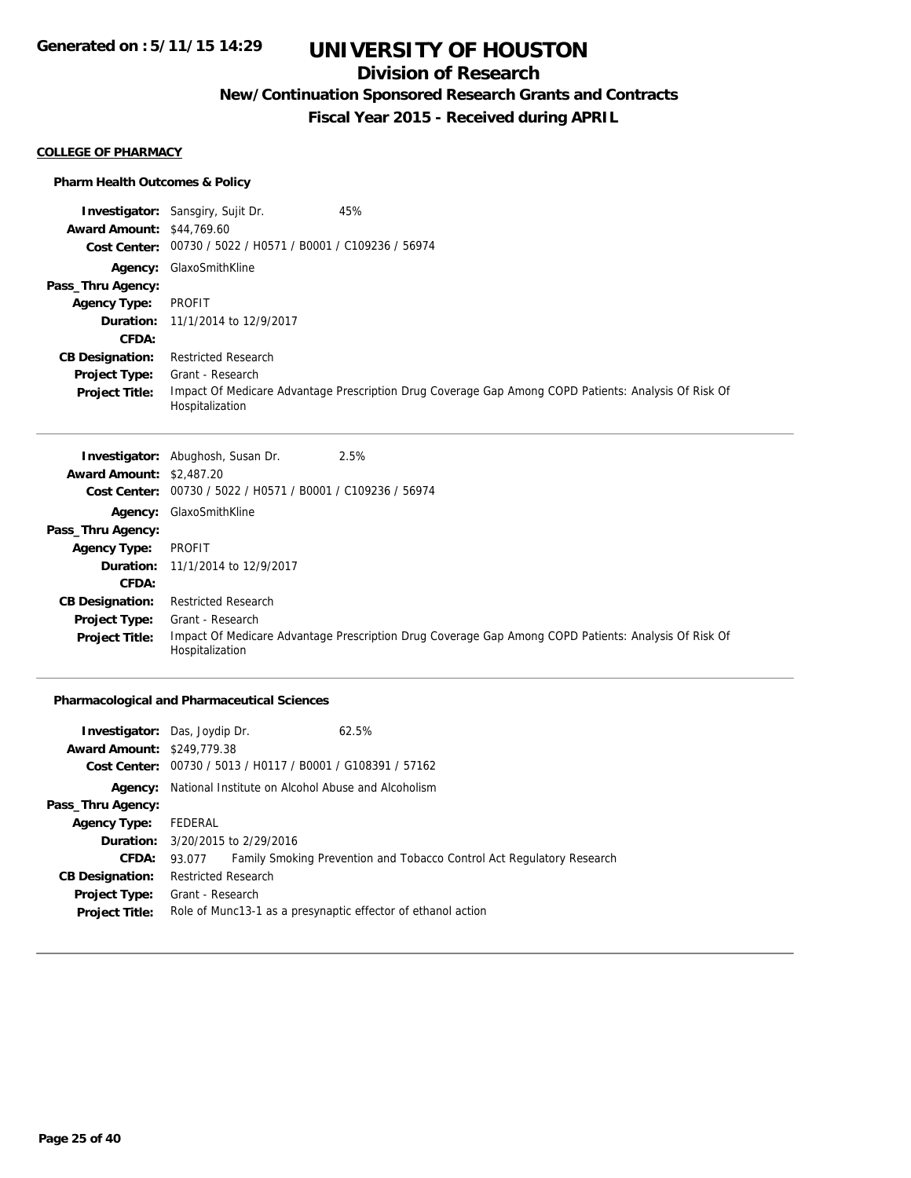# **Division of Research**

**New/Continuation Sponsored Research Grants and Contracts**

**Fiscal Year 2015 - Received during APRIL**

#### **COLLEGE OF PHARMACY**

### **Pharm Health Outcomes & Policy**

|                                  | 45%<br><b>Investigator:</b> Sansgiry, Sujit Dr.                                                                         |
|----------------------------------|-------------------------------------------------------------------------------------------------------------------------|
| <b>Award Amount: \$44,769.60</b> |                                                                                                                         |
| <b>Cost Center:</b>              | 00730 / 5022 / H0571 / B0001 / C109236 / 56974                                                                          |
| Agency:                          | GlaxoSmithKline                                                                                                         |
| Pass_Thru Agency:                |                                                                                                                         |
| <b>Agency Type:</b>              | PROFIT                                                                                                                  |
|                                  | <b>Duration:</b> 11/1/2014 to 12/9/2017                                                                                 |
| CFDA:                            |                                                                                                                         |
| <b>CB Designation:</b>           | <b>Restricted Research</b>                                                                                              |
| <b>Project Type:</b>             | Grant - Research                                                                                                        |
| <b>Project Title:</b>            | Impact Of Medicare Advantage Prescription Drug Coverage Gap Among COPD Patients: Analysis Of Risk Of<br>Hospitalization |

|                                 | 2.5%<br><b>Investigator:</b> Abughosh, Susan Dr.                                                                        |
|---------------------------------|-------------------------------------------------------------------------------------------------------------------------|
| <b>Award Amount: \$2,487.20</b> |                                                                                                                         |
| <b>Cost Center:</b>             | 00730 / 5022 / H0571 / B0001 / C109236 / 56974                                                                          |
|                                 | <b>Agency: GlaxoSmithKline</b>                                                                                          |
| Pass_Thru Agency:               |                                                                                                                         |
| <b>Agency Type:</b>             | PROFIT                                                                                                                  |
|                                 | <b>Duration:</b> 11/1/2014 to 12/9/2017                                                                                 |
| CFDA:                           |                                                                                                                         |
| <b>CB Designation:</b>          | <b>Restricted Research</b>                                                                                              |
| <b>Project Type:</b>            | Grant - Research                                                                                                        |
| <b>Project Title:</b>           | Impact Of Medicare Advantage Prescription Drug Coverage Gap Among COPD Patients: Analysis Of Risk Of<br>Hospitalization |

## **Pharmacological and Pharmaceutical Sciences**

| <b>Investigator:</b> Das, Joydip Dr. |                                                                   |  | 62.5%                                                                 |  |
|--------------------------------------|-------------------------------------------------------------------|--|-----------------------------------------------------------------------|--|
| <b>Award Amount: \$249,779.38</b>    |                                                                   |  |                                                                       |  |
|                                      |                                                                   |  | Cost Center: 00730 / 5013 / H0117 / B0001 / G108391 / 57162           |  |
|                                      | <b>Agency:</b> National Institute on Alcohol Abuse and Alcoholism |  |                                                                       |  |
| Pass_Thru Agency:                    |                                                                   |  |                                                                       |  |
| <b>Agency Type:</b>                  | FEDERAL                                                           |  |                                                                       |  |
|                                      | <b>Duration:</b> 3/20/2015 to 2/29/2016                           |  |                                                                       |  |
| <b>CFDA:</b>                         | 93.077                                                            |  | Family Smoking Prevention and Tobacco Control Act Regulatory Research |  |
| <b>CB Designation:</b>               | <b>Restricted Research</b>                                        |  |                                                                       |  |
| <b>Project Type:</b>                 | Grant - Research                                                  |  |                                                                       |  |
| <b>Project Title:</b>                |                                                                   |  | Role of Munc13-1 as a presynaptic effector of ethanol action          |  |
|                                      |                                                                   |  |                                                                       |  |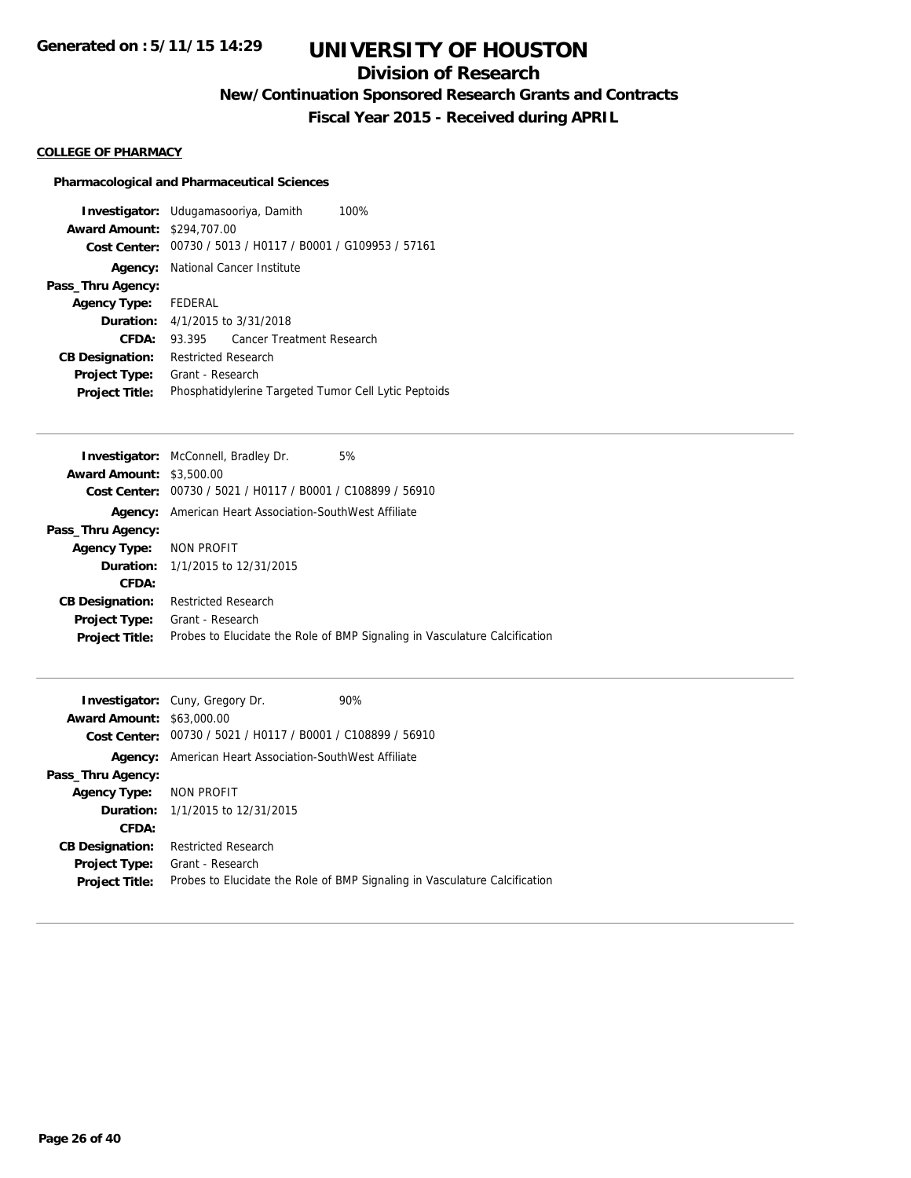# **Division of Research**

**New/Continuation Sponsored Research Grants and Contracts**

**Fiscal Year 2015 - Received during APRIL**

### **COLLEGE OF PHARMACY**

## **Pharmacological and Pharmaceutical Sciences**

| <b>Investigator:</b> Udugamasooriya, Damith<br>100%         |  |  |
|-------------------------------------------------------------|--|--|
| <b>Award Amount: \$294,707.00</b>                           |  |  |
| Cost Center: 00730 / 5013 / H0117 / B0001 / G109953 / 57161 |  |  |
| <b>Agency:</b> National Cancer Institute                    |  |  |
|                                                             |  |  |
| Agency Type: FEDERAL                                        |  |  |
| <b>Duration:</b> $4/1/2015$ to $3/31/2018$                  |  |  |
| Cancer Treatment Research<br>93.395                         |  |  |
| <b>Restricted Research</b>                                  |  |  |
| Grant - Research                                            |  |  |
| Phosphatidylerine Targeted Tumor Cell Lytic Peptoids        |  |  |
|                                                             |  |  |

|                                 | <b>Investigator:</b> McConnell, Bradley Dr.<br>5%                          |
|---------------------------------|----------------------------------------------------------------------------|
| <b>Award Amount: \$3,500.00</b> |                                                                            |
| Cost Center:                    | 00730 / 5021 / H0117 / B0001 / C108899 / 56910                             |
| Agency:                         | American Heart Association-SouthWest Affiliate                             |
| Pass_Thru Agency:               |                                                                            |
| Agency Type: NON PROFIT         |                                                                            |
|                                 | <b>Duration:</b> 1/1/2015 to 12/31/2015                                    |
| CFDA:                           |                                                                            |
| <b>CB Designation:</b>          | <b>Restricted Research</b>                                                 |
| <b>Project Type:</b>            | Grant - Research                                                           |
| <b>Project Title:</b>           | Probes to Elucidate the Role of BMP Signaling in Vasculature Calcification |
|                                 |                                                                            |

|                                  | <b>Investigator:</b> Cuny, Gregory Dr.                      | 90%                                                                        |
|----------------------------------|-------------------------------------------------------------|----------------------------------------------------------------------------|
| <b>Award Amount: \$63,000.00</b> |                                                             |                                                                            |
|                                  | Cost Center: 00730 / 5021 / H0117 / B0001 / C108899 / 56910 |                                                                            |
| Agency:                          | American Heart Association-SouthWest Affiliate              |                                                                            |
| Pass_Thru Agency:                |                                                             |                                                                            |
| Agency Type: NON PROFIT          |                                                             |                                                                            |
|                                  | <b>Duration:</b> 1/1/2015 to 12/31/2015                     |                                                                            |
| CFDA:                            |                                                             |                                                                            |
| <b>CB Designation:</b>           | <b>Restricted Research</b>                                  |                                                                            |
| <b>Project Type:</b>             | Grant - Research                                            |                                                                            |
| <b>Project Title:</b>            |                                                             | Probes to Elucidate the Role of BMP Signaling in Vasculature Calcification |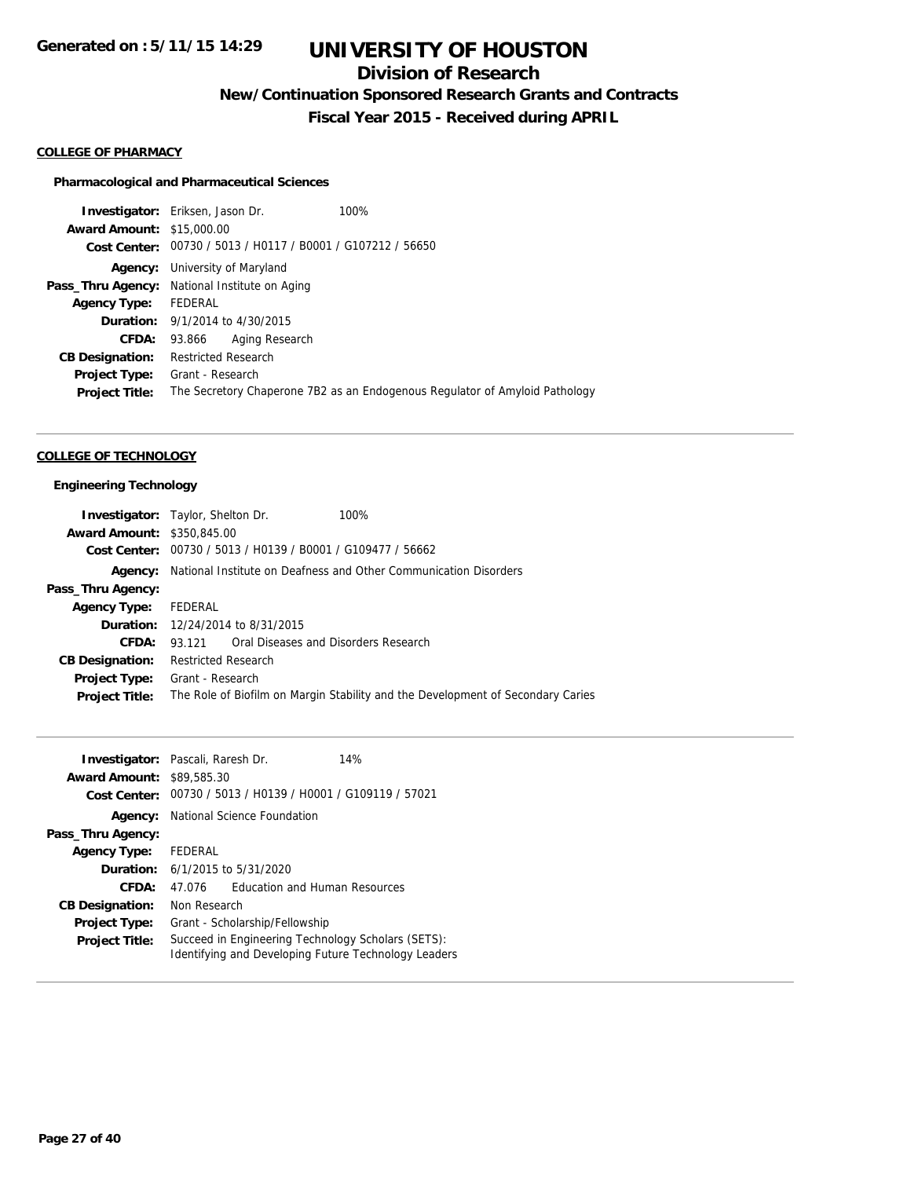# **Division of Research**

**New/Continuation Sponsored Research Grants and Contracts**

**Fiscal Year 2015 - Received during APRIL**

#### **COLLEGE OF PHARMACY**

### **Pharmacological and Pharmaceutical Sciences**

**Investigator:** Eriksen, Jason Dr. 100% **Award Amount:** \$15,000.00 **Cost Center:** 00730 / 5013 / H0117 / B0001 / G107212 / 56650 **Agency:** University of Maryland Pass\_Thru Agency: National Institute on Aging **Agency Type:** FEDERAL **Duration:** 9/1/2014 to 4/30/2015 **CFDA:** 93.866 Aging Research **CB Designation:** Restricted Research **Project Type:** Grant - Research **Project Title:** The Secretory Chaperone 7B2 as an Endogenous Regulator of Amyloid Pathology

### **COLLEGE OF TECHNOLOGY**

#### **Engineering Technology**

|                                   | <b>Investigator:</b> Taylor, Shelton Dr. | 100%                                                                            |
|-----------------------------------|------------------------------------------|---------------------------------------------------------------------------------|
| <b>Award Amount: \$350,845,00</b> |                                          |                                                                                 |
|                                   |                                          | Cost Center: 00730 / 5013 / H0139 / B0001 / G109477 / 56662                     |
| Agency:                           |                                          | National Institute on Deafness and Other Communication Disorders                |
| Pass_Thru Agency:                 |                                          |                                                                                 |
| <b>Agency Type:</b>               | FEDERAL                                  |                                                                                 |
|                                   | <b>Duration:</b> 12/24/2014 to 8/31/2015 |                                                                                 |
| CFDA:                             |                                          | 93.121 Oral Diseases and Disorders Research                                     |
| <b>CB Designation:</b>            | Restricted Research                      |                                                                                 |
| <b>Project Type:</b>              | Grant - Research                         |                                                                                 |
| <b>Project Title:</b>             |                                          | The Role of Biofilm on Margin Stability and the Development of Secondary Caries |

| <b>Investigator:</b> Pascali, Raresh Dr. |                                                                                                            |                                      | 14% |
|------------------------------------------|------------------------------------------------------------------------------------------------------------|--------------------------------------|-----|
| <b>Award Amount:</b>                     | \$89,585.30                                                                                                |                                      |     |
| Cost Center:                             | 00730 / 5013 / H0139 / H0001 / G109119 / 57021                                                             |                                      |     |
| Agency:                                  | National Science Foundation                                                                                |                                      |     |
| Pass_Thru Agency:                        |                                                                                                            |                                      |     |
| <b>Agency Type:</b>                      | FEDERAL                                                                                                    |                                      |     |
|                                          | <b>Duration:</b> 6/1/2015 to 5/31/2020                                                                     |                                      |     |
| CFDA:                                    | 47.076                                                                                                     | <b>Education and Human Resources</b> |     |
| <b>CB Designation:</b>                   | Non Research                                                                                               |                                      |     |
| <b>Project Type:</b>                     | Grant - Scholarship/Fellowship                                                                             |                                      |     |
| <b>Project Title:</b>                    | Succeed in Engineering Technology Scholars (SETS):<br>Identifying and Developing Future Technology Leaders |                                      |     |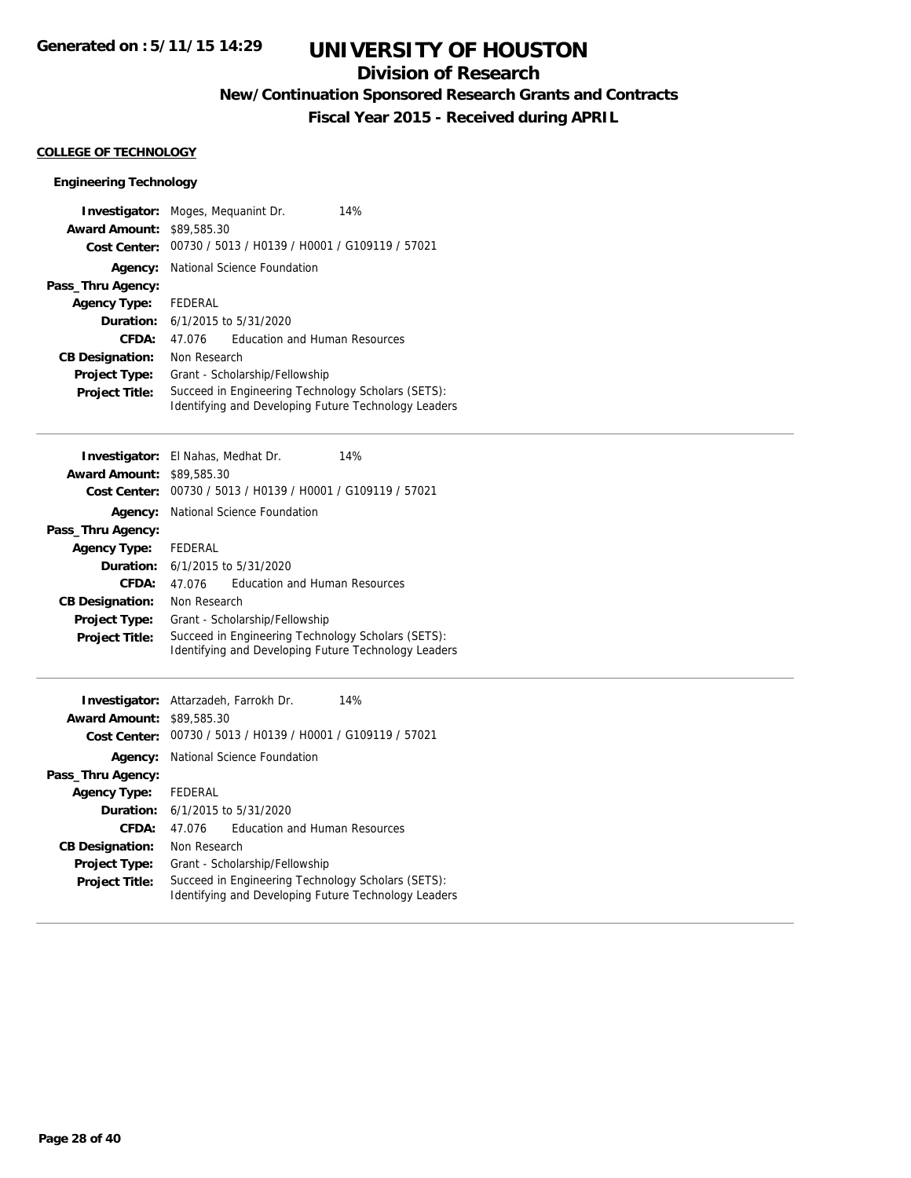# **Division of Research**

**New/Continuation Sponsored Research Grants and Contracts**

**Fiscal Year 2015 - Received during APRIL**

### **COLLEGE OF TECHNOLOGY**

## **Engineering Technology**

| Investigator:          | 14%<br>Moges, Mequanint Dr.                                                                                |  |
|------------------------|------------------------------------------------------------------------------------------------------------|--|
| <b>Award Amount:</b>   | \$89,585.30                                                                                                |  |
| <b>Cost Center:</b>    | 00730 / 5013 / H0139 / H0001 / G109119 / 57021                                                             |  |
| Agency:                | National Science Foundation                                                                                |  |
| Pass_Thru Agency:      |                                                                                                            |  |
| <b>Agency Type:</b>    | <b>FEDERAL</b>                                                                                             |  |
| Duration:              | 6/1/2015 to 5/31/2020                                                                                      |  |
| <b>CFDA:</b>           | <b>Education and Human Resources</b><br>47.076                                                             |  |
| <b>CB Designation:</b> | Non Research                                                                                               |  |
| Project Type:          | Grant - Scholarship/Fellowship                                                                             |  |
| <b>Project Title:</b>  | Succeed in Engineering Technology Scholars (SETS):<br>Identifying and Developing Future Technology Leaders |  |
| Investigator:          | El Nahas, Medhat Dr.<br>14%                                                                                |  |
| <b>Award Amount:</b>   | \$89,585.30                                                                                                |  |
| <b>Cost Center:</b>    | 00730 / 5013 / H0139 / H0001 / G109119 / 57021                                                             |  |
| Agency:                | National Science Foundation                                                                                |  |
| Pass_Thru Agency:      |                                                                                                            |  |
| <b>Agency Type:</b>    | <b>FEDERAL</b>                                                                                             |  |
| Duration:              | 6/1/2015 to 5/31/2020                                                                                      |  |
| <b>CFDA:</b>           | <b>Education and Human Resources</b><br>47.076                                                             |  |
| <b>CB Designation:</b> | Non Research                                                                                               |  |
| <b>Project Type:</b>   | Grant - Scholarship/Fellowship                                                                             |  |
| <b>Project Title:</b>  | Succeed in Engineering Technology Scholars (SETS):<br>Identifying and Developing Future Technology Leaders |  |
| Investigator:          | Attarzadeh, Farrokh Dr.<br>14%                                                                             |  |
| <b>Award Amount:</b>   | \$89,585.30                                                                                                |  |
| <b>Cost Center:</b>    | 00730 / 5013 / H0139 / H0001 / G109119 / 57021                                                             |  |
| Agency:                | National Science Foundation                                                                                |  |
| Pass_Thru Agency:      |                                                                                                            |  |
| <b>Agency Type:</b>    | <b>FEDERAL</b>                                                                                             |  |
| Duration:              | 6/1/2015 to 5/31/2020                                                                                      |  |
| CFDA:                  | <b>Education and Human Resources</b><br>47.076                                                             |  |
| <b>CB Designation:</b> | Non Research                                                                                               |  |
| Project Type:          | Grant - Scholarship/Fellowship                                                                             |  |
| <b>Project Title:</b>  | Succeed in Engineering Technology Scholars (SETS):<br>Identifying and Developing Future Technology Leaders |  |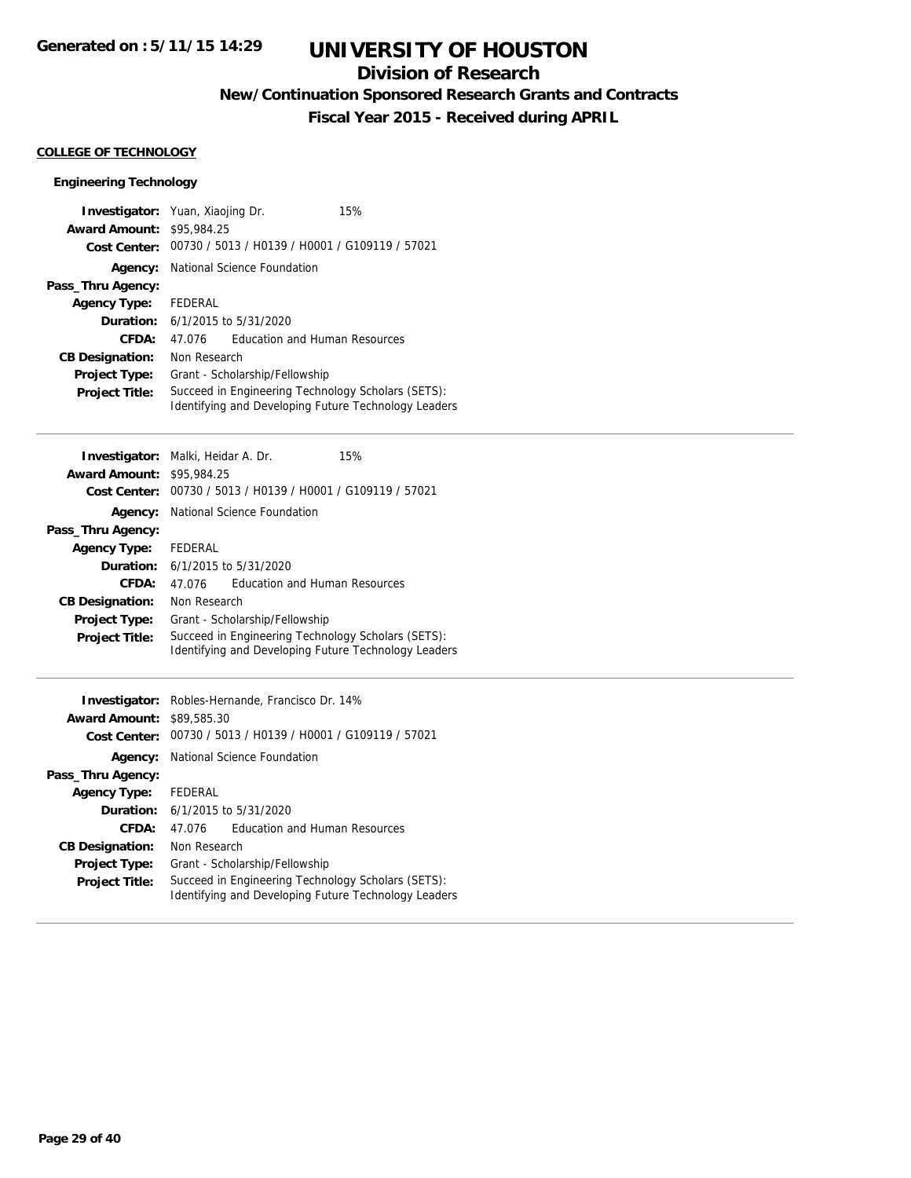# **Division of Research**

**New/Continuation Sponsored Research Grants and Contracts**

**Fiscal Year 2015 - Received during APRIL**

## **COLLEGE OF TECHNOLOGY**

## **Engineering Technology**

| Investigator:          | Yuan, Xiaojing Dr.<br>15%                                                                                  |  |  |
|------------------------|------------------------------------------------------------------------------------------------------------|--|--|
| <b>Award Amount:</b>   | \$95,984.25                                                                                                |  |  |
| <b>Cost Center:</b>    | 00730 / 5013 / H0139 / H0001 / G109119 / 57021                                                             |  |  |
| Agency:                | National Science Foundation                                                                                |  |  |
| Pass_Thru Agency:      |                                                                                                            |  |  |
| <b>Agency Type:</b>    | <b>FEDERAL</b>                                                                                             |  |  |
| Duration:              | 6/1/2015 to 5/31/2020                                                                                      |  |  |
| <b>CFDA:</b>           | 47.076<br><b>Education and Human Resources</b>                                                             |  |  |
| <b>CB Designation:</b> | Non Research                                                                                               |  |  |
| <b>Project Type:</b>   | Grant - Scholarship/Fellowship                                                                             |  |  |
| <b>Project Title:</b>  | Succeed in Engineering Technology Scholars (SETS):                                                         |  |  |
|                        | Identifying and Developing Future Technology Leaders                                                       |  |  |
|                        |                                                                                                            |  |  |
| Investigator:          | 15%<br>Malki, Heidar A. Dr.                                                                                |  |  |
| <b>Award Amount:</b>   | \$95,984.25                                                                                                |  |  |
| <b>Cost Center:</b>    | 00730 / 5013 / H0139 / H0001 / G109119 / 57021                                                             |  |  |
| Agency:                | National Science Foundation                                                                                |  |  |
| Pass_Thru Agency:      |                                                                                                            |  |  |
| <b>Agency Type:</b>    | <b>FEDERAL</b>                                                                                             |  |  |
| Duration:              | 6/1/2015 to 5/31/2020                                                                                      |  |  |
| <b>CFDA:</b>           | <b>Education and Human Resources</b><br>47.076                                                             |  |  |
| <b>CB Designation:</b> | Non Research                                                                                               |  |  |
| <b>Project Type:</b>   | Grant - Scholarship/Fellowship                                                                             |  |  |
| <b>Project Title:</b>  | Succeed in Engineering Technology Scholars (SETS):                                                         |  |  |
|                        | Identifying and Developing Future Technology Leaders                                                       |  |  |
|                        |                                                                                                            |  |  |
| Investigator:          | Robles-Hernande, Francisco Dr. 14%                                                                         |  |  |
| <b>Award Amount:</b>   | \$89,585.30                                                                                                |  |  |
| <b>Cost Center:</b>    | 00730 / 5013 / H0139 / H0001 / G109119 / 57021                                                             |  |  |
| Agency:                | National Science Foundation                                                                                |  |  |
| Pass_Thru Agency:      |                                                                                                            |  |  |
| <b>Agency Type:</b>    | FEDERAL                                                                                                    |  |  |
| Duration:              | 6/1/2015 to 5/31/2020                                                                                      |  |  |
| <b>CFDA:</b>           | <b>Education and Human Resources</b><br>47.076                                                             |  |  |
| <b>CB Designation:</b> | Non Research                                                                                               |  |  |
| Project Type:          | Grant - Scholarship/Fellowship                                                                             |  |  |
| <b>Project Title:</b>  | Succeed in Engineering Technology Scholars (SETS):<br>Identifying and Developing Future Technology Leaders |  |  |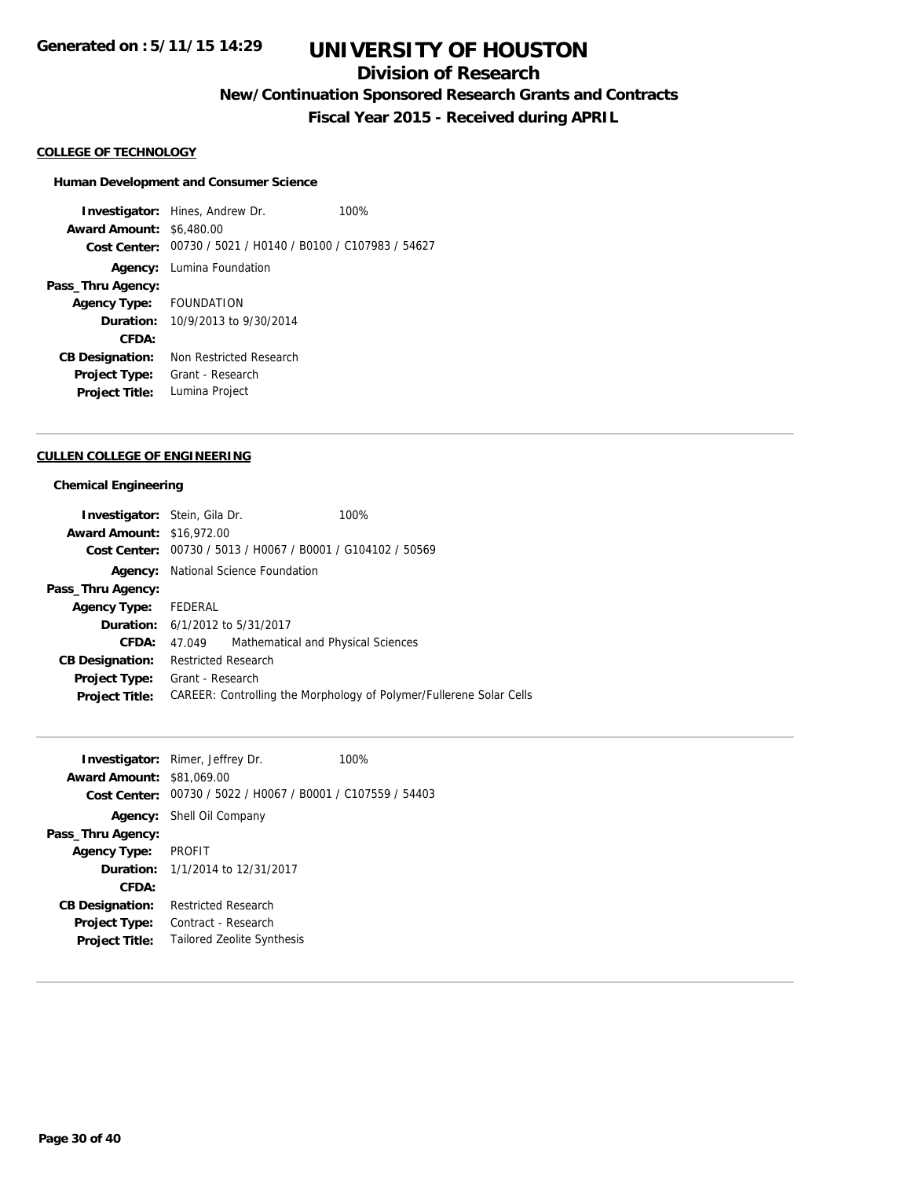# **Division of Research**

**New/Continuation Sponsored Research Grants and Contracts**

**Fiscal Year 2015 - Received during APRIL**

#### **COLLEGE OF TECHNOLOGY**

### **Human Development and Consumer Science**

**Investigator:** Hines, Andrew Dr. 100% **Award Amount:** \$6,480.00 **Cost Center:** 00730 / 5021 / H0140 / B0100 / C107983 / 54627 **Agency:** Lumina Foundation **Pass\_Thru Agency: Agency Type:** FOUNDATION **Duration:** 10/9/2013 to 9/30/2014 **CFDA: CB Designation:** Non Restricted Research **Project Type:** Grant - Research **Project Title:** Lumina Project

#### **CULLEN COLLEGE OF ENGINEERING**

#### **Chemical Engineering**

| <b>Investigator:</b> Stein, Gila Dr. |                            |                                                             | 100%                                                                |
|--------------------------------------|----------------------------|-------------------------------------------------------------|---------------------------------------------------------------------|
| <b>Award Amount: \$16,972.00</b>     |                            |                                                             |                                                                     |
|                                      |                            | Cost Center: 00730 / 5013 / H0067 / B0001 / G104102 / 50569 |                                                                     |
| Agency:                              |                            | National Science Foundation                                 |                                                                     |
| Pass_Thru Agency:                    |                            |                                                             |                                                                     |
| Agency Type: FEDERAL                 |                            |                                                             |                                                                     |
|                                      |                            | <b>Duration:</b> 6/1/2012 to 5/31/2017                      |                                                                     |
| CFDA:                                | 47.049                     | Mathematical and Physical Sciences                          |                                                                     |
| <b>CB Designation:</b>               | <b>Restricted Research</b> |                                                             |                                                                     |
| <b>Project Type:</b>                 | Grant - Research           |                                                             |                                                                     |
| <b>Project Title:</b>                |                            |                                                             | CAREER: Controlling the Morphology of Polymer/Fullerene Solar Cells |

| <b>Award Amount: \$81,069.00</b> | <b>Investigator:</b> Rimer, Jeffrey Dr.        | 100% |
|----------------------------------|------------------------------------------------|------|
| Cost Center:                     | 00730 / 5022 / H0067 / B0001 / C107559 / 54403 |      |
|                                  | <b>Agency:</b> Shell Oil Company               |      |
| Pass_Thru Agency:                |                                                |      |
| <b>Agency Type:</b>              | <b>PROFIT</b>                                  |      |
|                                  | <b>Duration:</b> 1/1/2014 to 12/31/2017        |      |
| CFDA:                            |                                                |      |
| <b>CB Designation:</b>           | Restricted Research                            |      |
| <b>Project Type:</b>             | Contract - Research                            |      |
| <b>Project Title:</b>            | <b>Tailored Zeolite Synthesis</b>              |      |
|                                  |                                                |      |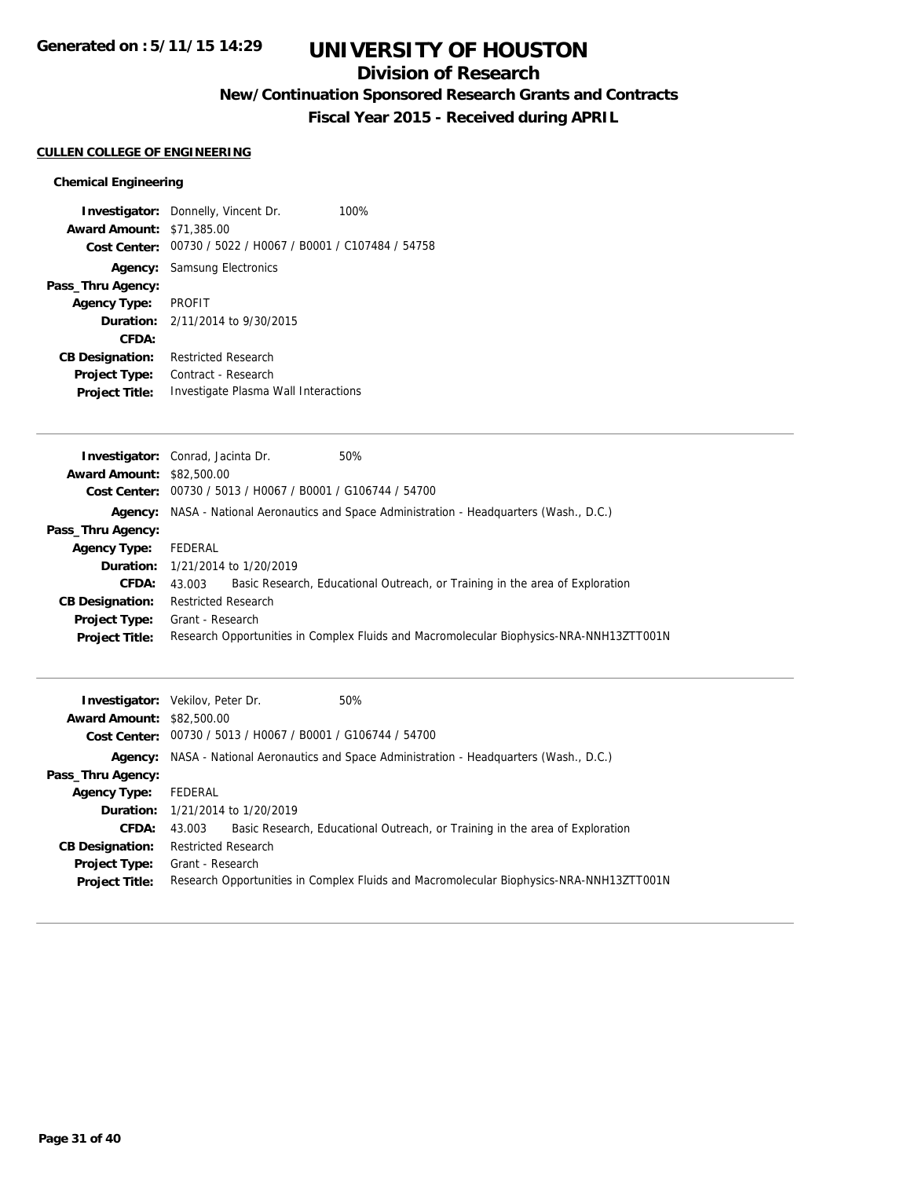# **Division of Research**

**New/Continuation Sponsored Research Grants and Contracts**

**Fiscal Year 2015 - Received during APRIL**

## **CULLEN COLLEGE OF ENGINEERING**

## **Chemical Engineering**

| <b>Investigator:</b> Donnelly, Vincent Dr.                  | 100% |
|-------------------------------------------------------------|------|
| <b>Award Amount: \$71,385,00</b>                            |      |
| Cost Center: 00730 / 5022 / H0067 / B0001 / C107484 / 54758 |      |
| <b>Agency:</b> Samsung Electronics                          |      |
|                                                             |      |
| Agency Type: PROFIT                                         |      |
| <b>Duration:</b> $2/11/2014$ to $9/30/2015$                 |      |
|                                                             |      |
| <b>Restricted Research</b>                                  |      |
| Contract - Research                                         |      |
| Investigate Plasma Wall Interactions                        |      |
|                                                             |      |

|                                  | <b>Investigator:</b> Conrad, Jacinta Dr.                    | 50%                                                                                       |
|----------------------------------|-------------------------------------------------------------|-------------------------------------------------------------------------------------------|
| <b>Award Amount: \$82,500.00</b> |                                                             |                                                                                           |
|                                  | Cost Center: 00730 / 5013 / H0067 / B0001 / G106744 / 54700 |                                                                                           |
|                                  |                                                             | Agency: NASA - National Aeronautics and Space Administration - Headquarters (Wash., D.C.) |
| Pass_Thru Agency:                |                                                             |                                                                                           |
| <b>Agency Type:</b>              | FEDERAL                                                     |                                                                                           |
|                                  | <b>Duration:</b> 1/21/2014 to 1/20/2019                     |                                                                                           |
| <b>CFDA:</b>                     | 43.003                                                      | Basic Research, Educational Outreach, or Training in the area of Exploration              |
| <b>CB Designation:</b>           | <b>Restricted Research</b>                                  |                                                                                           |
| <b>Project Type:</b>             | Grant - Research                                            |                                                                                           |
| <b>Project Title:</b>            |                                                             | Research Opportunities in Complex Fluids and Macromolecular Biophysics-NRA-NNH13ZTT001N   |
|                                  |                                                             |                                                                                           |

|                                  | 50%<br><b>Investigator:</b> Vekilov, Peter Dr.                                            |
|----------------------------------|-------------------------------------------------------------------------------------------|
| <b>Award Amount: \$82,500.00</b> |                                                                                           |
|                                  | Cost Center: 00730 / 5013 / H0067 / B0001 / G106744 / 54700                               |
|                                  | Agency: NASA - National Aeronautics and Space Administration - Headquarters (Wash., D.C.) |
| Pass_Thru Agency:                |                                                                                           |
| Agency Type:                     | FEDERAL                                                                                   |
|                                  | <b>Duration:</b> 1/21/2014 to 1/20/2019                                                   |
| <b>CFDA:</b>                     | Basic Research, Educational Outreach, or Training in the area of Exploration<br>43.003    |
| <b>CB Designation:</b>           | <b>Restricted Research</b>                                                                |
| <b>Project Type:</b>             | Grant - Research                                                                          |
| <b>Project Title:</b>            | Research Opportunities in Complex Fluids and Macromolecular Biophysics-NRA-NNH13ZTT001N   |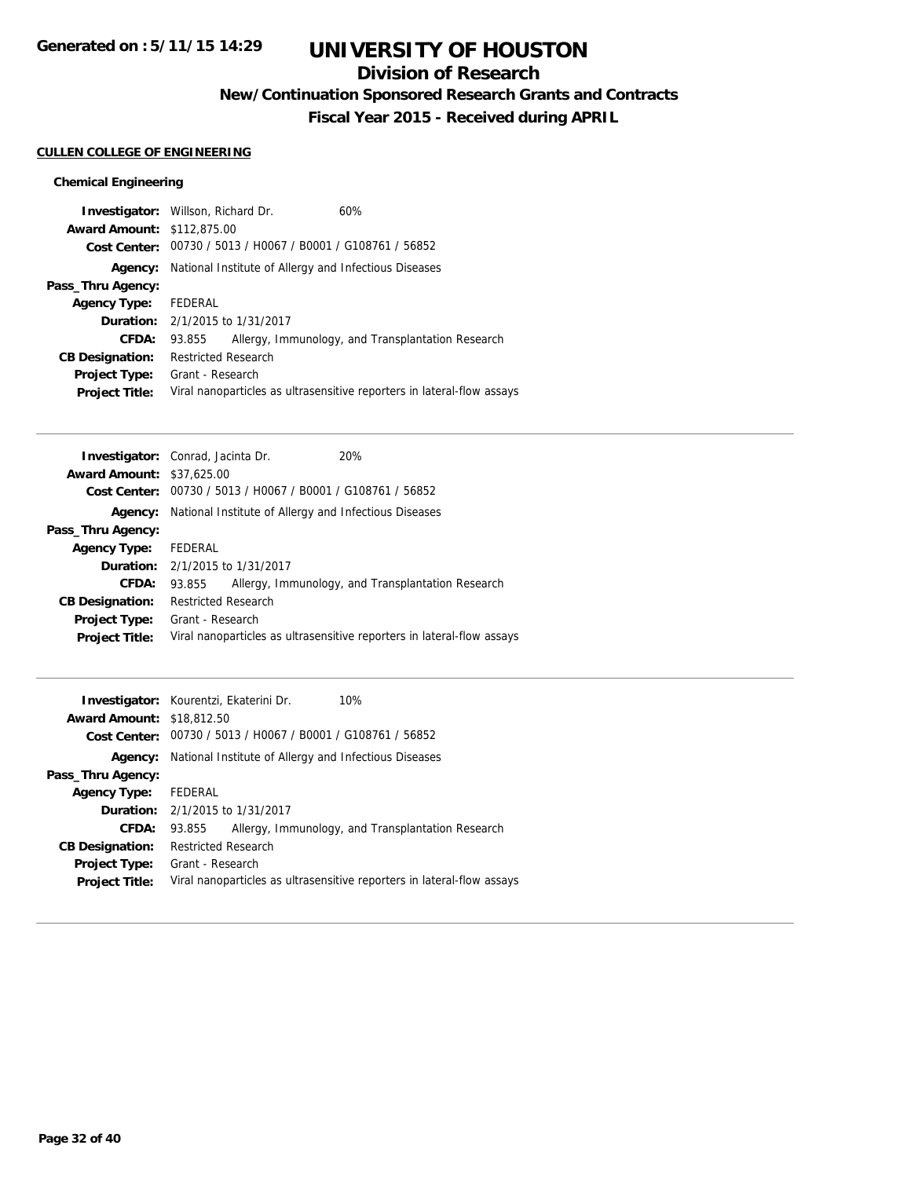# **Division of Research**

**New/Continuation Sponsored Research Grants and Contracts**

**Fiscal Year 2015 - Received during APRIL**

## **CULLEN COLLEGE OF ENGINEERING**

## **Chemical Engineering**

|                                   | <b>Investigator:</b> Willson, Richard Dr.                   | 60%                                                                    |
|-----------------------------------|-------------------------------------------------------------|------------------------------------------------------------------------|
| <b>Award Amount: \$112,875.00</b> |                                                             |                                                                        |
|                                   | Cost Center: 00730 / 5013 / H0067 / B0001 / G108761 / 56852 |                                                                        |
| Agency:                           | National Institute of Allergy and Infectious Diseases       |                                                                        |
| Pass_Thru Agency:                 |                                                             |                                                                        |
| <b>Agency Type:</b>               | FEDERAL                                                     |                                                                        |
|                                   | <b>Duration:</b> 2/1/2015 to 1/31/2017                      |                                                                        |
| <b>CFDA:</b>                      | 93.855                                                      | Allergy, Immunology, and Transplantation Research                      |
| <b>CB Designation:</b>            | <b>Restricted Research</b>                                  |                                                                        |
| <b>Project Type:</b>              | Grant - Research                                            |                                                                        |
| <b>Project Title:</b>             |                                                             | Viral nanoparticles as ultrasensitive reporters in lateral-flow assays |

| <b>Investigator:</b> Conrad, Jacinta Dr. |                                        | 20%                                                                    |
|------------------------------------------|----------------------------------------|------------------------------------------------------------------------|
| <b>Award Amount: \$37,625,00</b>         |                                        |                                                                        |
| Cost Center:                             |                                        | 00730 / 5013 / H0067 / B0001 / G108761 / 56852                         |
| Agency:                                  |                                        | National Institute of Allergy and Infectious Diseases                  |
| Pass_Thru Agency:                        |                                        |                                                                        |
| <b>Agency Type:</b>                      | FEDERAL                                |                                                                        |
|                                          | <b>Duration:</b> 2/1/2015 to 1/31/2017 |                                                                        |
| CFDA:                                    | 93.855                                 | Allergy, Immunology, and Transplantation Research                      |
| <b>CB Designation:</b>                   | <b>Restricted Research</b>             |                                                                        |
| <b>Project Type:</b>                     | Grant - Research                       |                                                                        |
| <b>Project Title:</b>                    |                                        | Viral nanoparticles as ultrasensitive reporters in lateral-flow assays |
|                                          |                                        |                                                                        |

|                                  | Investigator: Kourentzi, Ekaterini Dr.<br>10%                          |
|----------------------------------|------------------------------------------------------------------------|
| <b>Award Amount: \$18,812.50</b> |                                                                        |
|                                  | Cost Center: 00730 / 5013 / H0067 / B0001 / G108761 / 56852            |
| Agency:                          | National Institute of Allergy and Infectious Diseases                  |
| Pass_Thru Agency:                |                                                                        |
| Agency Type: FEDERAL             |                                                                        |
|                                  | <b>Duration:</b> 2/1/2015 to 1/31/2017                                 |
| <b>CFDA:</b>                     | Allergy, Immunology, and Transplantation Research<br>93.855            |
| <b>CB Designation:</b>           | <b>Restricted Research</b>                                             |
| <b>Project Type:</b>             | Grant - Research                                                       |
| <b>Project Title:</b>            | Viral nanoparticles as ultrasensitive reporters in lateral-flow assays |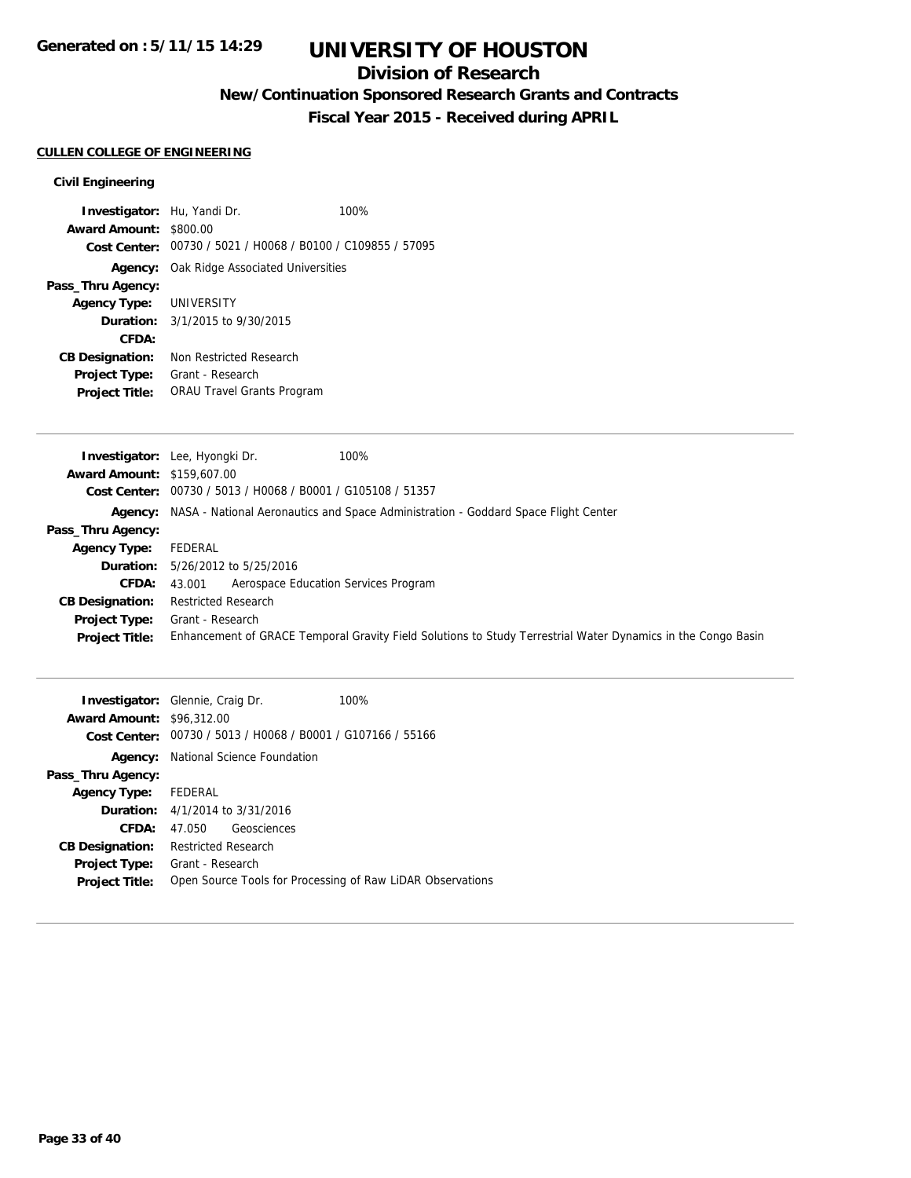# **Division of Research**

**New/Continuation Sponsored Research Grants and Contracts**

**Fiscal Year 2015 - Received during APRIL**

#### **CULLEN COLLEGE OF ENGINEERING**

### **Civil Engineering**

**Investigator:** Hu, Yandi Dr. 100% **Award Amount:** \$800.00 **Cost Center:** 00730 / 5021 / H0068 / B0100 / C109855 / 57095 **Agency:** Oak Ridge Associated Universities **Pass\_Thru Agency: Agency Type:** UNIVERSITY **Duration:** 3/1/2015 to 9/30/2015 **CFDA: CB Designation:** Non Restricted Research **Project Type:** Grant - Research **Project Title:** ORAU Travel Grants Program

|                                   | 100%<br><b>Investigator:</b> Lee, Hyongki Dr.                                                                |
|-----------------------------------|--------------------------------------------------------------------------------------------------------------|
| <b>Award Amount: \$159,607.00</b> |                                                                                                              |
|                                   | Cost Center: 00730 / 5013 / H0068 / B0001 / G105108 / 51357                                                  |
|                                   | Agency: NASA - National Aeronautics and Space Administration - Goddard Space Flight Center                   |
| Pass_Thru Agency:                 |                                                                                                              |
| Agency Type:                      | FEDERAL                                                                                                      |
|                                   | <b>Duration:</b> 5/26/2012 to 5/25/2016                                                                      |
| <b>CFDA:</b>                      | Aerospace Education Services Program<br>43.001                                                               |
| <b>CB Designation:</b>            | <b>Restricted Research</b>                                                                                   |
| <b>Project Type:</b>              | Grant - Research                                                                                             |
| <b>Project Title:</b>             | Enhancement of GRACE Temporal Gravity Field Solutions to Study Terrestrial Water Dynamics in the Congo Basin |
|                                   |                                                                                                              |

|                                  | <b>Investigator:</b> Glennie, Craig Dr.                     | 100% |
|----------------------------------|-------------------------------------------------------------|------|
| <b>Award Amount: \$96,312.00</b> |                                                             |      |
|                                  | Cost Center: 00730 / 5013 / H0068 / B0001 / G107166 / 55166 |      |
| Agency:                          | National Science Foundation                                 |      |
| Pass_Thru Agency:                |                                                             |      |
| Agency Type: FEDERAL             |                                                             |      |
|                                  | <b>Duration:</b> 4/1/2014 to 3/31/2016                      |      |
| <b>CFDA:</b>                     | Geosciences<br>47.050                                       |      |
| <b>CB Designation:</b>           | <b>Restricted Research</b>                                  |      |
| <b>Project Type:</b>             | Grant - Research                                            |      |
| <b>Project Title:</b>            | Open Source Tools for Processing of Raw LiDAR Observations  |      |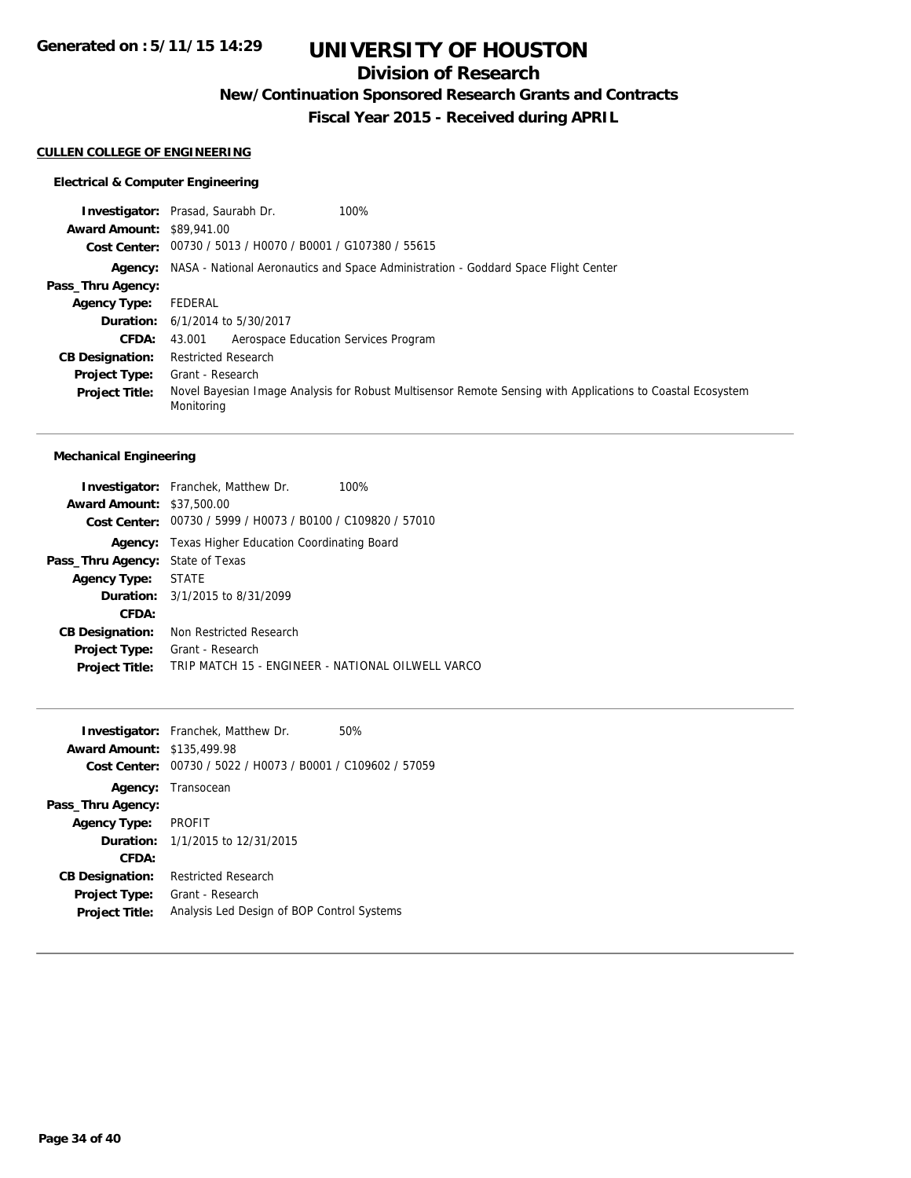# **Division of Research**

**New/Continuation Sponsored Research Grants and Contracts**

**Fiscal Year 2015 - Received during APRIL**

## **CULLEN COLLEGE OF ENGINEERING**

## **Electrical & Computer Engineering**

|                                  | <b>Investigator:</b> Prasad, Saurabh Dr.<br>100%                                                                         |
|----------------------------------|--------------------------------------------------------------------------------------------------------------------------|
| <b>Award Amount: \$89,941.00</b> |                                                                                                                          |
|                                  | Cost Center: 00730 / 5013 / H0070 / B0001 / G107380 / 55615                                                              |
|                                  | Agency: NASA - National Aeronautics and Space Administration - Goddard Space Flight Center                               |
| Pass_Thru Agency:                |                                                                                                                          |
| <b>Agency Type:</b>              | FEDERAL                                                                                                                  |
|                                  | <b>Duration:</b> 6/1/2014 to 5/30/2017                                                                                   |
| <b>CFDA:</b>                     | Aerospace Education Services Program<br>43.001                                                                           |
| <b>CB Designation:</b>           | <b>Restricted Research</b>                                                                                               |
| <b>Project Type:</b>             | Grant - Research                                                                                                         |
| <b>Project Title:</b>            | Novel Bayesian Image Analysis for Robust Multisensor Remote Sensing with Applications to Coastal Ecosystem<br>Monitoring |

## **Mechanical Engineering**

| <b>Investigator:</b> Franchek, Matthew Dr.<br>100%          |  |  |
|-------------------------------------------------------------|--|--|
| <b>Award Amount: \$37,500.00</b>                            |  |  |
| Cost Center: 00730 / 5999 / H0073 / B0100 / C109820 / 57010 |  |  |
| Texas Higher Education Coordinating Board                   |  |  |
| State of Texas                                              |  |  |
| Agency Type: STATE                                          |  |  |
| <b>Duration:</b> 3/1/2015 to 8/31/2099                      |  |  |
|                                                             |  |  |
| Non Restricted Research                                     |  |  |
| Grant - Research                                            |  |  |
| TRIP MATCH 15 - ENGINEER - NATIONAL OILWELL VARCO           |  |  |
|                                                             |  |  |

|                                   | <b>Investigator:</b> Franchek, Matthew Dr.                  | 50% |
|-----------------------------------|-------------------------------------------------------------|-----|
| <b>Award Amount: \$135,499.98</b> |                                                             |     |
|                                   | Cost Center: 00730 / 5022 / H0073 / B0001 / C109602 / 57059 |     |
|                                   | Agency: Transocean                                          |     |
| Pass_Thru Agency:                 |                                                             |     |
| Agency Type: PROFIT               |                                                             |     |
|                                   | <b>Duration:</b> 1/1/2015 to 12/31/2015                     |     |
| CFDA:                             |                                                             |     |
| <b>CB Designation:</b>            | <b>Restricted Research</b>                                  |     |
| <b>Project Type:</b>              | Grant - Research                                            |     |
| <b>Project Title:</b>             | Analysis Led Design of BOP Control Systems                  |     |
|                                   |                                                             |     |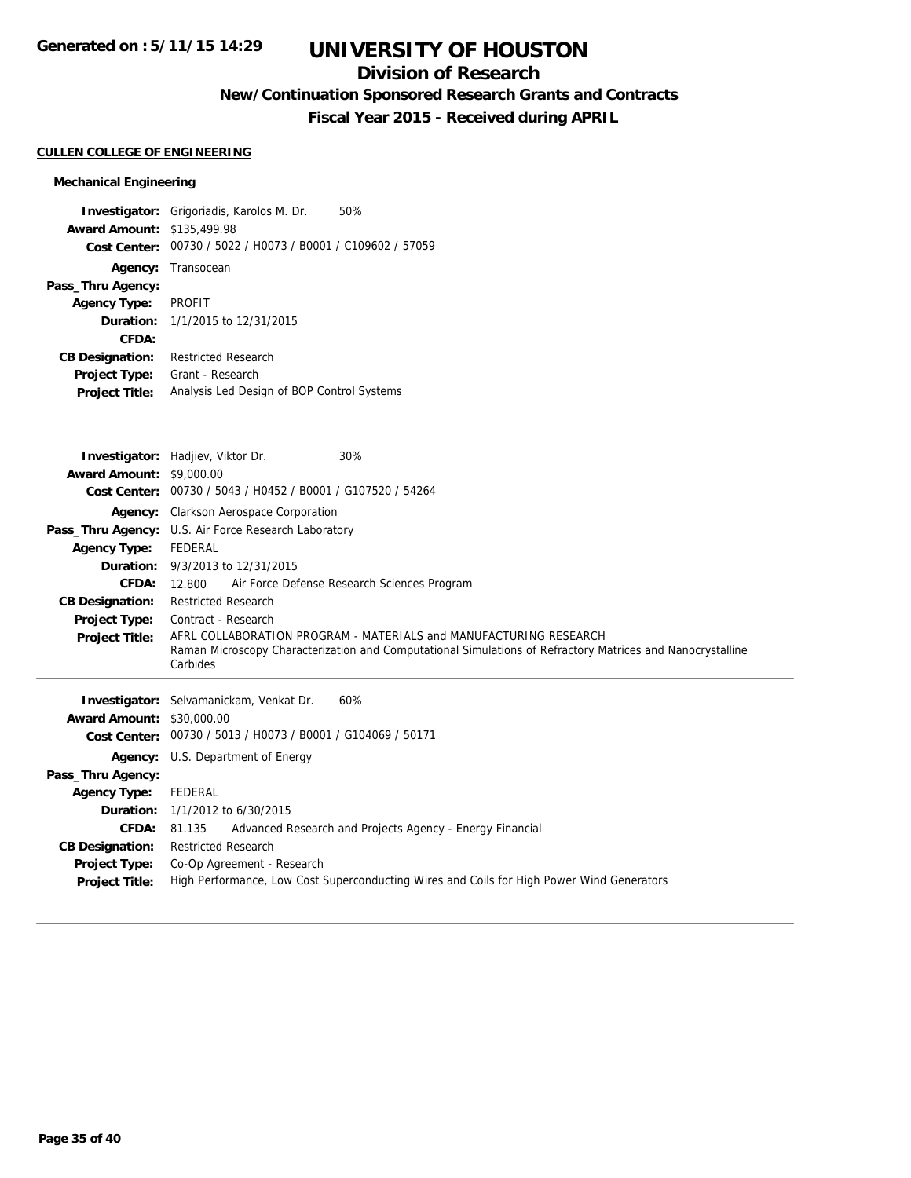# **Division of Research**

**New/Continuation Sponsored Research Grants and Contracts**

**Fiscal Year 2015 - Received during APRIL**

## **CULLEN COLLEGE OF ENGINEERING**

## **Mechanical Engineering**

|                                   | <b>Investigator:</b> Grigoriadis, Karolos M. Dr. | 50% |
|-----------------------------------|--------------------------------------------------|-----|
| <b>Award Amount: \$135,499.98</b> |                                                  |     |
| Cost Center:                      | 00730 / 5022 / H0073 / B0001 / C109602 / 57059   |     |
|                                   | <b>Agency:</b> Transocean                        |     |
| Pass_Thru Agency:                 |                                                  |     |
| <b>Agency Type:</b>               | PROFIT                                           |     |
|                                   | <b>Duration:</b> 1/1/2015 to 12/31/2015          |     |
| CFDA:                             |                                                  |     |
| <b>CB Designation:</b>            | <b>Restricted Research</b>                       |     |
| Project Type:                     | Grant - Research                                 |     |
| <b>Project Title:</b>             | Analysis Led Design of BOP Control Systems       |     |

|                                  | <b>Investigator:</b> Hadjiev, Viktor Dr.<br>30%                                                            |
|----------------------------------|------------------------------------------------------------------------------------------------------------|
| <b>Award Amount: \$9,000.00</b>  |                                                                                                            |
| <b>Cost Center:</b>              | 00730 / 5043 / H0452 / B0001 / G107520 / 54264                                                             |
|                                  | Agency: Clarkson Aerospace Corporation                                                                     |
|                                  | Pass_Thru Agency: U.S. Air Force Research Laboratory                                                       |
| <b>Agency Type:</b>              | FEDERAL                                                                                                    |
|                                  | <b>Duration:</b> 9/3/2013 to 12/31/2015                                                                    |
|                                  | <b>CFDA: 12.800</b><br>Air Force Defense Research Sciences Program                                         |
| <b>CB Designation:</b>           | <b>Restricted Research</b>                                                                                 |
| <b>Project Type:</b>             | Contract - Research                                                                                        |
| <b>Project Title:</b>            | AFRL COLLABORATION PROGRAM - MATERIALS and MANUFACTURING RESEARCH                                          |
|                                  | Raman Microscopy Characterization and Computational Simulations of Refractory Matrices and Nanocrystalline |
|                                  | Carbides                                                                                                   |
|                                  |                                                                                                            |
|                                  |                                                                                                            |
|                                  | Investigator: Selvamanickam, Venkat Dr.<br>60%                                                             |
| <b>Award Amount: \$30,000.00</b> | Cost Center: 00730 / 5013 / H0073 / B0001 / G104069 / 50171                                                |
|                                  | <b>Agency:</b> U.S. Department of Energy                                                                   |
| Pass_Thru Agency:                |                                                                                                            |
| <b>Agency Type:</b>              | FEDERAL                                                                                                    |
|                                  | <b>Duration:</b> 1/1/2012 to 6/30/2015                                                                     |
| <b>CFDA:</b>                     | Advanced Research and Projects Agency - Energy Financial<br>81.135                                         |
| <b>CB Designation:</b>           | <b>Restricted Research</b>                                                                                 |
| <b>Project Type:</b>             | Co-Op Agreement - Research                                                                                 |
| <b>Project Title:</b>            | High Performance, Low Cost Superconducting Wires and Coils for High Power Wind Generators                  |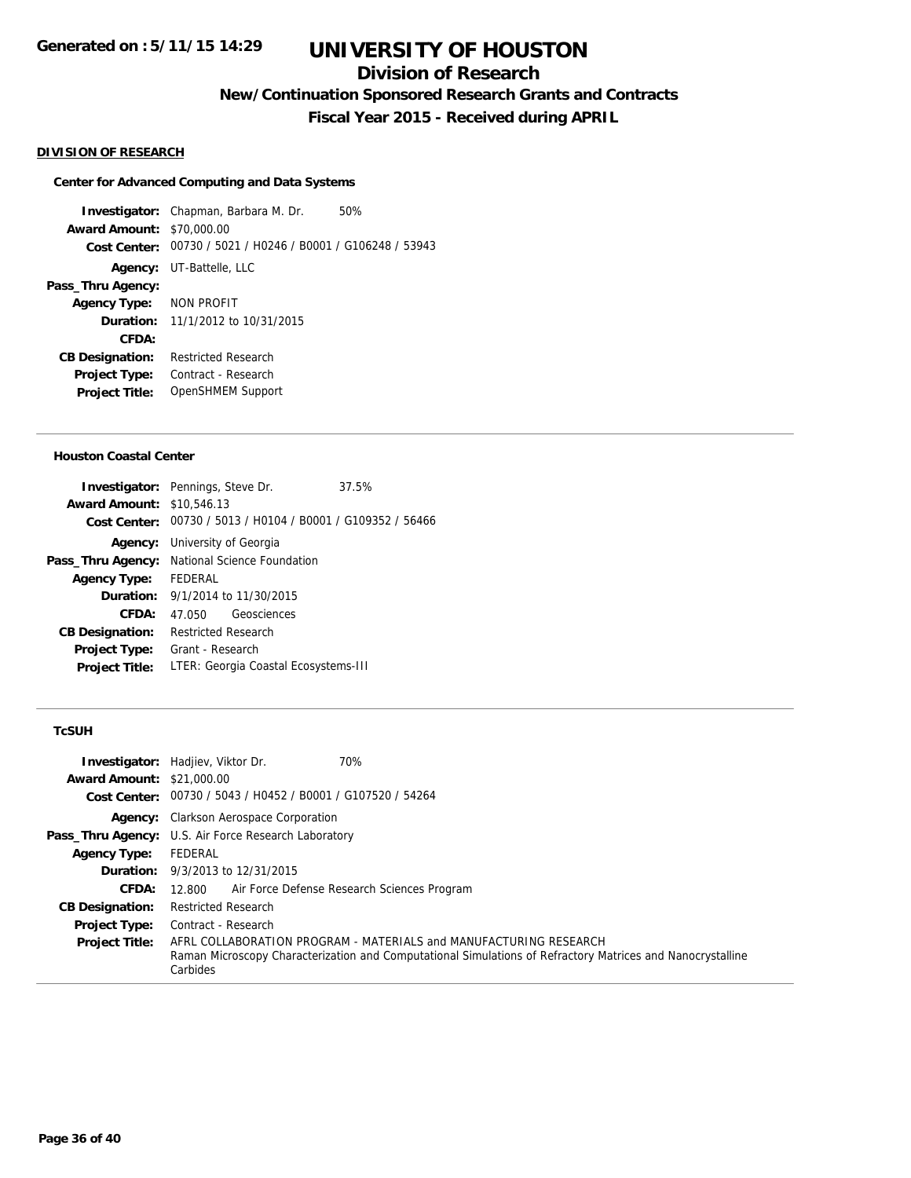# **Division of Research**

**New/Continuation Sponsored Research Grants and Contracts**

**Fiscal Year 2015 - Received during APRIL**

#### **DIVISION OF RESEARCH**

### **Center for Advanced Computing and Data Systems**

**Investigator:** Chapman, Barbara M. Dr. 50% **Award Amount:** \$70,000.00 **Cost Center:** 00730 / 5021 / H0246 / B0001 / G106248 / 53943 **Agency:** UT-Battelle, LLC **Pass\_Thru Agency: Agency Type:** NON PROFIT **Duration:** 11/1/2012 to 10/31/2015 **CFDA: CB Designation:** Restricted Research **Project Type:** Contract - Research **Project Title:** OpenSHMEM Support

#### **Houston Coastal Center**

| <b>Award Amount: \$10,546.13</b><br>Cost Center: 00730 / 5013 / H0104 / B0001 / G109352 / 56466<br><b>Agency:</b> University of Georgia<br>Pass_Thru Agency: National Science Foundation<br>FEDERAL<br><b>Agency Type:</b><br><b>Duration:</b> 9/1/2014 to 11/30/2015<br>CFDA:<br>47.050 Geosciences<br><b>Restricted Research</b><br><b>CB Designation:</b><br>Grant - Research<br><b>Project Type:</b><br>LTER: Georgia Coastal Ecosystems-III<br><b>Project Title:</b> | <b>Investigator:</b> Pennings, Steve Dr. | 37.5% |  |  |
|---------------------------------------------------------------------------------------------------------------------------------------------------------------------------------------------------------------------------------------------------------------------------------------------------------------------------------------------------------------------------------------------------------------------------------------------------------------------------|------------------------------------------|-------|--|--|
|                                                                                                                                                                                                                                                                                                                                                                                                                                                                           |                                          |       |  |  |
|                                                                                                                                                                                                                                                                                                                                                                                                                                                                           |                                          |       |  |  |
|                                                                                                                                                                                                                                                                                                                                                                                                                                                                           |                                          |       |  |  |
|                                                                                                                                                                                                                                                                                                                                                                                                                                                                           |                                          |       |  |  |
|                                                                                                                                                                                                                                                                                                                                                                                                                                                                           |                                          |       |  |  |
|                                                                                                                                                                                                                                                                                                                                                                                                                                                                           |                                          |       |  |  |
|                                                                                                                                                                                                                                                                                                                                                                                                                                                                           |                                          |       |  |  |
|                                                                                                                                                                                                                                                                                                                                                                                                                                                                           |                                          |       |  |  |
|                                                                                                                                                                                                                                                                                                                                                                                                                                                                           |                                          |       |  |  |
|                                                                                                                                                                                                                                                                                                                                                                                                                                                                           |                                          |       |  |  |

### **TcSUH**

|                                  | 70%<br><b>Investigator:</b> Hadjiev, Viktor Dr.                                                                        |
|----------------------------------|------------------------------------------------------------------------------------------------------------------------|
| <b>Award Amount: \$21,000.00</b> |                                                                                                                        |
|                                  | Cost Center: 00730 / 5043 / H0452 / B0001 / G107520 / 54264                                                            |
|                                  | Agency: Clarkson Aerospace Corporation                                                                                 |
|                                  | <b>Pass_Thru Agency:</b> U.S. Air Force Research Laboratory                                                            |
| <b>Agency Type:</b>              | FEDERAL                                                                                                                |
|                                  | <b>Duration:</b> 9/3/2013 to 12/31/2015                                                                                |
| <b>CFDA:</b>                     | Air Force Defense Research Sciences Program<br>12.800                                                                  |
| <b>CB Designation:</b>           | <b>Restricted Research</b>                                                                                             |
| <b>Project Type:</b>             | Contract - Research                                                                                                    |
| <b>Project Title:</b>            | AFRL COLLABORATION PROGRAM - MATERIALS and MANUFACTURING RESEARCH                                                      |
|                                  | Raman Microscopy Characterization and Computational Simulations of Refractory Matrices and Nanocrystalline<br>Carbides |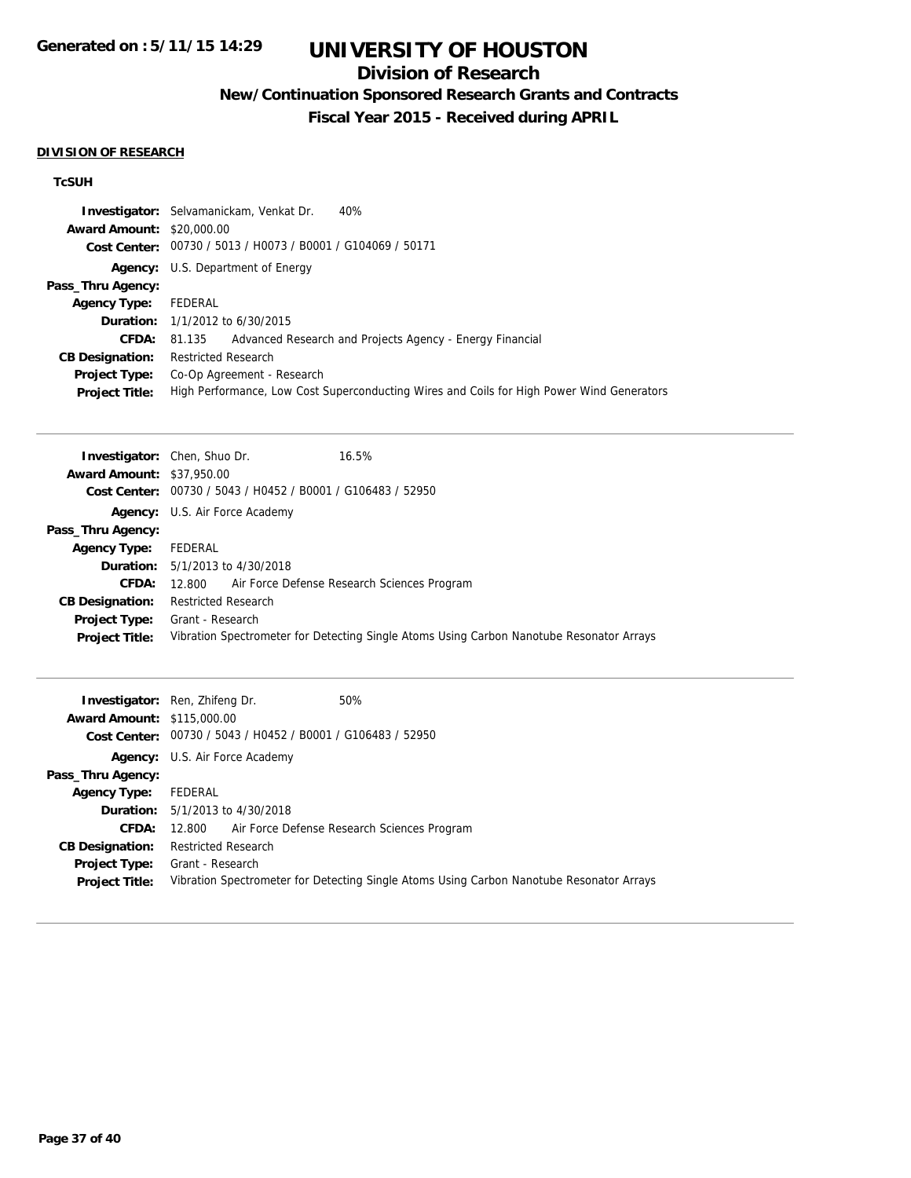# **Division of Research**

# **New/Continuation Sponsored Research Grants and Contracts**

**Fiscal Year 2015 - Received during APRIL**

### **DIVISION OF RESEARCH**

## **TcSUH**

|                                  | <b>Investigator:</b> Selvamanickam, Venkat Dr.<br>40%                                     |
|----------------------------------|-------------------------------------------------------------------------------------------|
| <b>Award Amount: \$20,000.00</b> |                                                                                           |
|                                  | Cost Center: 00730 / 5013 / H0073 / B0001 / G104069 / 50171                               |
|                                  | <b>Agency:</b> U.S. Department of Energy                                                  |
| Pass_Thru Agency:                |                                                                                           |
| <b>Agency Type:</b>              | FEDERAL                                                                                   |
|                                  | <b>Duration:</b> $1/1/2012$ to $6/30/2015$                                                |
| <b>CFDA:</b>                     | Advanced Research and Projects Agency - Energy Financial<br>81.135                        |
| <b>CB Designation:</b>           | <b>Restricted Research</b>                                                                |
| <b>Project Type:</b>             | Co-Op Agreement - Research                                                                |
| <b>Project Title:</b>            | High Performance, Low Cost Superconducting Wires and Coils for High Power Wind Generators |
|                                  |                                                                                           |
|                                  | <b>Investigator:</b> Chen, Shuo Dr.<br>16.5%                                              |
| A                                |                                                                                           |

|                                  | $\frac{1}{1!}$                                                                           |
|----------------------------------|------------------------------------------------------------------------------------------|
| <b>Award Amount: \$37,950.00</b> |                                                                                          |
|                                  | Cost Center: 00730 / 5043 / H0452 / B0001 / G106483 / 52950                              |
|                                  | <b>Agency:</b> U.S. Air Force Academy                                                    |
| Pass_Thru Agency:                |                                                                                          |
| <b>Agency Type:</b>              | FEDERAL                                                                                  |
|                                  | <b>Duration:</b> 5/1/2013 to 4/30/2018                                                   |
| <b>CFDA:</b>                     | 12.800 Air Force Defense Research Sciences Program                                       |
| <b>CB Designation:</b>           | <b>Restricted Research</b>                                                               |
|                                  | <b>Project Type:</b> Grant - Research                                                    |
| <b>Project Title:</b>            | Vibration Spectrometer for Detecting Single Atoms Using Carbon Nanotube Resonator Arrays |
|                                  |                                                                                          |

| <b>Award Amount: \$115,000.00</b> | 50%<br><b>Investigator:</b> Ren, Zhifeng Dr.<br>Cost Center: 00730 / 5043 / H0452 / B0001 / G106483 / 52950 |
|-----------------------------------|-------------------------------------------------------------------------------------------------------------|
|                                   |                                                                                                             |
|                                   | <b>Agency:</b> U.S. Air Force Academy                                                                       |
| Pass_Thru Agency:                 |                                                                                                             |
| <b>Agency Type:</b>               | FEDERAL                                                                                                     |
|                                   | <b>Duration:</b> $5/1/2013$ to $4/30/2018$                                                                  |
| <b>CFDA:</b>                      | 12.800 Air Force Defense Research Sciences Program                                                          |
| <b>CB Designation:</b>            | <b>Restricted Research</b>                                                                                  |
| <b>Project Type:</b>              | Grant - Research                                                                                            |
| <b>Project Title:</b>             | Vibration Spectrometer for Detecting Single Atoms Using Carbon Nanotube Resonator Arrays                    |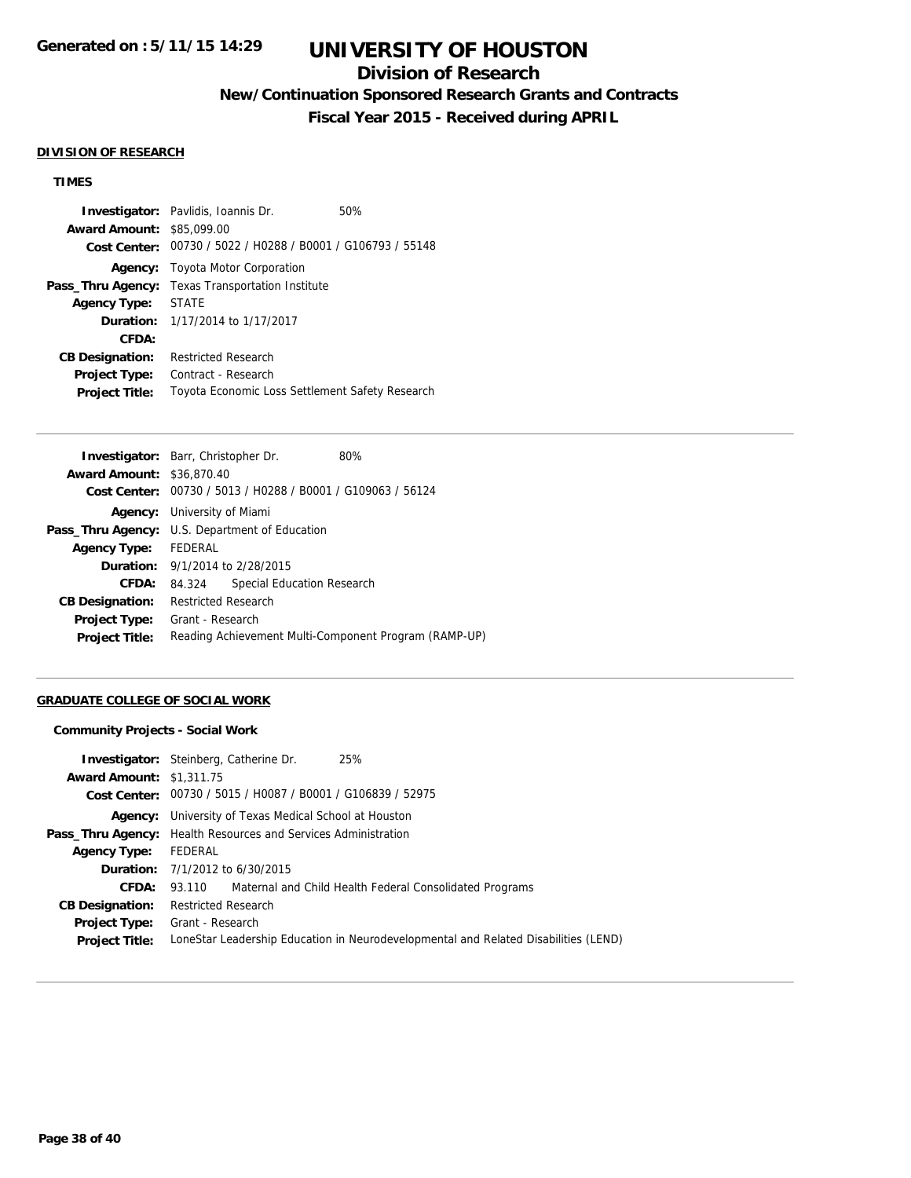# **Division of Research**

**New/Continuation Sponsored Research Grants and Contracts**

**Fiscal Year 2015 - Received during APRIL**

#### **DIVISION OF RESEARCH**

## **TIMES**

|                        | <b>Investigator:</b> Pavlidis, Ioannis Dr.      | 50% |  |
|------------------------|-------------------------------------------------|-----|--|
| <b>Award Amount:</b>   | \$85,099.00                                     |     |  |
| Cost Center:           | 00730 / 5022 / H0288 / B0001 / G106793 / 55148  |     |  |
| Agency:                | Toyota Motor Corporation                        |     |  |
| Pass_Thru Agency:      | <b>Texas Transportation Institute</b>           |     |  |
| <b>Agency Type:</b>    | <b>STATE</b>                                    |     |  |
|                        | <b>Duration:</b> 1/17/2014 to 1/17/2017         |     |  |
| CFDA:                  |                                                 |     |  |
| <b>CB Designation:</b> | <b>Restricted Research</b>                      |     |  |
| <b>Project Type:</b>   | Contract - Research                             |     |  |
| <b>Project Title:</b>  | Toyota Economic Loss Settlement Safety Research |     |  |

| <b>Investigator:</b> Barr, Christopher Dr. |                                                             |                            | 80%                                                   |
|--------------------------------------------|-------------------------------------------------------------|----------------------------|-------------------------------------------------------|
| <b>Award Amount: \$36,870.40</b>           |                                                             |                            |                                                       |
|                                            | Cost Center: 00730 / 5013 / H0288 / B0001 / G109063 / 56124 |                            |                                                       |
|                                            | <b>Agency:</b> University of Miami                          |                            |                                                       |
|                                            | <b>Pass_Thru Agency:</b> U.S. Department of Education       |                            |                                                       |
| Agency Type: FEDERAL                       |                                                             |                            |                                                       |
| <b>Duration:</b> 9/1/2014 to 2/28/2015     |                                                             |                            |                                                       |
| <b>CFDA:</b>                               | 84.324                                                      | Special Education Research |                                                       |
| <b>CB Designation:</b>                     | <b>Restricted Research</b>                                  |                            |                                                       |
| <b>Project Type:</b>                       | Grant - Research                                            |                            |                                                       |
| <b>Project Title:</b>                      |                                                             |                            | Reading Achievement Multi-Component Program (RAMP-UP) |

## **GRADUATE COLLEGE OF SOCIAL WORK**

#### **Community Projects - Social Work**

| <b>Award Amount: \$1,311.75</b> | <b>Investigator:</b> Steinberg, Catherine Dr.                                       | 25%                                                     |  |  |
|---------------------------------|-------------------------------------------------------------------------------------|---------------------------------------------------------|--|--|
|                                 | Cost Center: 00730 / 5015 / H0087 / B0001 / G106839 / 52975                         |                                                         |  |  |
|                                 | <b>Agency:</b> University of Texas Medical School at Houston                        |                                                         |  |  |
|                                 | <b>Pass_Thru Agency:</b> Health Resources and Services Administration               |                                                         |  |  |
| <b>Agency Type:</b>             | FEDERAL                                                                             |                                                         |  |  |
|                                 | <b>Duration:</b> 7/1/2012 to 6/30/2015                                              |                                                         |  |  |
| CFDA:                           | 93.110                                                                              | Maternal and Child Health Federal Consolidated Programs |  |  |
| <b>CB Designation:</b>          | <b>Restricted Research</b>                                                          |                                                         |  |  |
| <b>Project Type:</b>            | Grant - Research                                                                    |                                                         |  |  |
| <b>Project Title:</b>           | LoneStar Leadership Education in Neurodevelopmental and Related Disabilities (LEND) |                                                         |  |  |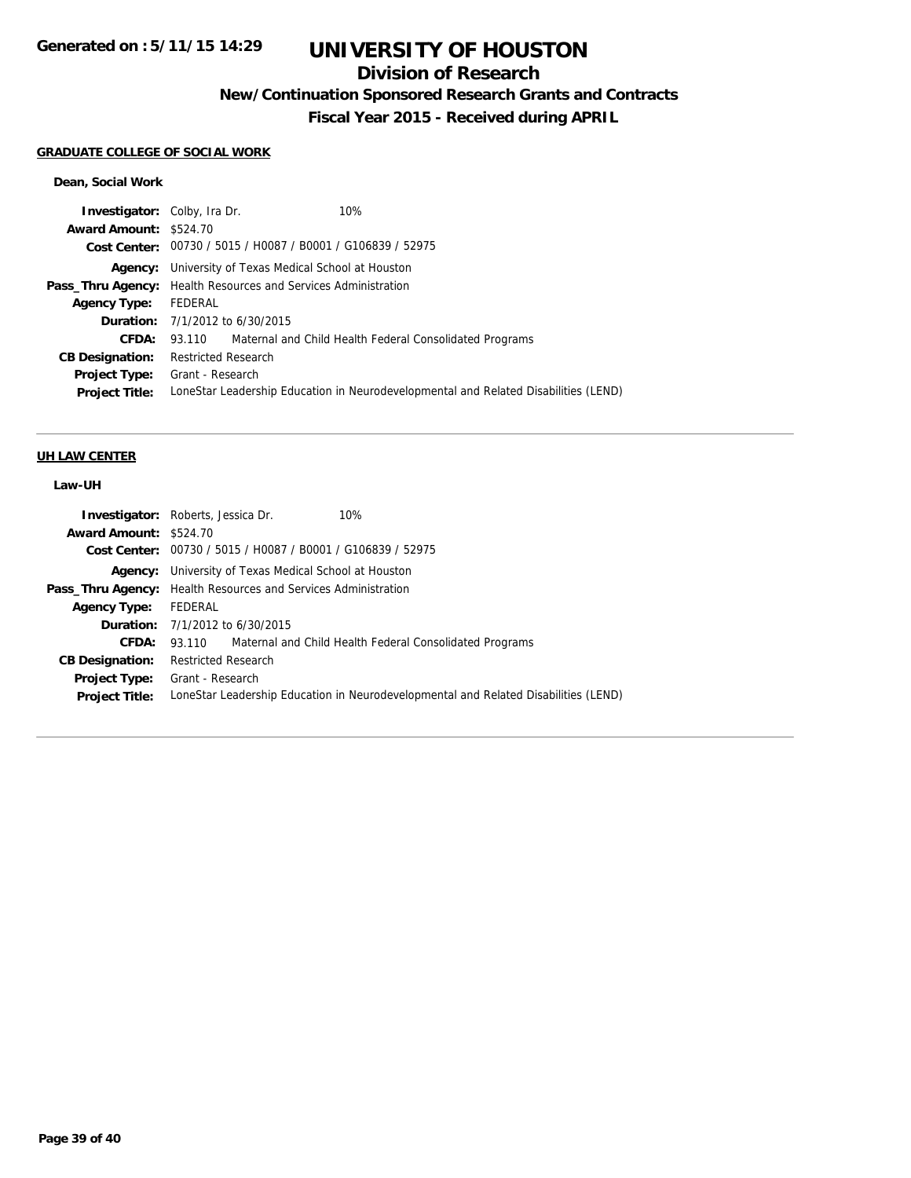# **Division of Research**

**New/Continuation Sponsored Research Grants and Contracts**

**Fiscal Year 2015 - Received during APRIL**

### **GRADUATE COLLEGE OF SOCIAL WORK**

### **Dean, Social Work**

| <b>Investigator:</b> Colby, Ira Dr. | 10%                                                                                 |  |  |
|-------------------------------------|-------------------------------------------------------------------------------------|--|--|
| <b>Award Amount: \$524.70</b>       |                                                                                     |  |  |
|                                     | Cost Center: 00730 / 5015 / H0087 / B0001 / G106839 / 52975                         |  |  |
|                                     | <b>Agency:</b> University of Texas Medical School at Houston                        |  |  |
|                                     | <b>Pass_Thru Agency:</b> Health Resources and Services Administration               |  |  |
| <b>Agency Type:</b>                 | FEDERAL                                                                             |  |  |
|                                     | <b>Duration:</b> 7/1/2012 to 6/30/2015                                              |  |  |
| CFDA:                               | 93.110 Maternal and Child Health Federal Consolidated Programs                      |  |  |
| <b>CB Designation:</b>              | <b>Restricted Research</b>                                                          |  |  |
| <b>Project Type:</b>                | Grant - Research                                                                    |  |  |
| <b>Project Title:</b>               | LoneStar Leadership Education in Neurodevelopmental and Related Disabilities (LEND) |  |  |
|                                     |                                                                                     |  |  |

### **UH LAW CENTER**

# **Law-UH**

| <b>Investigator:</b> Roberts, Jessica Dr.<br>10%                                    |  |  |
|-------------------------------------------------------------------------------------|--|--|
| Award Amount: \$524.70                                                              |  |  |
| Cost Center: 00730 / 5015 / H0087 / B0001 / G106839 / 52975                         |  |  |
| <b>Agency:</b> University of Texas Medical School at Houston                        |  |  |
| <b>Pass_Thru Agency:</b> Health Resources and Services Administration               |  |  |
| Agency Type: FEDERAL                                                                |  |  |
| <b>Duration:</b> 7/1/2012 to 6/30/2015                                              |  |  |
| 93.110 Maternal and Child Health Federal Consolidated Programs                      |  |  |
| <b>Restricted Research</b>                                                          |  |  |
| <b>Project Type:</b> Grant - Research                                               |  |  |
| LoneStar Leadership Education in Neurodevelopmental and Related Disabilities (LEND) |  |  |
|                                                                                     |  |  |